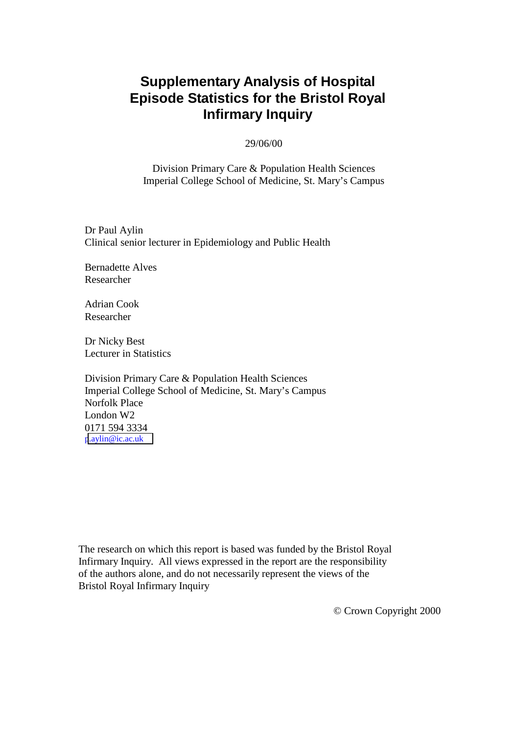# **Supplementary Analysis of Hospital Episode Statistics for the Bristol Royal Infirmary Inquiry**

### 29/06/00

Division Primary Care & Population Health Sciences Imperial College School of Medicine, St. Mary's Campus

Dr Paul Aylin Clinical senior lecturer in Epidemiology and Public Health

Bernadette Alves Researcher

Adrian Cook Researcher

Dr Nicky Best Lecturer in Statistics

Division Primary Care & Population Health Sciences Imperial College School of Medicine, St. Mary's Campus Norfolk Place London W2 0171 594 3334 [p.aylin@ic.ac.uk](mailto:p.aylin@ic.ac.uk)

The research on which this report is based was funded by the Bristol Royal Infirmary Inquiry. All views expressed in the report are the responsibility of the authors alone, and do not necessarily represent the views of the Bristol Royal Infirmary Inquiry

© Crown Copyright 2000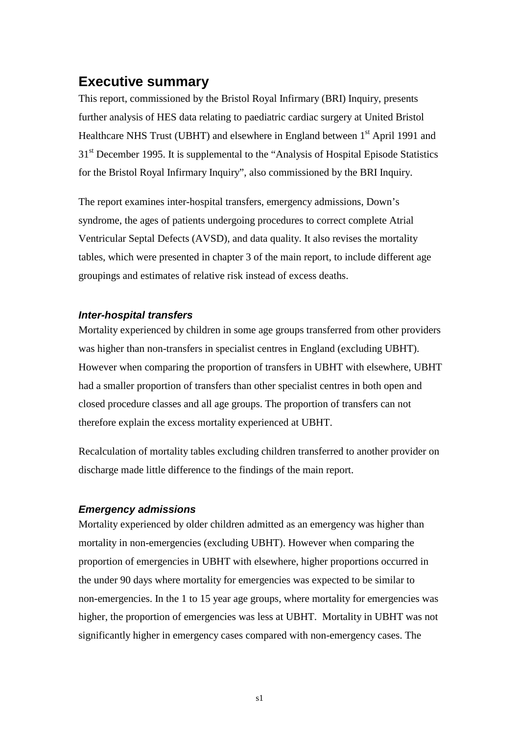### <span id="page-1-0"></span>**Executive summary**

This report, commissioned by the Bristol Royal Infirmary (BRI) Inquiry, presents further analysis of HES data relating to paediatric cardiac surgery at United Bristol Healthcare NHS Trust (UBHT) and elsewhere in England between 1<sup>st</sup> April 1991 and 31<sup>st</sup> December 1995. It is supplemental to the "Analysis of Hospital Episode Statistics" for the Bristol Royal Infirmary Inquiry", also commissioned by the BRI Inquiry.

The report examines inter-hospital transfers, emergency admissions, Down's syndrome, the ages of patients undergoing procedures to correct complete Atrial Ventricular Septal Defects (AVSD), and data quality. It also revises the mortality tables, which were presented in chapter 3 of the main report, to include different age groupings and estimates of relative risk instead of excess deaths.

### *Inter-hospital transfers*

Mortality experienced by children in some age groups transferred from other providers was higher than non-transfers in specialist centres in England (excluding UBHT). However when comparing the proportion of transfers in UBHT with elsewhere, UBHT had a smaller proportion of transfers than other specialist centres in both open and closed procedure classes and all age groups. The proportion of transfers can not therefore explain the excess mortality experienced at UBHT.

Recalculation of mortality tables excluding children transferred to another provider on discharge made little difference to the findings of the main report.

### *Emergency admissions*

Mortality experienced by older children admitted as an emergency was higher than mortality in non-emergencies (excluding UBHT). However when comparing the proportion of emergencies in UBHT with elsewhere, higher proportions occurred in the under 90 days where mortality for emergencies was expected to be similar to non-emergencies. In the 1 to 15 year age groups, where mortality for emergencies was higher, the proportion of emergencies was less at UBHT. Mortality in UBHT was not significantly higher in emergency cases compared with non-emergency cases. The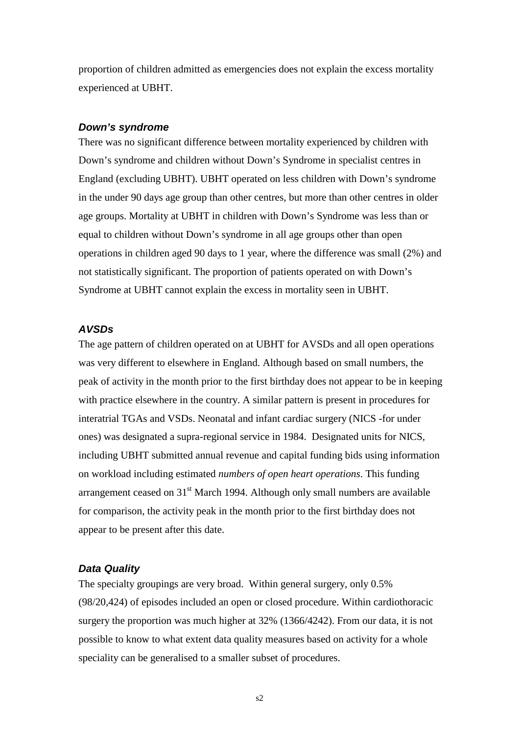<span id="page-2-0"></span>proportion of children admitted as emergencies does not explain the excess mortality experienced at UBHT.

#### *Down's syndrome*

There was no significant difference between mortality experienced by children with Down's syndrome and children without Down's Syndrome in specialist centres in England (excluding UBHT). UBHT operated on less children with Down's syndrome in the under 90 days age group than other centres, but more than other centres in older age groups. Mortality at UBHT in children with Down's Syndrome was less than or equal to children without Down's syndrome in all age groups other than open operations in children aged 90 days to 1 year, where the difference was small (2%) and not statistically significant. The proportion of patients operated on with Down's Syndrome at UBHT cannot explain the excess in mortality seen in UBHT.

### *AVSDs*

The age pattern of children operated on at UBHT for AVSDs and all open operations was very different to elsewhere in England. Although based on small numbers, the peak of activity in the month prior to the first birthday does not appear to be in keeping with practice elsewhere in the country. A similar pattern is present in procedures for interatrial TGAs and VSDs. Neonatal and infant cardiac surgery (NICS -for under ones) was designated a supra-regional service in 1984. Designated units for NICS, including UBHT submitted annual revenue and capital funding bids using information on workload including estimated *numbers of open heart operations*. This funding arrangement ceased on  $31<sup>st</sup>$  March 1994. Although only small numbers are available for comparison, the activity peak in the month prior to the first birthday does not appear to be present after this date.

### *Data Quality*

The specialty groupings are very broad. Within general surgery, only 0.5% (98/20,424) of episodes included an open or closed procedure. Within cardiothoracic surgery the proportion was much higher at 32% (1366/4242). From our data, it is not possible to know to what extent data quality measures based on activity for a whole speciality can be generalised to a smaller subset of procedures.

s2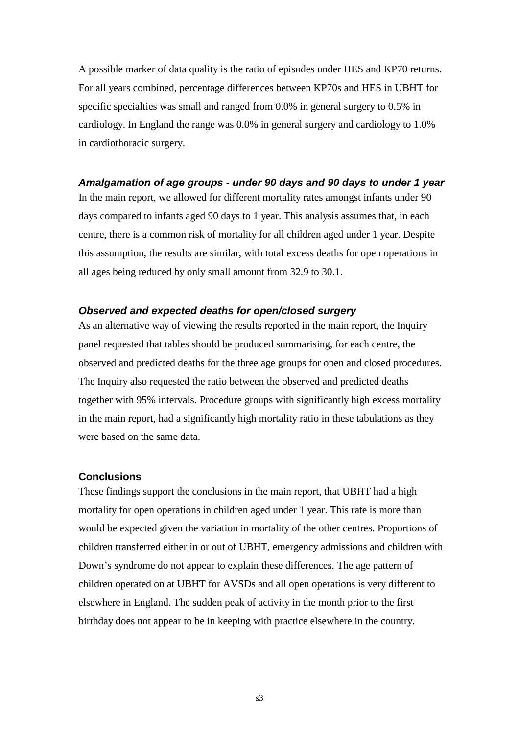<span id="page-3-0"></span>A possible marker of data quality is the ratio of episodes under HES and KP70 returns. For all years combined, percentage differences between KP70s and HES in UBHT for specific specialties was small and ranged from 0.0% in general surgery to 0.5% in cardiology. In England the range was 0.0% in general surgery and cardiology to 1.0% in cardiothoracic surgery.

#### *Amalgamation of age groups - under 90 days and 90 days to under 1 year*

In the main report, we allowed for different mortality rates amongst infants under 90 days compared to infants aged 90 days to 1 year. This analysis assumes that, in each centre, there is a common risk of mortality for all children aged under 1 year. Despite this assumption, the results are similar, with total excess deaths for open operations in all ages being reduced by only small amount from 32.9 to 30.1.

### *Observed and expected deaths for open/closed surgery*

As an alternative way of viewing the results reported in the main report, the Inquiry panel requested that tables should be produced summarising, for each centre, the observed and predicted deaths for the three age groups for open and closed procedures. The Inquiry also requested the ratio between the observed and predicted deaths together with 95% intervals. Procedure groups with significantly high excess mortality in the main report, had a significantly high mortality ratio in these tabulations as they were based on the same data.

### **Conclusions**

These findings support the conclusions in the main report, that UBHT had a high mortality for open operations in children aged under 1 year. This rate is more than would be expected given the variation in mortality of the other centres. Proportions of children transferred either in or out of UBHT, emergency admissions and children with Down's syndrome do not appear to explain these differences. The age pattern of children operated on at UBHT for AVSDs and all open operations is very different to elsewhere in England. The sudden peak of activity in the month prior to the first birthday does not appear to be in keeping with practice elsewhere in the country.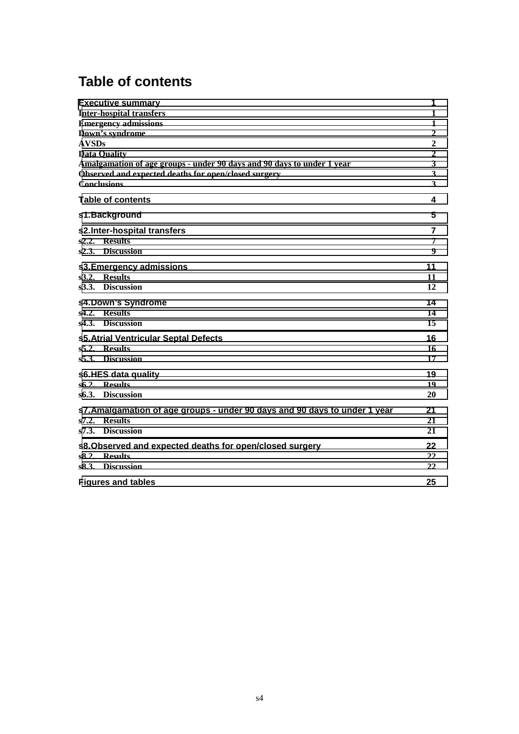# **Table of contents**

| <b>Executive summary</b>                                                   | 1                |
|----------------------------------------------------------------------------|------------------|
| <b>Inter-hospital transfers</b>                                            | 1                |
| <b>Emergency admissions</b>                                                | $\mathbf{1}$     |
| Down's syndrome                                                            | $\boldsymbol{2}$ |
| <b>AVSDs</b>                                                               | $\mathbf 2$      |
| <b>Data Quality</b>                                                        | $\mathbf 2$      |
| Amalgamation of age groups - under 90 days and 90 days to under 1 year     | $\mathbf{3}$     |
| Observed and expected deaths for open/closed surgery                       | $\mathbf{3}$     |
| <b>Conclusions</b>                                                         | 3                |
| <b>Table of contents</b>                                                   | 4                |
| s1.Background                                                              | 5                |
| s2.Inter-hospital transfers                                                | 7                |
| s2.2. Results                                                              | 7                |
| s2.3. Discussion                                                           | 9                |
| s3. Emergency admissions                                                   | 11               |
| s3.2. Results                                                              | 11               |
| s3.3. Discussion                                                           | 12               |
| s4.Down's Syndrome                                                         | 14               |
| s4.2. Results                                                              | 14               |
| s <sub>4.3</sub> . Discussion                                              | 15               |
| s5. Atrial Ventricular Septal Defects                                      | 16               |
| s5.2. Results                                                              | 16               |
| s5.3. Discussion                                                           | 17               |
| s6.HES data quality                                                        | 19               |
| s6.2. Results                                                              | 19               |
| s6.3. Discussion                                                           | 20               |
| s7. Amalgamation of age groups - under 90 days and 90 days to under 1 year | 21               |
| s7.2. Results                                                              | 21               |
| s7.3. Discussion                                                           | 21               |
| s8. Observed and expected deaths for open/closed surgery                   | 22               |
| s8.2. Results                                                              | 22               |
| s8.3. Discussion                                                           | 22               |
| <b>Figures and tables</b>                                                  | 25               |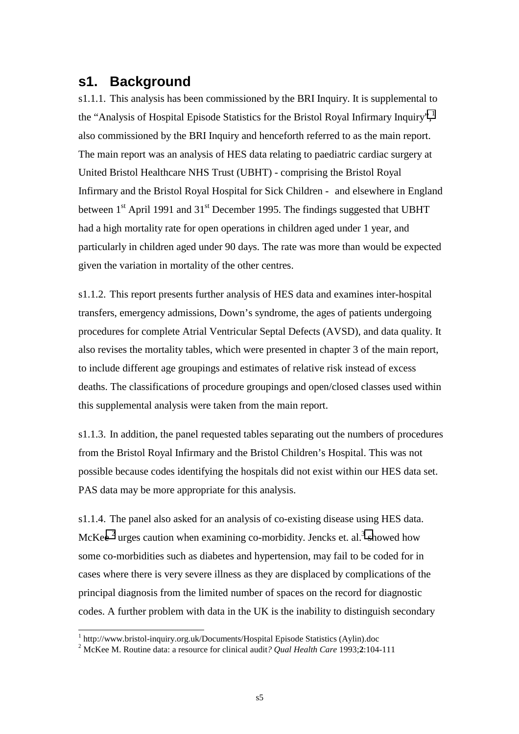### <span id="page-5-0"></span>**s1. Background**

s1.1.1. This analysis has been commissioned by the BRI Inquiry. It is supplemental to the "Analysis of Hospital Episode Statistics for the Bristol Royal Infirmary Inquiry", also commissioned by the BRI Inquiry and henceforth referred to as the main report. The main report was an analysis of HES data relating to paediatric cardiac surgery at United Bristol Healthcare NHS Trust (UBHT) - comprising the Bristol Royal Infirmary and the Bristol Royal Hospital for Sick Children - and elsewhere in England between  $1<sup>st</sup>$  April 1991 and  $31<sup>st</sup>$  December 1995. The findings suggested that UBHT had a high mortality rate for open operations in children aged under 1 year, and particularly in children aged under 90 days. The rate was more than would be expected given the variation in mortality of the other centres.

s1.1.2. This report presents further analysis of HES data and examines inter-hospital transfers, emergency admissions, Down's syndrome, the ages of patients undergoing procedures for complete Atrial Ventricular Septal Defects (AVSD), and data quality. It also revises the mortality tables, which were presented in chapter 3 of the main report, to include different age groupings and estimates of relative risk instead of excess deaths. The classifications of procedure groupings and open/closed classes used within this supplemental analysis were taken from the main report.

s1.1.3. In addition, the panel requested tables separating out the numbers of procedures from the Bristol Royal Infirmary and the Bristol Children's Hospital. This was not possible because codes identifying the hospitals did not exist within our HES data set. PAS data may be more appropriate for this analysis.

s1.1.4. The panel also asked for an analysis of co-existing disease using HES data. McKee<sup>2</sup> urges caution when examining co-morbidity. Jencks et. al.<sup>3</sup> showed how some co-morbidities such as diabetes and hypertension, may fail to be coded for in cases where there is very severe illness as they are displaced by complications of the principal diagnosis from the limited number of spaces on the record for diagnostic codes. A further problem with data in the UK is the inability to distinguish secondary

l

<sup>&</sup>lt;sup>1</sup> http://www.bristol-inquiry.org.uk/Documents/Hospital Episode Statistics (Aylin).doc

<sup>2</sup> McKee M. Routine data: a resource for clinical audit*? Qual Health Care* 1993;**2**:104-111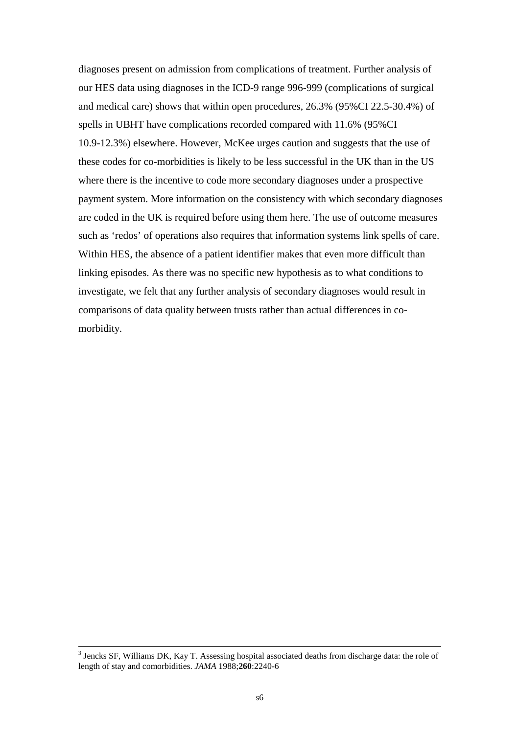diagnoses present on admission from complications of treatment. Further analysis of our HES data using diagnoses in the ICD-9 range 996-999 (complications of surgical and medical care) shows that within open procedures, 26.3% (95%CI 22.5-30.4%) of spells in UBHT have complications recorded compared with 11.6% (95%CI 10.9-12.3%) elsewhere. However, McKee urges caution and suggests that the use of these codes for co-morbidities is likely to be less successful in the UK than in the US where there is the incentive to code more secondary diagnoses under a prospective payment system. More information on the consistency with which secondary diagnoses are coded in the UK is required before using them here. The use of outcome measures such as 'redos' of operations also requires that information systems link spells of care. Within HES, the absence of a patient identifier makes that even more difficult than linking episodes. As there was no specific new hypothesis as to what conditions to investigate, we felt that any further analysis of secondary diagnoses would result in comparisons of data quality between trusts rather than actual differences in comorbidity.

 $\frac{1}{3}$  $3$  Jencks SF, Williams DK, Kay T. Assessing hospital associated deaths from discharge data: the role of length of stay and comorbidities. *JAMA* 1988;**260**:2240-6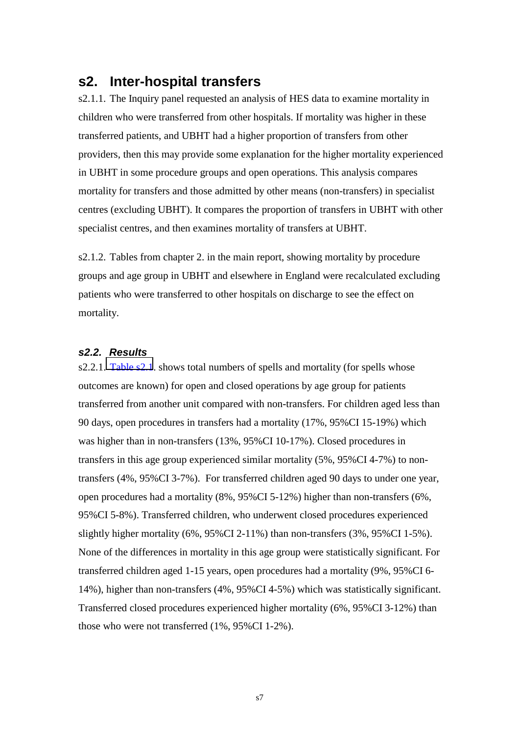### <span id="page-7-0"></span>**s2. Inter-hospital transfers**

s2.1.1. The Inquiry panel requested an analysis of HES data to examine mortality in children who were transferred from other hospitals. If mortality was higher in these transferred patients, and UBHT had a higher proportion of transfers from other providers, then this may provide some explanation for the higher mortality experienced in UBHT in some procedure groups and open operations. This analysis compares mortality for transfers and those admitted by other means (non-transfers) in specialist centres (excluding UBHT). It compares the proportion of transfers in UBHT with other specialist centres, and then examines mortality of transfers at UBHT.

s2.1.2. Tables from chapter 2. in the main report, showing mortality by procedure groups and age group in UBHT and elsewhere in England were recalculated excluding patients who were transferred to other hospitals on discharge to see the effect on mortality.

### *s2.2. Results*

s2.2.1. [Table s2.1](#page-26-0). shows total numbers of spells and mortality (for spells whose outcomes are known) for open and closed operations by age group for patients transferred from another unit compared with non-transfers. For children aged less than 90 days, open procedures in transfers had a mortality (17%, 95%CI 15-19%) which was higher than in non-transfers (13%, 95%CI 10-17%). Closed procedures in transfers in this age group experienced similar mortality (5%, 95%CI 4-7%) to nontransfers (4%, 95%CI 3-7%). For transferred children aged 90 days to under one year, open procedures had a mortality (8%, 95%CI 5-12%) higher than non-transfers (6%, 95%CI 5-8%). Transferred children, who underwent closed procedures experienced slightly higher mortality (6%, 95%CI 2-11%) than non-transfers (3%, 95%CI 1-5%). None of the differences in mortality in this age group were statistically significant. For transferred children aged 1-15 years, open procedures had a mortality (9%, 95%CI 6- 14%), higher than non-transfers (4%, 95%CI 4-5%) which was statistically significant. Transferred closed procedures experienced higher mortality (6%, 95%CI 3-12%) than those who were not transferred (1%, 95%CI 1-2%).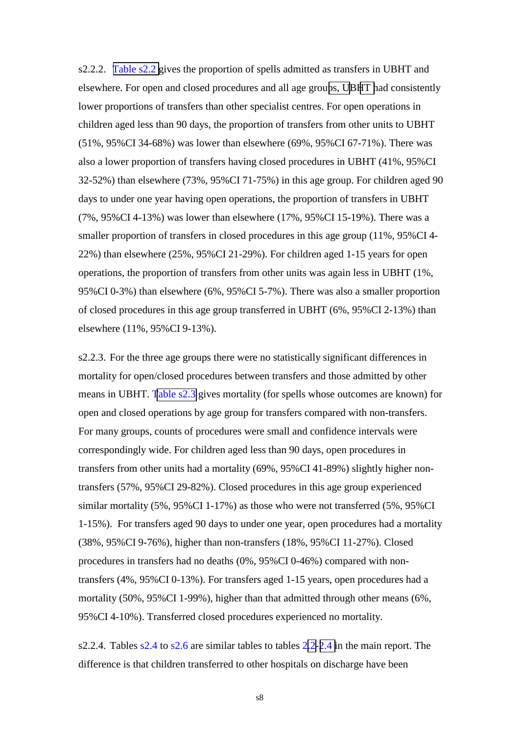s2.2.2. [Table s2.2 g](#page-26-0)ives the proportion of spells admitted as transfers in UBHT and elsewhere. For open and closed procedures and all age grou[ps, UB](#page-29-0)[HT h](#page-27-0)ad consistently lower proportions of transfers than other specialist centres. For open operations in children aged less than 90 days, the proportion of transfers from other units to UBHT (51%, 95%CI 34-68%) was lower than elsewhere (69%, 95%CI 67-71%). There was also a lower proportion of transfers having closed procedures in UBHT (41%, 95%CI 32-52%) than elsewhere (73%, 95%CI 71-75%) in this age group. For children aged 90 days to under one year having open operations, the proportion of transfers in UBHT (7%, 95%CI 4-13%) was lower than elsewhere (17%, 95%CI 15-19%). There was a smaller proportion of transfers in closed procedures in this age group (11%, 95%CI 4- 22%) than elsewhere (25%, 95%CI 21-29%). For children aged 1-15 years for open operations, the proportion of transfers from other units was again less in UBHT (1%, 95%CI 0-3%) than elsewhere (6%, 95%CI 5-7%). There was also a smaller proportion of closed procedures in this age group transferred in UBHT (6%, 95%CI 2-13%) than elsewhere (11%, 95%CI 9-13%).

s2.2.3. For the three age groups there were no statistically significant differences in mortality for open/closed procedures between transfers and those admitted by other means in UBHT. [Table s2.3](#page-26-0) gives mortality (for spells whose outcomes are known) for open and closed operations by age group for transfers compared with non-transfers. For many groups, counts of procedures were small and confidence intervals were correspondingly wide. For children aged less than 90 days, open procedures in transfers from other units had a mortality (69%, 95%CI 41-89%) slightly higher nontransfers (57%, 95%CI 29-82%). Closed procedures in this age group experienced similar mortality (5%, 95%CI 1-17%) as those who were not transferred (5%, 95%CI 1-15%). For transfers aged 90 days to under one year, open procedures had a mortality (38%, 95%CI 9-76%), higher than non-transfers (18%, 95%CI 11-27%). Closed procedures in transfers had no deaths (0%, 95%CI 0-46%) compared with nontransfers (4%, 95%CI 0-13%). For transfers aged 1-15 years, open procedures had a mortality (50%, 95%CI 1-99%), higher than that admitted through other means (6%, 95%CI 4-10%). Transferred closed procedures experienced no mortality.

s2.2.4. Tables s2.4 to s2.6 are similar tables to tables 2[.2-](http://www.bristol-inquiry.org.uk/Documents/Hospital Episode Statistics (Aylin).doc#Table2_2)[2.4 i](http://www.bristol-inquiry.org.uk/Documents/Hospital Episode Statistics (Aylin).doc#Table2_4)n the main report. The difference is that children transferred to other hospitals on discharge have been

s8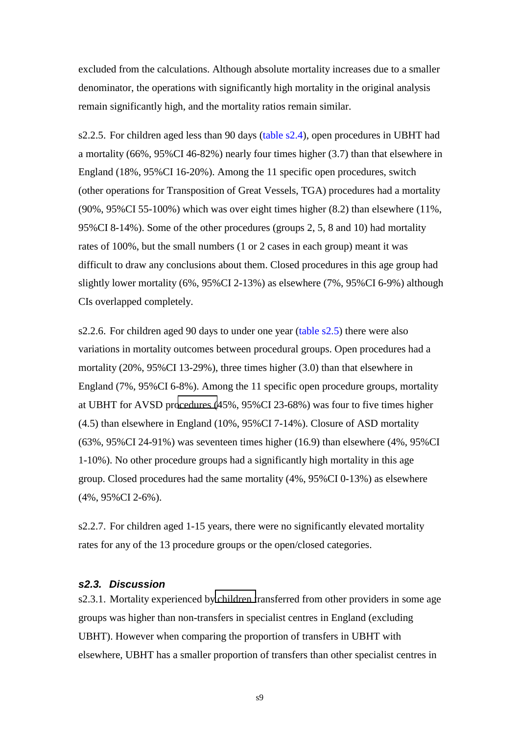<span id="page-9-0"></span>excluded from the calculations. Although absolute mortality increases due to a smaller denominator, the operations with significantly high mortality in the original analysis remain significantly high, and the mortality ratios remain similar.

s2.2.5. For children aged less than 90 days (table s2.4), open procedures in UBHT had a mortality (66%, 95%CI 46-82%) nearly four times higher (3.7) than that elsewhere in England (18%, 95%CI 16-20%). Among the 11 specific open procedures, switch (other operations for Transposition of Great Vessels, TGA) procedures had a mortality (90%, 95%CI 55-100%) which was over eight times higher (8.2) than elsewhere (11%, 95%CI 8-14%). Some of the other procedures (groups 2, 5, 8 and 10) had mortality rates of 100%, but the small numbers (1 or 2 cases in each group) meant it was difficult to draw any conclusions about them. Closed procedures in this age group had slightly lower mortality (6%, 95%CI 2-13%) as elsewhere (7%, 95%CI 6-9%) although CIs overlapped completely.

s2.2.6. For children aged 90 days to under one year (table  $s2.5$ ) there were also variations in mortality outcomes between procedural groups. Open procedures had a mortality (20%, 95%CI 13-29%), three times higher (3.0) than that elsewhere in England (7%, 95%CI 6-8%). Among the 11 specific open procedure groups, mortality at UBHT for AVSD pr[ocedures \(](#page-28-0)45%, 95%CI 23-68%) was four to five times higher (4.5) than elsewhere in England (10%, 95%CI 7-14%). Closure of ASD mortality (63%, 95%CI 24-91%) was seventeen times higher (16.9) than elsewhere (4%, 95%CI 1-10%). No other procedure groups had a significantly high mortality in this age group. Closed procedures had the same mortality (4%, 95%CI 0-13%) as elsewhere (4%, 95%CI 2-6%).

s2.2.7. For children aged 1-15 years, there were no significantly elevated mortality rates for any of the 13 procedure groups or the open/closed categories.

### *s2.3. Discussion*

s2.3.1. Mortality experienced by [children t](#page-27-0)ransferred from other providers in some age groups was higher than non-transfers in specialist centres in England (excluding UBHT). However when comparing the proportion of transfers in UBHT with elsewhere, UBHT has a smaller proportion of transfers than other specialist centres in

s9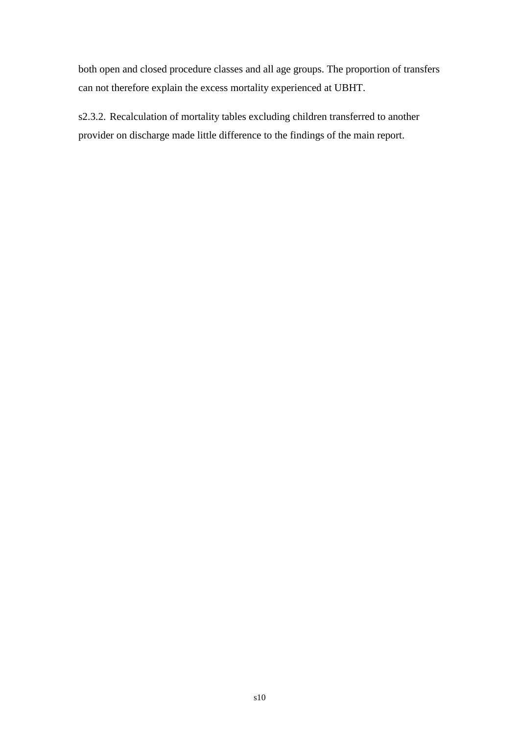both open and closed procedure classes and all age groups. The proportion of transfers can not therefore explain the excess mortality experienced at UBHT.

s2.3.2. Recalculation of mortality tables excluding children transferred to another provider on discharge made little difference to the findings of the main report.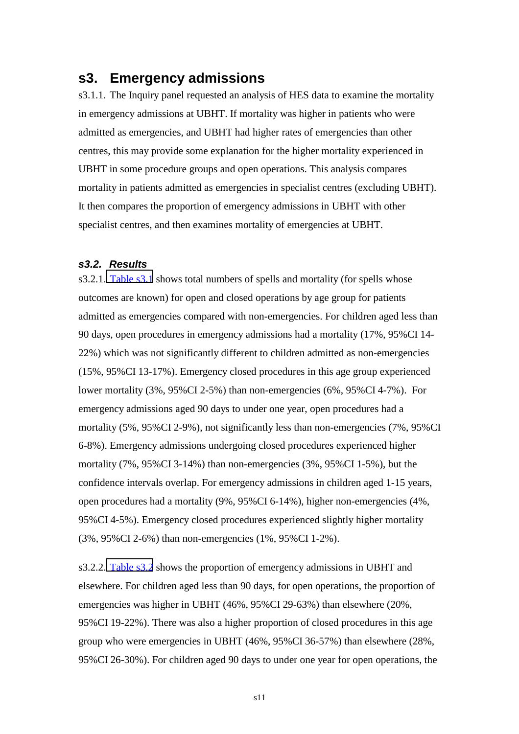### <span id="page-11-0"></span>**s3. Emergency admissions**

s3.1.1. The Inquiry panel requested an analysis of HES data to examine the mortality in emergency admissions at UBHT. If mortality was higher in patients who were admitted as emergencies, and UBHT had higher rates of emergencies than other centres, this may provide some explanation for the higher mortality experienced in UBHT in some procedure groups and open operations. This analysis compares mortality in patients admitted as emergencies in specialist centres (excluding UBHT). It then compares the proportion of emergency admissions in UBHT with other specialist centres, and then examines mortality of emergencies at UBHT.

### *s3.2. Results*

s3.2.1. [Table s3.1](#page-30-0) shows total numbers of spells and mortality (for spells whose outcomes are known) for open and closed operations by age group for patients admitted as emergencies compared with non-emergencies. For children aged less than 90 days, open procedures in emergency admissions had a mortality (17%, 95%CI 14- 22%) which was not significantly different to children admitted as non-emergencies (15%, 95%CI 13-17%). Emergency closed procedures in this age group experienced lower mortality (3%, 95%CI 2-5%) than non-emergencies (6%, 95%CI 4-7%). For emergency admissions aged 90 days to under one year, open procedures had a mortality (5%, 95%CI 2-9%), not significantly less than non-emergencies (7%, 95%CI 6-8%). Emergency admissions undergoing closed procedures experienced higher mortality (7%, 95%CI 3-14%) than non-emergencies (3%, 95%CI 1-5%), but the confidence intervals overlap. For emergency admissions in children aged 1-15 years, open procedures had a mortality (9%, 95%CI 6-14%), higher non-emergencies (4%, 95%CI 4-5%). Emergency closed procedures experienced slightly higher mortality (3%, 95%CI 2-6%) than non-emergencies (1%, 95%CI 1-2%).

s3.2.2. [Table s3.2](#page-30-0) shows the proportion of emergency admissions in UBHT and elsewhere. For children aged less than 90 days, for open operations, the proportion of emergencies was higher in UBHT (46%, 95%CI 29-63%) than elsewhere (20%, 95%CI 19-22%). There was also a higher proportion of closed procedures in this age group who were emergencies in UBHT (46%, 95%CI 36-57%) than elsewhere (28%, 95%CI 26-30%). For children aged 90 days to under one year for open operations, the

s11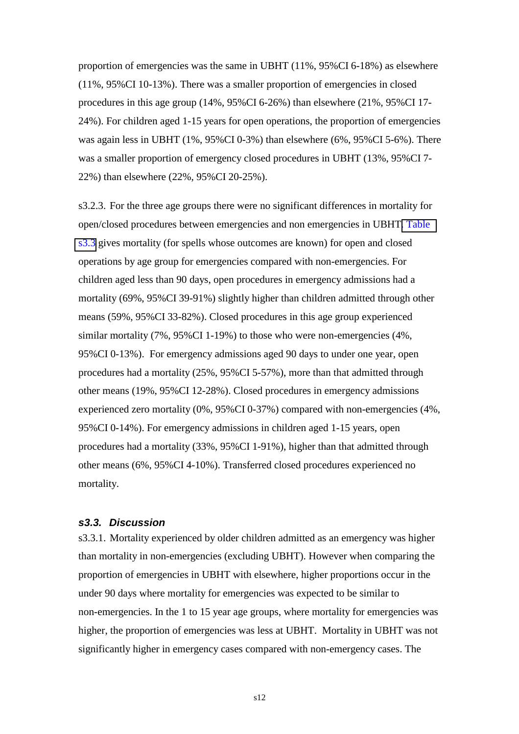<span id="page-12-0"></span>proportion of emergencies was the same in UBHT (11%, 95%CI 6-18%) as elsewhere (11%, 95%CI 10-13%). There was a smaller proportion of emergencies in closed procedures in this age group (14%, 95%CI 6-26%) than elsewhere (21%, 95%CI 17- 24%). For children aged 1-15 years for open operations, the proportion of emergencies was again less in UBHT (1%, 95%CI 0-3%) than elsewhere (6%, 95%CI 5-6%). There was a smaller proportion of emergency closed procedures in UBHT (13%, 95%CI 7- 22%) than elsewhere (22%, 95%CI 20-25%).

s3.2.3. For the three age groups there were no significant differences in mortality for open/closed procedures between emergencies and non emergencies in UBHT[. Table](#page-30-0)  [s3.3](#page-30-0) gives mortality (for spells whose outcomes are known) for open and closed operations by age group for emergencies compared with non-emergencies. For children aged less than 90 days, open procedures in emergency admissions had a mortality (69%, 95%CI 39-91%) slightly higher than children admitted through other means (59%, 95%CI 33-82%). Closed procedures in this age group experienced similar mortality (7%, 95%CI 1-19%) to those who were non-emergencies (4%, 95%CI 0-13%). For emergency admissions aged 90 days to under one year, open procedures had a mortality (25%, 95%CI 5-57%), more than that admitted through other means (19%, 95%CI 12-28%). Closed procedures in emergency admissions experienced zero mortality (0%, 95%CI 0-37%) compared with non-emergencies (4%, 95%CI 0-14%). For emergency admissions in children aged 1-15 years, open procedures had a mortality (33%, 95%CI 1-91%), higher than that admitted through other means (6%, 95%CI 4-10%). Transferred closed procedures experienced no mortality.

### *s3.3. Discussion*

s3.3.1. Mortality experienced by older children admitted as an emergency was higher than mortality in non-emergencies (excluding UBHT). However when comparing the proportion of emergencies in UBHT with elsewhere, higher proportions occur in the under 90 days where mortality for emergencies was expected to be similar to non-emergencies. In the 1 to 15 year age groups, where mortality for emergencies was higher, the proportion of emergencies was less at UBHT. Mortality in UBHT was not significantly higher in emergency cases compared with non-emergency cases. The

s12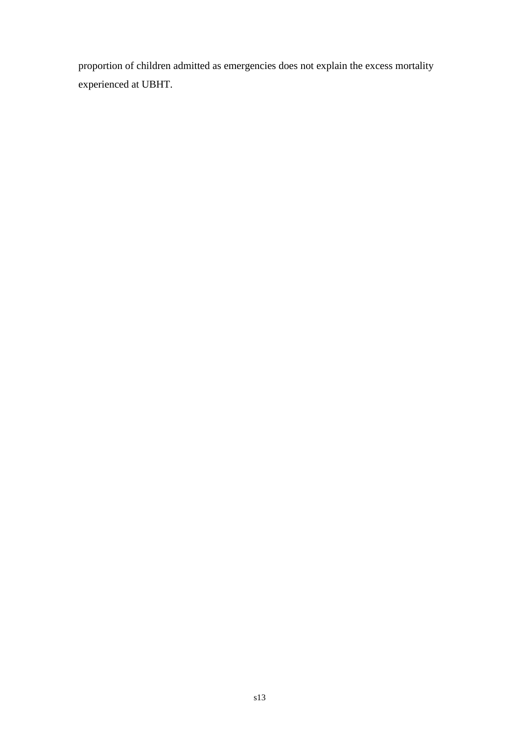proportion of children admitted as emergencies does not explain the excess mortality experienced at UBHT.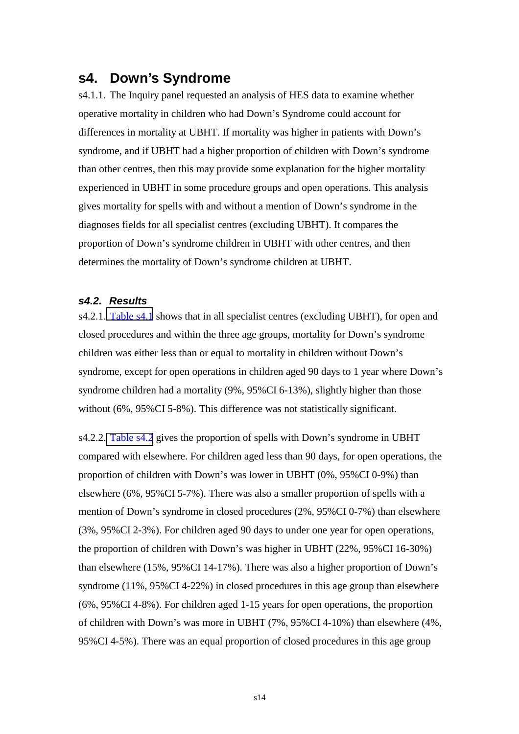### <span id="page-14-0"></span>**s4. Down's Syndrome**

s4.1.1. The Inquiry panel requested an analysis of HES data to examine whether operative mortality in children who had Down's Syndrome could account for differences in mortality at UBHT. If mortality was higher in patients with Down's syndrome, and if UBHT had a higher proportion of children with Down's syndrome than other centres, then this may provide some explanation for the higher mortality experienced in UBHT in some procedure groups and open operations. This analysis gives mortality for spells with and without a mention of Down's syndrome in the diagnoses fields for all specialist centres (excluding UBHT). It compares the proportion of Down's syndrome children in UBHT with other centres, and then determines the mortality of Down's syndrome children at UBHT.

### *s4.2. Results*

s4.2.1. [Table s4.1](#page-31-0) shows that in all specialist centres (excluding UBHT), for open and closed procedures and within the three age groups, mortality for Down's syndrome children was either less than or equal to mortality in children without Down's syndrome, except for open operations in children aged 90 days to 1 year where Down's syndrome children had a mortality (9%, 95%CI 6-13%), slightly higher than those without (6%, 95%CI 5-8%). This difference was not statistically significant.

s4.2.2. [Table s4.2](#page-31-0) gives the proportion of spells with Down's syndrome in UBHT compared with elsewhere. For children aged less than 90 days, for open operations, the proportion of children with Down's was lower in UBHT (0%, 95%CI 0-9%) than elsewhere (6%, 95%CI 5-7%). There was also a smaller proportion of spells with a mention of Down's syndrome in closed procedures (2%, 95%CI 0-7%) than elsewhere (3%, 95%CI 2-3%). For children aged 90 days to under one year for open operations, the proportion of children with Down's was higher in UBHT (22%, 95%CI 16-30%) than elsewhere (15%, 95%CI 14-17%). There was also a higher proportion of Down's syndrome (11%, 95%CI 4-22%) in closed procedures in this age group than elsewhere (6%, 95%CI 4-8%). For children aged 1-15 years for open operations, the proportion of children with Down's was more in UBHT (7%, 95%CI 4-10%) than elsewhere (4%, 95%CI 4-5%). There was an equal proportion of closed procedures in this age group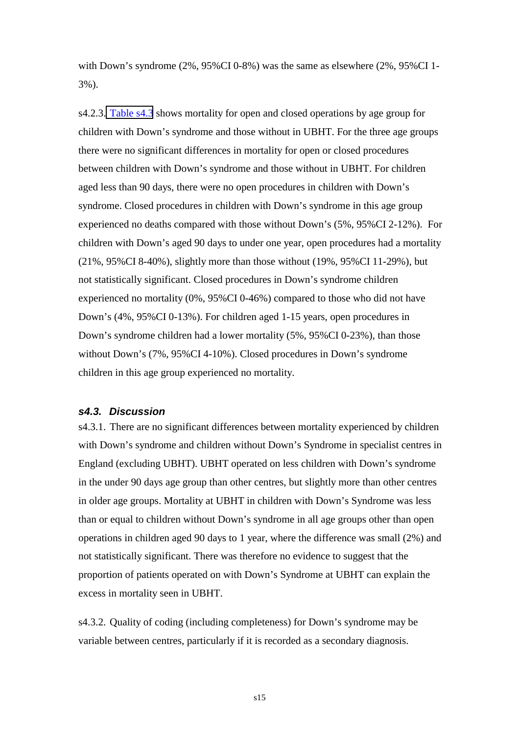<span id="page-15-0"></span>with Down's syndrome (2%, 95%CI 0-8%) was the same as elsewhere (2%, 95%CI 1- 3%).

s4.2.3. [Table s4.3](#page-31-0) shows mortality for open and closed operations by age group for children with Down's syndrome and those without in UBHT. For the three age groups there were no significant differences in mortality for open or closed procedures between children with Down's syndrome and those without in UBHT. For children aged less than 90 days, there were no open procedures in children with Down's syndrome. Closed procedures in children with Down's syndrome in this age group experienced no deaths compared with those without Down's (5%, 95%CI 2-12%). For children with Down's aged 90 days to under one year, open procedures had a mortality (21%, 95%CI 8-40%), slightly more than those without (19%, 95%CI 11-29%), but not statistically significant. Closed procedures in Down's syndrome children experienced no mortality (0%, 95%CI 0-46%) compared to those who did not have Down's (4%, 95%CI 0-13%). For children aged 1-15 years, open procedures in Down's syndrome children had a lower mortality (5%, 95%CI 0-23%), than those without Down's (7%, 95%CI 4-10%). Closed procedures in Down's syndrome children in this age group experienced no mortality.

### *s4.3. Discussion*

s4.3.1. There are no significant differences between mortality experienced by children with Down's syndrome and children without Down's Syndrome in specialist centres in England (excluding UBHT). UBHT operated on less children with Down's syndrome in the under 90 days age group than other centres, but slightly more than other centres in older age groups. Mortality at UBHT in children with Down's Syndrome was less than or equal to children without Down's syndrome in all age groups other than open operations in children aged 90 days to 1 year, where the difference was small (2%) and not statistically significant. There was therefore no evidence to suggest that the proportion of patients operated on with Down's Syndrome at UBHT can explain the excess in mortality seen in UBHT.

s4.3.2. Quality of coding (including completeness) for Down's syndrome may be variable between centres, particularly if it is recorded as a secondary diagnosis.

s15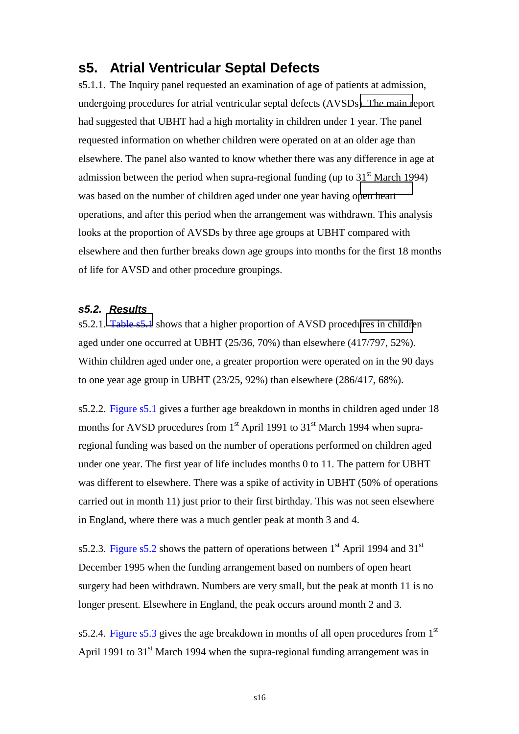### <span id="page-16-0"></span>**s5. Atrial Ventricular Septal Defects**

s5.1.1. The Inquiry panel requested an examination of age of patients at admission, undergoing procedures for atrial ventricular septal defects (AVSDs[\). The main r](#page-42-0)eport had suggested that UBHT had a high mortality in children under 1 year. The panel requested information on whether children were operated on at an older age than elsewhere. The panel also wanted to know whether there was any difference in age at admission between the period when supra-regional funding (up to  $31<sup>st</sup>$  March 1994) was based on the number of children aged under one year having o[pen heart](#page-41-0)  operations, and after this period when the arrangement was withdrawn. This analysis looks at the proportion of AVSDs by three age groups at UBHT compared with elsewhere and then further breaks down age groups into months for the first 18 months of life for AVSD and other procedure groupings.

### *s5.2. Results*

s5.2.1. [Table s5.1](#page-32-0) shows that a higher proportion of AVSD proced[ures in childre](#page-40-0)n aged under one occurred at UBHT (25/36, 70%) than elsewhere (417/797, 52%). Within children aged under one, a greater proportion were operated on in the 90 days to one year age group in UBHT (23/25, 92%) than elsewhere (286/417, 68%).

s5.2.2. Figure s5.1 gives a further age breakdown in months in children aged under 18 months for AVSD procedures from  $1<sup>st</sup>$  April 1991 to  $31<sup>st</sup>$  March 1994 when supraregional funding was based on the number of operations performed on children aged under one year. The first year of life includes months 0 to 11. The pattern for UBHT was different to elsewhere. There was a spike of activity in UBHT (50% of operations carried out in month 11) just prior to their first birthday. This was not seen elsewhere in England, where there was a much gentler peak at month 3 and 4.

s5.2.3. Figure s5.2 shows the pattern of operations between  $1<sup>st</sup>$  April 1994 and 31<sup>st</sup> December 1995 when the funding arrangement based on numbers of open heart surgery had been withdrawn. Numbers are very small, but the peak at month 11 is no longer present. Elsewhere in England, the peak occurs around month 2 and 3.

s5.2.4. Figure s5.3 gives the age breakdown in months of all open procedures from  $1<sup>st</sup>$ April 1991 to  $31<sup>st</sup>$  March 1994 when the supra-regional funding arrangement was in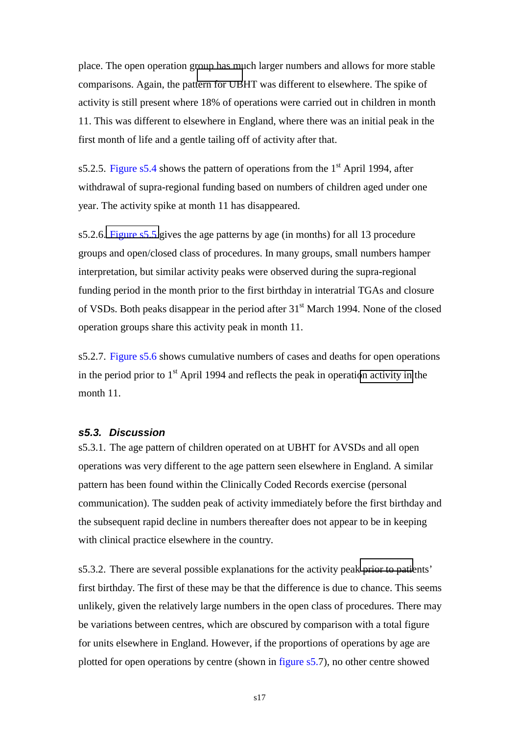<span id="page-17-0"></span>place. The open operation g[roup has mu](#page-49-0)ch larger numbers and allows for more stable comparisons. Again, the pattern for UBHT was different to elsewhere. The spike of activity is still present where 18% of operations were carried out in children in month 11. This was different to elsewhere in England, where there was an initial peak in the first month of life and a gentle tailing off of activity after that.

s5.2.5. Figure s5.4 shows the pattern of operations from the  $1<sup>st</sup>$  April 1994, after withdrawal of supra-regional funding based on numbers of children aged under one year. The activity spike at month 11 has disappeared.

s5.2.6. [Figure s5.5](#page-45-0) gives the age patterns by age (in months) for all 13 procedure groups and open/closed class of procedures. In many groups, small numbers hamper interpretation, but similar activity peaks were observed during the supra-regional funding period in the month prior to the first birthday in interatrial TGAs and closure of VSDs. Both peaks disappear in the period after 31st March 1994. None of the closed operation groups share this activity peak in month 11.

s5.2.7. Figure s5.6 shows cumulative numbers of cases and deaths for open operations in the period prior to  $1<sup>st</sup>$  April 1994 and reflects the peak in operati[on activity in](#page-49-0) the month 11.

### *s5.3. Discussion*

s5.3.1. The age pattern of children operated on at UBHT for AVSDs and all open operations was very different to the age pattern seen elsewhere in England. A similar pattern has been found within the Clinically Coded Records exercise (personal communication). The sudden peak of activity immediately before the first birthday and the subsequent rapid decline in numbers thereafter does not appear to be in keeping with clinical practice elsewhere in the country.

s5.3.2. There are several possible explanations for the activity pea[k prior to patie](#page-43-0)nts' first birthday. The first of these may be that the difference is due to chance. This seems unlikely, given the relatively large numbers in the open class of procedures. There may be variations between centres, which are obscured by comparison with a total figure for units elsewhere in England. However, if the proportions of operations by age are plotted for open operations by centre (shown in figure s5.7), no other centre showed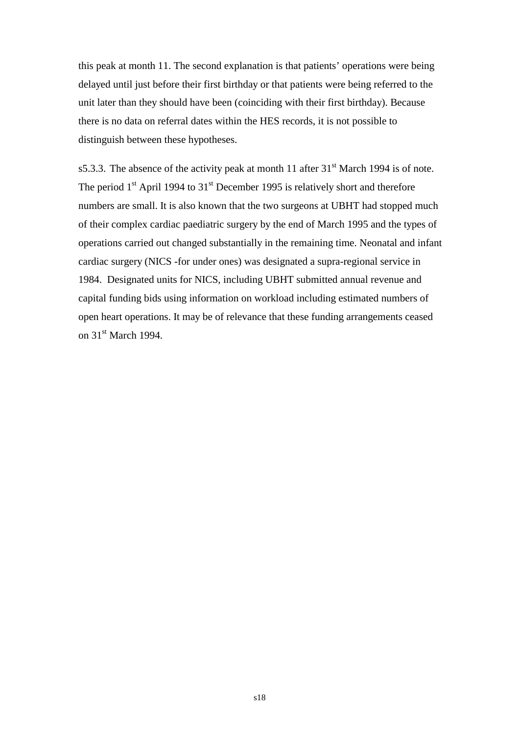this peak at month 11. The second explanation is that patients' operations were being delayed until just before their first birthday or that patients were being referred to the unit later than they should have been (coinciding with their first birthday). Because there is no data on referral dates within the HES records, it is not possible to distinguish between these hypotheses.

s5.3.3. The absence of the activity peak at month 11 after  $31<sup>st</sup>$  March 1994 is of note. The period  $1<sup>st</sup>$  April 1994 to  $31<sup>st</sup>$  December 1995 is relatively short and therefore numbers are small. It is also known that the two surgeons at UBHT had stopped much of their complex cardiac paediatric surgery by the end of March 1995 and the types of operations carried out changed substantially in the remaining time. Neonatal and infant cardiac surgery (NICS -for under ones) was designated a supra-regional service in 1984. Designated units for NICS, including UBHT submitted annual revenue and capital funding bids using information on workload including estimated numbers of open heart operations. It may be of relevance that these funding arrangements ceased on 31<sup>st</sup> March 1994.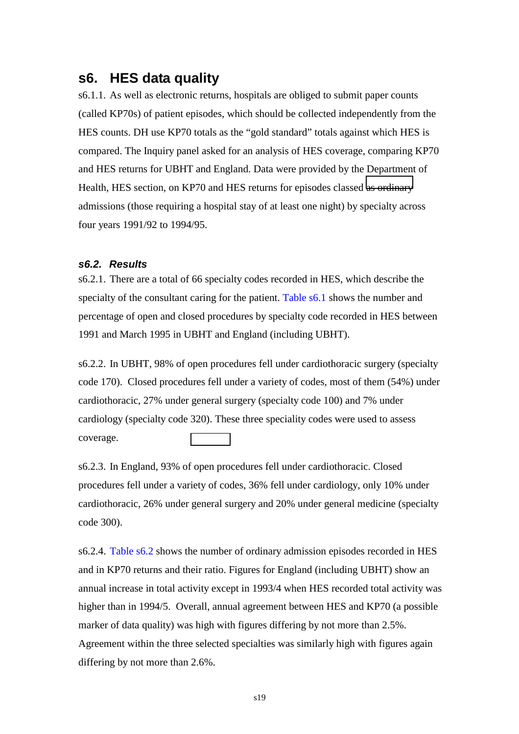### <span id="page-19-0"></span>**s6. HES data quality**

s6.1.1. As well as electronic returns, hospitals are obliged to submit paper counts (called KP70s) of patient episodes, which should be collected independently from the HES counts. DH use KP70 totals as the "gold standard" totals against which HES is compared. The Inquiry panel asked for an analysis of HES coverage, comparing KP70 and HES returns for UBHT and England. Data were provided by the Department of Health, HES section, on KP70 and HES returns for episodes classed [as ordinary](#page-33-0) admissions (those requiring a hospital stay of at least one night) by specialty across four years 1991/92 to 1994/95.

### *s6.2. Results*

s6.2.1. There are a total of 66 specialty codes recorded in HES, which describe the specialty of the consultant caring for the patient. Table s6.1 shows the number and percentage of open and closed procedures by specialty code recorded in HES between 1991 and March 1995 in UBHT and England (including UBHT).

s6.2.2. In UBHT, 98% of open procedures fell under cardiothoracic surgery (specialty code 170). Closed procedures fell under a variety of codes, most of them (54%) under cardiothoracic, 27% under general surgery (specialty code 100) and 7% under cardiology (specialty code 320). These three speciality codes were used to assess coverage.

s6.2.3. In England, 93% of open procedures fell under cardiothoracic. Closed procedures fell under a variety of codes, 36% fell under cardiology, only 10% under cardiothoracic, 26% under general surgery and 20% under general medicine (specialty code 300).

s6.2.4. Table s6.2 shows the number of ordinary admission episodes recorded in HES and in KP70 returns and their ratio. Figures for England (including UBHT) show an annual increase in total activity except in 1993/4 when HES recorded total activity was higher than in 1994/5. Overall, annual agreement between HES and KP70 (a possible marker of data quality) was high with figures differing by not more than 2.5%. Agreement within the three selected specialties was similarly high with figures again differing by not more than 2.6%.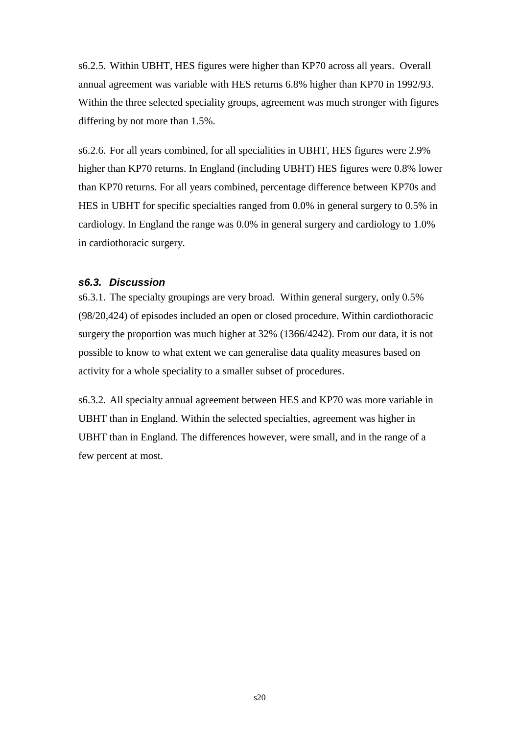<span id="page-20-0"></span>s6.2.5. Within UBHT, HES figures were higher than KP70 across all years. Overall annual agreement was variable with HES returns 6.8% higher than KP70 in 1992/93. Within the three selected speciality groups, agreement was much stronger with figures differing by not more than 1.5%.

s6.2.6. For all years combined, for all specialities in UBHT, HES figures were 2.9% higher than KP70 returns. In England (including UBHT) HES figures were 0.8% lower than KP70 returns. For all years combined, percentage difference between KP70s and HES in UBHT for specific specialties ranged from 0.0% in general surgery to 0.5% in cardiology. In England the range was 0.0% in general surgery and cardiology to 1.0% in cardiothoracic surgery.

### *s6.3. Discussion*

s6.3.1. The specialty groupings are very broad. Within general surgery, only 0.5% (98/20,424) of episodes included an open or closed procedure. Within cardiothoracic surgery the proportion was much higher at 32% (1366/4242). From our data, it is not possible to know to what extent we can generalise data quality measures based on activity for a whole speciality to a smaller subset of procedures.

s6.3.2. All specialty annual agreement between HES and KP70 was more variable in UBHT than in England. Within the selected specialties, agreement was higher in UBHT than in England. The differences however, were small, and in the range of a few percent at most.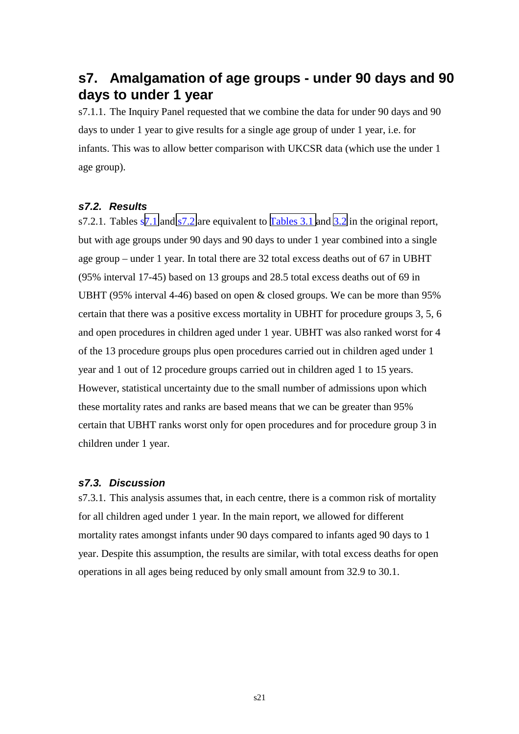## <span id="page-21-0"></span>**s7. Amalgamation of age groups - under 90 days and 90 days to under 1 year**

s7.1.1. The Inquiry Panel requested that we combine the data for under 90 days and 90 days to under 1 year to give results for a single age group of under 1 year, i.e. for infants. This was to allow better comparison with UKCSR data (which use the under 1 age group).

### *s7.2. Results*

s7.2.1. Tables s[7.1](#page-34-0) and [s7.2](#page-35-0) are equivalent to [Tables 3.1](http://www.bristol-inquiry.org.uk/Documents/Hospital Episode Statistics (Aylin).doc#Table3_1) and [3.2](http://www.bristol-inquiry.org.uk/Documents/Hospital Episode Statistics (Aylin).doc#Table3_2) in the original report, but with age groups under 90 days and 90 days to under 1 year combined into a single age group – under 1 year. In total there are 32 total excess deaths out of 67 in UBHT (95% interval 17-45) based on 13 groups and 28.5 total excess deaths out of 69 in UBHT (95% interval 4-46) based on open & closed groups. We can be more than 95% certain that there was a positive excess mortality in UBHT for procedure groups 3, 5, 6 and open procedures in children aged under 1 year. UBHT was also ranked worst for 4 of the 13 procedure groups plus open procedures carried out in children aged under 1 year and 1 out of 12 procedure groups carried out in children aged 1 to 15 years. However, statistical uncertainty due to the small number of admissions upon which these mortality rates and ranks are based means that we can be greater than 95% certain that UBHT ranks worst only for open procedures and for procedure group 3 in children under 1 year.

### *s7.3. Discussion*

s7.3.1. This analysis assumes that, in each centre, there is a common risk of mortality for all children aged under 1 year. In the main report, we allowed for different mortality rates amongst infants under 90 days compared to infants aged 90 days to 1 year. Despite this assumption, the results are similar, with total excess deaths for open operations in all ages being reduced by only small amount from 32.9 to 30.1.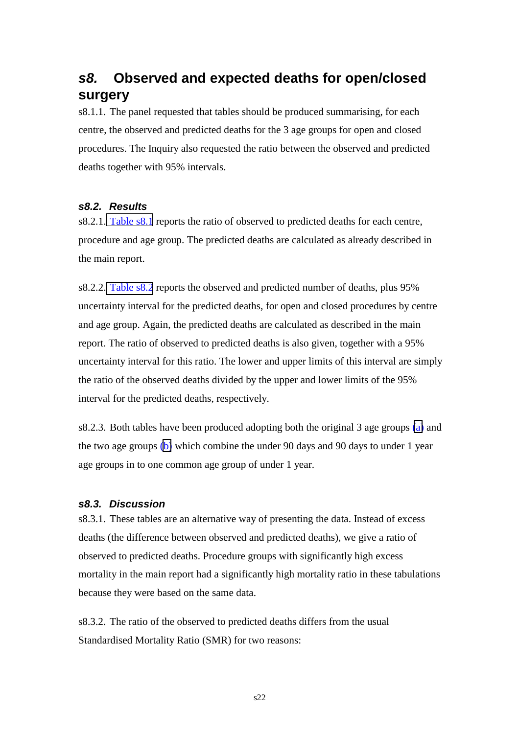# <span id="page-22-0"></span>*s8.* **Observed and expected deaths for open/closed surgery**

s8.1.1. The panel requested that tables should be produced summarising, for each centre, the observed and predicted deaths for the 3 age groups for open and closed procedures. The Inquiry also requested the ratio between the observed and predicted deaths together with 95% intervals.

### *s8.2. Results*

s8.2.1. [Table s8.1](#page-36-0) reports the ratio of observed to predicted deaths for each centre, procedure and age group. The predicted deaths are calculated as already described in the main report.

s8.2.2. [Table s8.2](#page-38-0) reports the observed and predicted number of deaths, plus 95% uncertainty interval for the predicted deaths, for open and closed procedures by centre and age group. Again, the predicted deaths are calculated as described in the main report. The ratio of observed to predicted deaths is also given, together with a 95% uncertainty interval for this ratio. The lower and upper limits of this interval are simply the ratio of the observed deaths divided by the upper and lower limits of the 95% interval for the predicted deaths, respectively.

s8.2.3. Both tables have been produced adopting both the original 3 age groups [\(a\)](#page-36-0) and the two age groups [\(b\)](#page-37-0) which combine the under 90 days and 90 days to under 1 year age groups in to one common age group of under 1 year.

#### *s8.3. Discussion*

s8.3.1. These tables are an alternative way of presenting the data. Instead of excess deaths (the difference between observed and predicted deaths), we give a ratio of observed to predicted deaths. Procedure groups with significantly high excess mortality in the main report had a significantly high mortality ratio in these tabulations because they were based on the same data.

s8.3.2. The ratio of the observed to predicted deaths differs from the usual Standardised Mortality Ratio (SMR) for two reasons: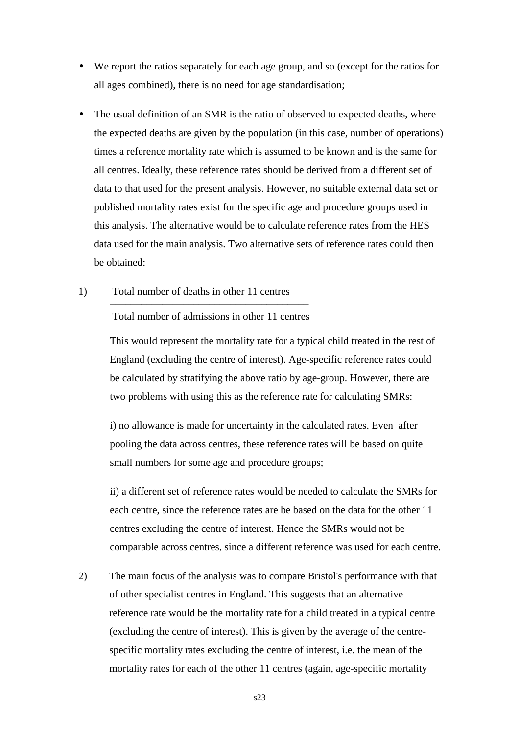- We report the ratios separately for each age group, and so (except for the ratios for all ages combined), there is no need for age standardisation;
- The usual definition of an SMR is the ratio of observed to expected deaths, where the expected deaths are given by the population (in this case, number of operations) times a reference mortality rate which is assumed to be known and is the same for all centres. Ideally, these reference rates should be derived from a different set of data to that used for the present analysis. However, no suitable external data set or published mortality rates exist for the specific age and procedure groups used in this analysis. The alternative would be to calculate reference rates from the HES data used for the main analysis. Two alternative sets of reference rates could then be obtained:
- 1) Total number of deaths in other 11 centres ––––––––––––––––––––––––––––––––––––––

Total number of admissions in other 11 centres

This would represent the mortality rate for a typical child treated in the rest of England (excluding the centre of interest). Age-specific reference rates could be calculated by stratifying the above ratio by age-group. However, there are two problems with using this as the reference rate for calculating SMRs:

i) no allowance is made for uncertainty in the calculated rates. Even after pooling the data across centres, these reference rates will be based on quite small numbers for some age and procedure groups;

ii) a different set of reference rates would be needed to calculate the SMRs for each centre, since the reference rates are be based on the data for the other 11 centres excluding the centre of interest. Hence the SMRs would not be comparable across centres, since a different reference was used for each centre.

2) The main focus of the analysis was to compare Bristol's performance with that of other specialist centres in England. This suggests that an alternative reference rate would be the mortality rate for a child treated in a typical centre (excluding the centre of interest). This is given by the average of the centrespecific mortality rates excluding the centre of interest, i.e. the mean of the mortality rates for each of the other 11 centres (again, age-specific mortality

s23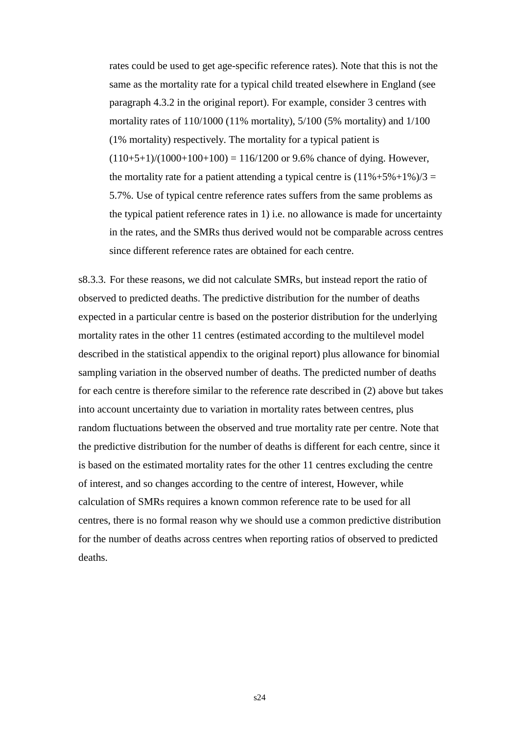rates could be used to get age-specific reference rates). Note that this is not the same as the mortality rate for a typical child treated elsewhere in England (see paragraph 4.3.2 in the original report). For example, consider 3 centres with mortality rates of 110/1000 (11% mortality), 5/100 (5% mortality) and 1/100 (1% mortality) respectively. The mortality for a typical patient is  $(110+5+1)/(1000+100+100) = 116/1200$  or 9.6% chance of dying. However, the mortality rate for a patient attending a typical centre is  $(11\% + 5\% + 1\%)/3 =$ 5.7%. Use of typical centre reference rates suffers from the same problems as the typical patient reference rates in 1) i.e. no allowance is made for uncertainty in the rates, and the SMRs thus derived would not be comparable across centres since different reference rates are obtained for each centre.

s8.3.3. For these reasons, we did not calculate SMRs, but instead report the ratio of observed to predicted deaths. The predictive distribution for the number of deaths expected in a particular centre is based on the posterior distribution for the underlying mortality rates in the other 11 centres (estimated according to the multilevel model described in the statistical appendix to the original report) plus allowance for binomial sampling variation in the observed number of deaths. The predicted number of deaths for each centre is therefore similar to the reference rate described in (2) above but takes into account uncertainty due to variation in mortality rates between centres, plus random fluctuations between the observed and true mortality rate per centre. Note that the predictive distribution for the number of deaths is different for each centre, since it is based on the estimated mortality rates for the other 11 centres excluding the centre of interest, and so changes according to the centre of interest, However, while calculation of SMRs requires a known common reference rate to be used for all centres, there is no formal reason why we should use a common predictive distribution for the number of deaths across centres when reporting ratios of observed to predicted deaths.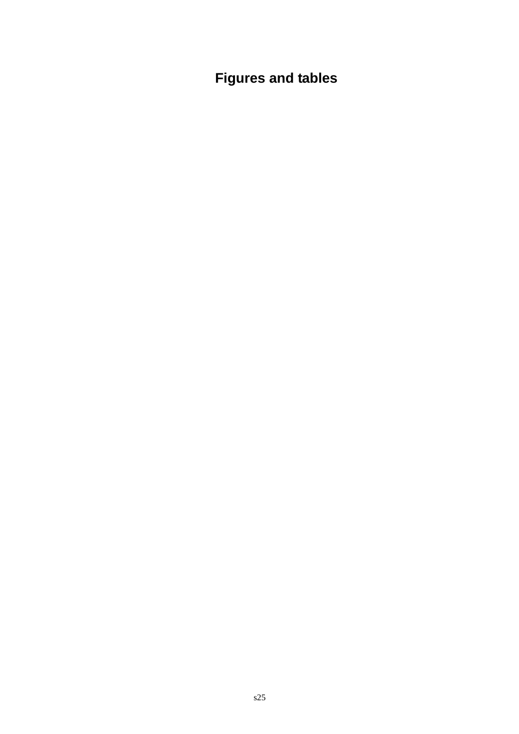<span id="page-25-0"></span>**Figures and tables**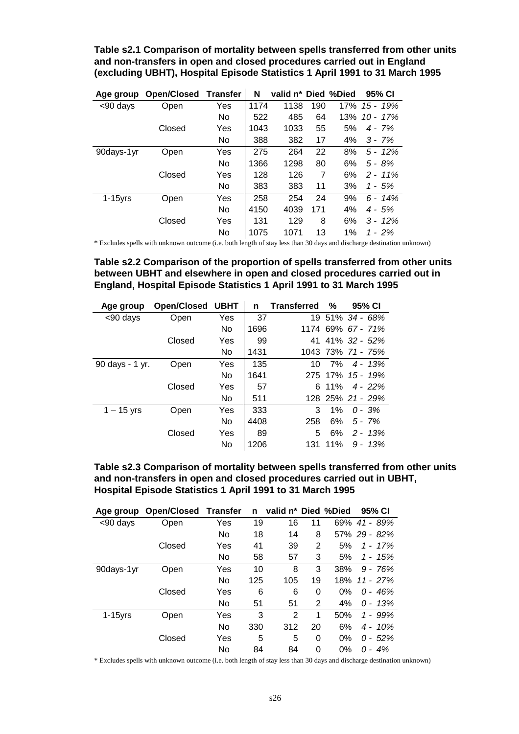<span id="page-26-0"></span>**Table s2.1 Comparison of mortality between spells transferred from other units and non-transfers in open and closed procedures carried out in England (excluding UBHT), Hospital Episode Statistics 1 April 1991 to 31 March 1995** 

| Age group  | <b>Open/Closed</b> | <b>Transfer</b> | N    | valid n* Died %Died |     |     | 95% CI      |
|------------|--------------------|-----------------|------|---------------------|-----|-----|-------------|
| <90 days   | Open               | Yes             | 1174 | 1138                | 190 | 17% | 15 - 19%    |
|            |                    | No              | 522  | 485                 | 64  | 13% | $10 - 17\%$ |
|            | Closed             | Yes             | 1043 | 1033                | 55  | 5%  | $4 - 7%$    |
|            |                    | No.             | 388  | 382                 | 17  | 4%  | $3 - 7%$    |
| 90days-1yr | Open               | Yes             | 275  | 264                 | 22  | 8%  | $5 - 12\%$  |
|            |                    | No              | 1366 | 1298                | 80  | 6%  | 5 - 8%      |
|            | Closed             | Yes             | 128  | 126                 | 7   | 6%  | $2 - 11\%$  |
|            |                    | No.             | 383  | 383                 | 11  | 3%  | 1 - 5%      |
| $1-15$ yrs | Open               | Yes             | 258  | 254                 | 24  | 9%  | $6 - 14%$   |
|            |                    | No.             | 4150 | 4039                | 171 | 4%  | 4 - 5%      |
|            | Closed             | Yes             | 131  | 129                 | 8   | 6%  | $3 - 12\%$  |
|            |                    | No              | 1075 | 1071                | 13  | 1%  | $1 - 2%$    |

\* Excludes spells with unknown outcome (i.e. both length of stay less than 30 days and discharge destination unknown)

**Table s2.2 Comparison of the proportion of spells transferred from other units between UBHT and elsewhere in open and closed procedures carried out in England, Hospital Episode Statistics 1 April 1991 to 31 March 1995** 

| Age group       | <b>Open/Closed</b> | <b>UBHT</b> | n    | <b>Transferred</b> | %     | 95% CI            |
|-----------------|--------------------|-------------|------|--------------------|-------|-------------------|
| <90 days        | Open               | Yes         | 37   |                    |       | 19 51% 34 - 68%   |
|                 |                    | No          | 1696 |                    |       | 1174 69% 67 - 71% |
|                 | Closed             | Yes         | 99   | 41                 |       | $41\%$ 32 - 52%   |
|                 |                    | No          | 1431 |                    |       | 1043 73% 71 - 75% |
| 90 days - 1 yr. | Open               | Yes         | 135  | 10                 |       | $7\%$ 4 - 13%     |
|                 |                    | No          | 1641 |                    |       | 275 17% 15 - 19%  |
|                 | Closed             | Yes         | 57   |                    | 6 11% | $4 - 22%$         |
|                 |                    | No          | 511  |                    |       | 128 25% 21 - 29%  |
| $1 - 15$ yrs    | Open               | Yes         | 333  | 3                  | $1\%$ | $0 - 3\%$         |
|                 |                    | No          | 4408 | 258                | 6%    | 5 - 7%            |
|                 | Closed             | Yes         | 89   | 5                  | 6%    | $2 - 13%$         |
|                 |                    | No          | 1206 | 131                | 11%   | $9 - 13%$         |

**Table s2.3 Comparison of mortality between spells transferred from other units and non-transfers in open and closed procedures carried out in UBHT, Hospital Episode Statistics 1 April 1991 to 31 March 1995** 

| Age group  | Open/Closed | <b>Transfer</b> | n   | valid n <sup>*</sup> Died %Died |                |       | 95% CI       |
|------------|-------------|-----------------|-----|---------------------------------|----------------|-------|--------------|
| <90 days   | Open        | Yes             | 19  | 16                              | 11             | 69%   | - 89%<br>41  |
|            |             | <b>No</b>       | 18  | 14                              | 8              |       | 57% 29 - 82% |
|            | Closed      | Yes             | 41  | 39                              | 2              | 5%    | $1 - 17\%$   |
|            |             | No              | 58  | 57                              | 3              | 5%    | $1 - 15%$    |
| 90days-1yr | Open        | Yes             | 10  | 8                               | 3              | 38%   | $9 - 76%$    |
|            |             | <b>No</b>       | 125 | 105                             | 19             | 18%   | 11 - 27%     |
|            | Closed      | Yes             | 6   | 6                               | 0              | 0%    | 0 - 46%      |
|            |             | No              | 51  | 51                              | $\overline{2}$ | 4%    | 0 - 13%      |
| $1-15$ yrs | Open        | Yes             | 3   | $\overline{2}$                  | 1              | 50%   | $1 - 99%$    |
|            |             | <b>No</b>       | 330 | 312                             | 20             | 6%    | $4 - 10\%$   |
|            | Closed      | Yes             | 5   | 5                               | 0              | $0\%$ | $0 - 52%$    |
|            |             | No              | 84  | 84                              | 0              | 0%    | $-4%$<br>0   |

\* Excludes spells with unknown outcome (i.e. both length of stay less than 30 days and discharge destination unknown)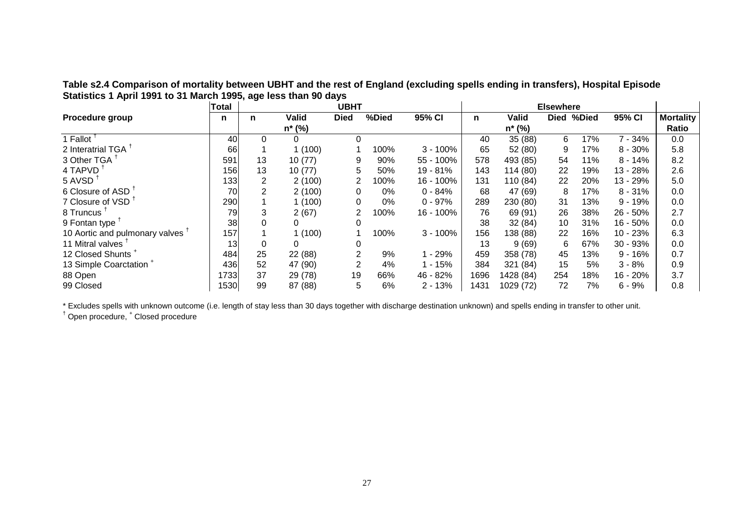<span id="page-27-0"></span>**Table s2.4 Comparison of mortality between UBHT and the rest of England (excluding spells ending in transfers), Hospital Episode Statistics 1 April 1991 to 31 March 1995, age less than 90 days** 

|                                             | <b>Total</b>     |                |         | <b>UBHT</b> |       |            |      |              | <b>Elsewhere</b> |            |            |                  |
|---------------------------------------------|------------------|----------------|---------|-------------|-------|------------|------|--------------|------------------|------------|------------|------------------|
| <b>Procedure group</b>                      | n                | n              | Valid   | <b>Died</b> | %Died | 95% CI     | n    | <b>Valid</b> |                  | Died %Died | 95% CI     | <b>Mortality</b> |
|                                             |                  |                | n* (%)  |             |       |            |      | $n*(\%)$     |                  |            |            | Ratio            |
| 1 Fallot                                    | 40               | 0              | 0       | $\Omega$    |       |            | 40   | 35 (88)      | 6                | 17%        | $7 - 34%$  | 0.0              |
| 2 Interatrial TGA                           | 66               |                | (100)   |             | 100%  | $3 - 100%$ | 65   | 52 (80)      | 9                | 17%        | $8 - 30%$  | 5.8              |
| 3 Other TGA                                 | 591              | 13             | 10(77)  | 9           | 90%   | 55 - 100%  | 578  | 493 (85)     | 54               | 11%        | $8 - 14%$  | 8.2              |
| 4 TAPVD                                     | 156              | 13             | 10(77)  | 5           | 50%   | 19 - 81%   | 143  | 114(80)      | 22               | 19%        | 13 - 28%   | 2.6              |
| 5 AVSD                                      | 133 <sub>l</sub> | $\overline{2}$ | 2(100)  |             | 100%  | 16 - 100%  | 131  | 110 (84)     | 22               | 20%        | 13 - 29%   | 5.0              |
| 6 Closure of ASD <sup>1</sup>               | 70               | $\overline{2}$ | 2(100)  | 0           | 0%    | $0 - 84%$  | 68   | 47 (69)      | 8                | 17%        | $8 - 31%$  | 0.0              |
| 7 Closure of VSD <sup>1</sup>               | 290              |                | (100)   | 0           | 0%    | $0 - 97%$  | 289  | 230 (80)     | 31               | 13%        | $9 - 19%$  | 0.0              |
| 8 Truncus                                   | 79               | 3              | 2(67)   |             | 100%  | 16 - 100%  | 76   | 69 (91)      | 26               | 38%        | 26 - 50%   | 2.7              |
| 9 Fontan type                               | 38               |                |         | 0           |       |            | 38   | 32(84)       | 10               | 31%        | $16 - 50%$ | 0.0              |
| 10 Aortic and pulmonary valves <sup>1</sup> | 157              |                | (100)   |             | 100%  | $3 - 100%$ | 156  | 138 (88)     | 22               | 16%        | 10 - 23%   | 6.3              |
| 11 Mitral valves                            | 13               |                |         | 0           |       |            | 13   | 9(69)        | 6                | 67%        | 30 - 93%   | 0.0              |
| 12 Closed Shunts <sup>1</sup>               | 484              | 25             | 22 (88) | 2           | 9%    | $-29%$     | 459  | 358 (78)     | 45               | 13%        | $9 - 16%$  | 0.7              |
| 13 Simple Coarctation <sup>+</sup>          | 436              | 52             | 47 (90) | 2           | 4%    | $-15%$     | 384  | 321 (84)     | 15               | 5%         | $3 - 8%$   | 0.9              |
| 88 Open                                     | 1733             | 37             | 29 (78) | 19          | 66%   | 46 - 82%   | 1696 | 1428 (84)    | 254              | 18%        | 16 - 20%   | 3.7              |
| 99 Closed                                   | 1530             | 99             | 87 (88) | 5           | 6%    | $2 - 13%$  | 1431 | 1029 (72)    | 72               | 7%         | $6 - 9%$   | 0.8              |

\* Excludes spells with unknown outcome (i.e. length of stay less than 30 days together with discharge destination unknown) and spells ending in transfer to other unit.

† Open procedure, + Closed procedure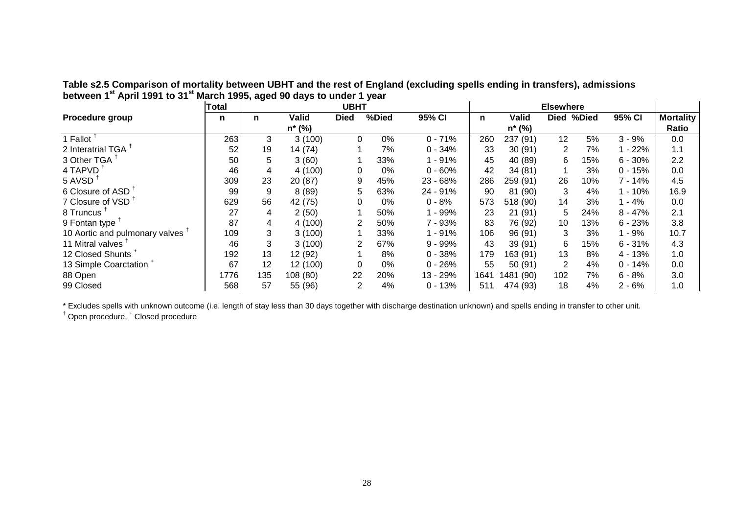|                                    | <b>Total</b> |     |              | <b>UBHT</b>    |       |            |      |              | <b>Elsewhere</b> |            |           |                  |
|------------------------------------|--------------|-----|--------------|----------------|-------|------------|------|--------------|------------------|------------|-----------|------------------|
| Procedure group                    | n            | n   | <b>Valid</b> | <b>Died</b>    | %Died | 95% CI     | n    | <b>Valid</b> |                  | Died %Died | 95% CI    | <b>Mortality</b> |
|                                    |              |     | $n*(\%)$     |                |       |            |      | n* (%)       |                  |            |           | Ratio            |
| 1 Fallot                           | 263          | 3   | 3(100)       | $\Omega$       | 0%    | $0 - 71%$  | 260  | 237 (91)     | 12               | 5%         | $3 - 9%$  | 0.0              |
| 2 Interatrial TGA                  | 52           | 19  | 14 (74)      |                | 7%    | $0 - 34%$  | 33   | 30(91)       | $\overline{2}$   | 7%         | $-22%$    | 1.1              |
| 3 Other TGA                        | 50           | 5   | 3(60)        |                | 33%   | $1 - 91%$  | 45   | 40 (89)      | 6                | 15%        | $6 - 30%$ | 2.2              |
| 4 TAPVD                            | 46           | 4   | 4(100)       | $\Omega$       | 0%    | $0 - 60%$  | 42   | 34(81)       |                  | 3%         | $0 - 15%$ | 0.0              |
| 5 AVSD                             | 309          | 23  | 20 (87)      | 9              | 45%   | 23 - 68%   | 286  | 259 (91)     | 26               | 10%        | ' - 14%   | 4.5              |
| 6 Closure of ASD <sup>1</sup>      | 99           | 9   | 8(89)        | 5              | 63%   | 24 - 91%   | 90   | 81 (90)      | 3                | 4%         | $-10%$    | 16.9             |
| 7 Closure of VSD <sup>1</sup>      | 629          | 56  | 42 (75)      |                | 0%    | $0 - 8%$   | 573  | 518 (90)     | 14               | 3%         | $-4%$     | 0.0              |
| 8 Truncus <sup>1</sup>             | 27           | 4   | 2(50)        |                | 50%   | $1 - 99%$  | 23   | 21(91)       | 5                | 24%        | $8 - 47%$ | 2.1              |
| 9 Fontan type                      | 87           | 4   | 4(100)       |                | 50%   | 7 - 93%    | 83   | 76 (92)      | 10               | 13%        | $6 - 23%$ | 3.8              |
| 10 Aortic and pulmonary valves     | 109          | 3   | 3(100)       |                | 33%   | $1 - 91%$  | 106  | 96 (91)      | 3                | 3%         | $-9%$     | 10.7             |
| 11 Mitral valves <sup>1</sup>      | 46           | 3   | 3(100)       |                | 67%   | $9 - 99\%$ | 43   | 39 (91)      | 6                | 15%        | $6 - 31%$ | 4.3              |
| 12 Closed Shunts <sup>+</sup>      | 192          | 13  | 12 (92)      |                | 8%    | $0 - 38%$  | 179  | 163 (91)     | 13               | 8%         | $4 - 13%$ | 1.0              |
| 13 Simple Coarctation <sup>+</sup> | 67           | 12  | 12 (100)     | 0              | 0%    | $0 - 26%$  | 55   | 50(91)       | 2                | 4%         | $0 - 14%$ | 0.0              |
| 88 Open                            | 1776         | 135 | 108 (80)     | 22             | 20%   | 13 - 29%   | 1641 | 1481 (90)    | 102              | 7%         | $6 - 8%$  | 3.0              |
| 99 Closed                          | 568          | 57  | 55 (96)      | $\overline{2}$ | 4%    | $0 - 13%$  | 511  | 474 (93)     | 18               | 4%         | $2 - 6%$  | 1.0              |

<span id="page-28-0"></span>**Table s2.5 Comparison of mortality between UBHT and the rest of England (excluding spells ending in transfers), admissions between 1st April 1991 to 31st March 1995, aged 90 days to under 1 year** 

\* Excludes spells with unknown outcome (i.e. length of stay less than 30 days together with discharge destination unknown) and spells ending in transfer to other unit.

† Open procedure, + Closed procedure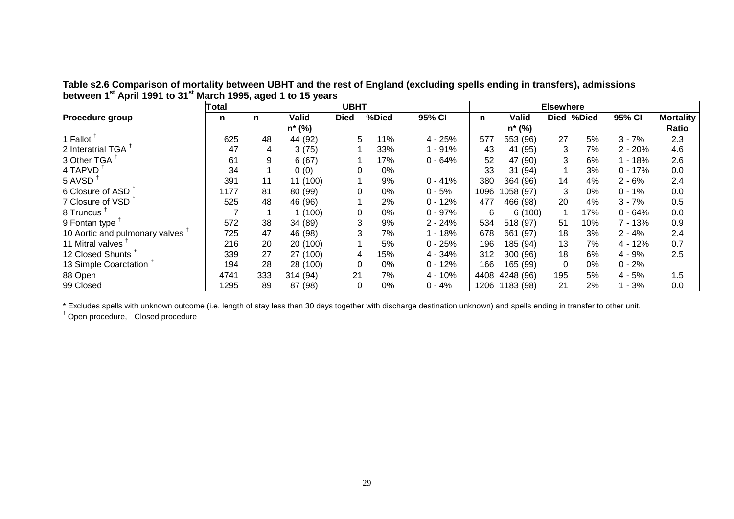<span id="page-29-0"></span>

| Table s2.6 Comparison of mortality between UBHT and the rest of England (excluding spells ending in transfers), admissions |  |
|----------------------------------------------------------------------------------------------------------------------------|--|
| between 1 <sup>st</sup> April 1991 to 31 <sup>st</sup> March 1995, aged 1 to 15 years                                      |  |

|                                    | <b>Total</b> |     |          | <b>UBHT</b> |       |           |      |           | <b>Elsewhere</b> |            |           |                  |
|------------------------------------|--------------|-----|----------|-------------|-------|-----------|------|-----------|------------------|------------|-----------|------------------|
| Procedure group                    | n            | n   | Valid    | <b>Died</b> | %Died | 95% CI    | n    | Valid     |                  | Died %Died | 95% CI    | <b>Mortality</b> |
|                                    |              |     | n* (%)   |             |       |           |      | n* (%)    |                  |            |           | Ratio            |
| 1 Fallot                           | 625          | 48  | 44 (92)  | 5           | 11%   | $4 - 25%$ | 577  | 553 (96)  | 27               | 5%         | $3 - 7%$  | 2.3              |
| 2 Interatrial TGA <sup>1</sup>     | 47           | 4   | 3(75)    |             | 33%   | $1 - 91%$ | 43   | 41 (95)   | 3                | 7%         | $2 - 20%$ | 4.6              |
| 3 Other TGA                        | 61           | 9   | 6(67)    |             | 17%   | $0 - 64%$ | 52   | 47 (90)   | 3                | 6%         | $-18%$    | 2.6              |
| 4 TAPVD                            | 34           |     | 0(0)     | $\Omega$    | 0%    |           | 33   | 31 (94)   |                  | 3%         | $0 - 17%$ | 0.0              |
| 5 AVSD                             | 391          | 11  | 11 (100) |             | 9%    | $0 - 41%$ | 380  | 364 (96)  | 14               | 4%         | $2 - 6%$  | 2.4              |
| 6 Closure of ASD                   | 1177         | 81  | 80 (99)  | 0           | 0%    | $0 - 5%$  | 1096 | 1058 (97) | 3                | 0%         | $0 - 1%$  | 0.0              |
| 7 Closure of VSD <sup>1</sup>      | 525          | 48  | 46 (96)  |             | 2%    | $0 - 12%$ | 477  | 466 (98)  | 20               | 4%         | $3 - 7%$  | 0.5              |
| 8 Truncus <sup>1</sup>             |              |     | 1(100)   | 0           | 0%    | $0 - 97%$ | 6    | 6(100)    |                  | 17%        | $0 - 64%$ | 0.0              |
| 9 Fontan type                      | 572          | 38  | 34 (89)  | 3           | 9%    | $2 - 24%$ | 534  | 518 (97)  | 51               | 10%        | $7 - 13%$ | 0.9              |
| 10 Aortic and pulmonary valves     | 725          | 47  | 46 (98)  | 3           | 7%    | 1 - 18%   | 678  | 661 (97)  | 18               | 3%         | $2 - 4%$  | 2.4              |
| 11 Mitral valves                   | 216          | 20  | 20 (100) |             | 5%    | $0 - 25%$ | 196  | 185 (94)  | 13               | 7%         | $4 - 12%$ | 0.7              |
| 12 Closed Shunts <sup>+</sup>      | 339          | 27  | 27 (100) | 4           | 15%   | $4 - 34%$ | 312  | 300 (96)  | 18               | 6%         | $4 - 9%$  | 2.5              |
| 13 Simple Coarctation <sup>+</sup> | 194          | 28  | 28 (100) | 0           | 0%    | $0 - 12%$ | 166  | 165 (99)  | 0                | 0%         | $0 - 2%$  |                  |
| 88 Open                            | 4741         | 333 | 314 (94) | 21          | 7%    | $4 - 10%$ | 4408 | 4248 (96) | 195              | 5%         | $4 - 5%$  | 1.5              |
| 99 Closed                          | 1295         | 89  | 87 (98)  | 0           | 0%    | $0 - 4%$  | 1206 | 1183 (98) | 21               | 2%         | $-3%$     | 0.0              |

\* Excludes spells with unknown outcome (i.e. length of stay less than 30 days together with discharge destination unknown) and spells ending in transfer to other unit.

<sup>†</sup> Open procedure, <sup>+</sup> Closed procedure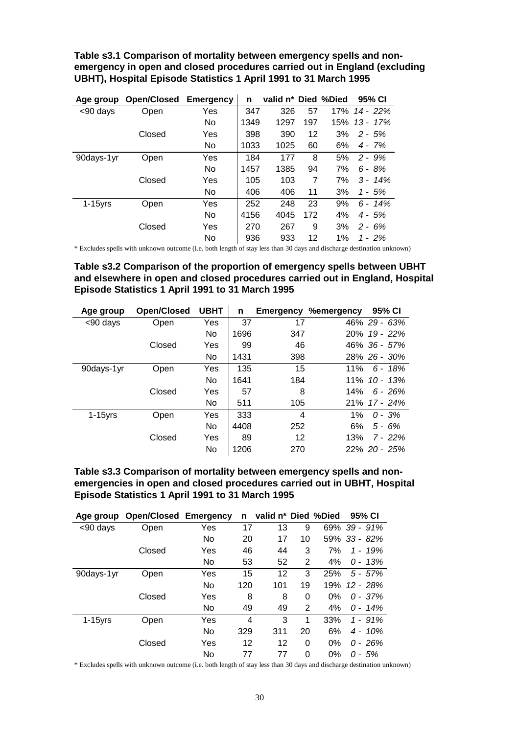<span id="page-30-0"></span>**Table s3.1 Comparison of mortality between emergency spells and nonemergency in open and closed procedures carried out in England (excluding UBHT), Hospital Episode Statistics 1 April 1991 to 31 March 1995** 

| Age group  | <b>Open/Closed</b> | <b>Emergency</b> | n    | valid n* Died %Died |     |     | 95% CI      |
|------------|--------------------|------------------|------|---------------------|-----|-----|-------------|
| <90 days   | Open               | Yes              | 347  | 326                 | 57  | 17% | 14 - 22%    |
|            |                    | No               | 1349 | 1297                | 197 | 15% | $13 - 17\%$ |
|            | Closed             | Yes              | 398  | 390                 | 12  | 3%  | $2 - 5%$    |
|            |                    | No               | 1033 | 1025                | 60  | 6%  | 4 - 7%      |
| 90days-1yr | Open               | Yes              | 184  | 177                 | 8   | 5%  | $2 - 9%$    |
|            |                    | No               | 1457 | 1385                | 94  | 7%  | $6 - 8%$    |
|            | Closed             | Yes              | 105  | 103                 | 7   | 7%  | $3 - 14\%$  |
|            |                    | No               | 406  | 406                 | 11  | 3%  | 1 - 5%      |
| $1-15$ yrs | Open               | Yes              | 252  | 248                 | 23  | 9%  | $6 - 14\%$  |
|            |                    | No               | 4156 | 4045                | 172 | 4%  | $4 - 5%$    |
|            | Closed             | Yes              | 270  | 267                 | 9   | 3%  | $2 - 6%$    |
|            |                    | No               | 936  | 933                 | 12  | 1%  | $1 - 2\%$   |

\* Excludes spells with unknown outcome (i.e. both length of stay less than 30 days and discharge destination unknown)

**Table s3.2 Comparison of the proportion of emergency spells between UBHT and elsewhere in open and closed procedures carried out in England, Hospital Episode Statistics 1 April 1991 to 31 March 1995** 

| Age group  | <b>Open/Closed</b> | <b>UBHT</b> | n    | Emergency | <b>%emergency</b> | 95% CI          |
|------------|--------------------|-------------|------|-----------|-------------------|-----------------|
| <90 days   | Open               | Yes         | 37   | 17        |                   | 46% 29 - 63%    |
|            |                    | No          | 1696 | 347       |                   | $20\%$ 19 - 22% |
|            | Closed             | Yes         | 99   | 46        |                   | 46% 36 - 57%    |
|            |                    | No          | 1431 | 398       |                   | 28% 26 - 30%    |
| 90days-1yr | Open               | Yes         | 135  | 15        | 11%               | $6 - 18%$       |
|            |                    | No          | 1641 | 184       |                   | $11\%$ 10 - 13% |
|            | Closed             | Yes         | 57   | 8         | 14%               | $6 - 26%$       |
|            |                    | No          | 511  | 105       |                   | $21\%$ 17 - 24% |
| $1-15$ yrs | Open               | Yes         | 333  | 4         | $1\%$             | $0 - 3%$        |
|            |                    | No          | 4408 | 252       | 6%                | $5 - 6%$        |
|            | Closed             | Yes         | 89   | 12        | 13%               | $7 - 22%$       |
|            |                    | No          | 1206 | 270       |                   | 22% 20 - 25%    |

**Table s3.3 Comparison of mortality between emergency spells and nonemergencies in open and closed procedures carried out in UBHT, Hospital Episode Statistics 1 April 1991 to 31 March 1995** 

| Age group  | <b>Open/Closed Emergency</b> |     | n   | valid n* Died %Died |                |     | 95% CI       |
|------------|------------------------------|-----|-----|---------------------|----------------|-----|--------------|
| <90 days   | Open                         | Yes | 17  | 13                  | 9              | 69% | $39 - 91%$   |
|            |                              | No  | 20  | 17                  | 10             |     | 59% 33 - 82% |
|            | Closed                       | Yes | 46  | 44                  | 3              | 7%  | $1 - 19%$    |
|            |                              | No  | 53  | 52                  | $\overline{2}$ | 4%  | $0 - 13%$    |
| 90days-1yr | Open                         | Yes | 15  | 12                  | 3              | 25% | $5 - 57%$    |
|            |                              | No  | 120 | 101                 | 19             | 19% | 12 - 28%     |
|            | Closed                       | Yes | 8   | 8                   | 0              | 0%  | $0 - 37%$    |
|            |                              | No  | 49  | 49                  | 2              | 4%  | $0 - 14\%$   |
| $1-15$ yrs | Open                         | Yes | 4   | 3                   | 1              | 33% | $1 - 91\%$   |
|            |                              | No  | 329 | 311                 | 20             | 6%  | $4 - 10\%$   |
|            | Closed                       | Yes | 12  | 12                  | 0              | 0%  | $0 - 26%$    |
|            |                              | No  | 77  | 77                  | 0              | 0%  | $0 - 5%$     |

\* Excludes spells with unknown outcome (i.e. both length of stay less than 30 days and discharge destination unknown)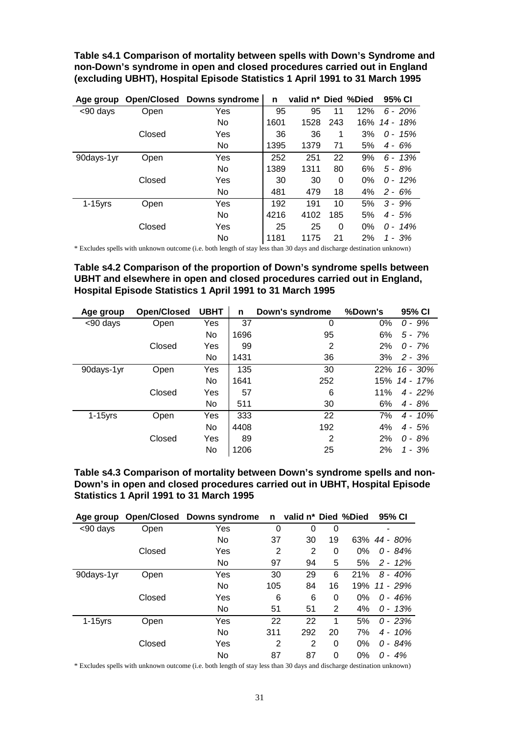<span id="page-31-0"></span>**Table s4.1 Comparison of mortality between spells with Down's Syndrome and non-Down's syndrome in open and closed procedures carried out in England (excluding UBHT), Hospital Episode Statistics 1 April 1991 to 31 March 1995** 

| Age group  | Open/Closed | <b>Downs syndrome</b> | n    | valid n* Died %Died |          |       | 95% CI     |
|------------|-------------|-----------------------|------|---------------------|----------|-------|------------|
| <90 days   | Open        | Yes                   | 95   | 95                  | 11       | 12%   | $6 - 20%$  |
|            |             | No                    | 1601 | 1528                | 243      | 16%   | 14 - 18%   |
|            | Closed      | Yes                   | 36   | 36                  | 1        | 3%    | $0 - 15%$  |
|            |             | No                    | 1395 | 1379                | 71       | 5%    | $4 - 6%$   |
| 90days-1yr | Open        | Yes                   | 252  | 251                 | 22       | 9%    | $6 - 13%$  |
|            |             | No                    | 1389 | 1311                | 80       | 6%    | $5 - 8%$   |
|            | Closed      | Yes                   | 30   | 30                  | $\Omega$ | 0%    | $0 - 12\%$ |
|            |             | No                    | 481  | 479                 | 18       | 4%    | $2 - 6%$   |
| $1-15$ yrs | Open        | Yes                   | 192  | 191                 | 10       | 5%    | $3 - 9%$   |
|            |             | <b>No</b>             | 4216 | 4102                | 185      | 5%    | $4 - 5%$   |
|            | Closed      | Yes                   | 25   | 25                  | 0        | $0\%$ | $0 - 14\%$ |
|            |             | No                    | 1181 | 1175                | 21       | 2%    | 1 - 3%     |

\* Excludes spells with unknown outcome (i.e. both length of stay less than 30 days and discharge destination unknown)

**Table s4.2 Comparison of the proportion of Down's syndrome spells between UBHT and elsewhere in open and closed procedures carried out in England, Hospital Episode Statistics 1 April 1991 to 31 March 1995** 

| Age group  | <b>Open/Closed</b> | <b>UBHT</b> | n    | Down's syndrome | %Down's | 95% CI          |
|------------|--------------------|-------------|------|-----------------|---------|-----------------|
| <90 days   | Open               | Yes         | 37   | 0               | 0%      | $0 - 9%$        |
|            |                    | No          | 1696 | 95              | 6%      | $5 - 7%$        |
|            | Closed             | Yes         | 99   | 2               | 2%      | $0 - 7\%$       |
|            |                    | No          | 1431 | 36              | 3%      | $2 - 3%$        |
| 90days-1yr | Open               | Yes         | 135  | 30              |         | $22\%$ 16 - 30% |
|            |                    | No          | 1641 | 252             |         | 15% 14 - 17%    |
|            | Closed             | Yes         | 57   | 6               | 11%     | $4 - 22%$       |
|            |                    | No          | 511  | 30              | 6%      | $4 - 8%$        |
| $1-15$ yrs | Open               | Yes         | 333  | 22              | 7%      | $4 - 10\%$      |
|            |                    | No          | 4408 | 192             | 4%      | $4 - 5%$        |
|            | Closed             | Yes         | 89   | 2               | 2%      | $0 - 8%$        |
|            |                    | No          | 1206 | 25              | 2%      | 1 - 3%          |

**Table s4.3 Comparison of mortality between Down's syndrome spells and non-Down's in open and closed procedures carried out in UBHT, Hospital Episode Statistics 1 April 1991 to 31 March 1995** 

| Age group  |        | <b>Open/Closed Downs syndrome</b> | n   | valid n* Died %Died |    |       | 95% CI       |
|------------|--------|-----------------------------------|-----|---------------------|----|-------|--------------|
| <90 days   | Open   | Yes                               | 0   | 0                   | 0  |       |              |
|            |        | No                                | 37  | 30                  | 19 |       | 63% 44 - 80% |
|            | Closed | Yes                               | 2   | 2                   | 0  | 0%    | $0 - 84%$    |
|            |        | No                                | 97  | 94                  | 5  | 5%    | $2 - 12\%$   |
| 90days-1yr | Open   | Yes                               | 30  | 29                  | 6  | 21%   | $8 - 40\%$   |
|            |        | No                                | 105 | 84                  | 16 | 19%   | 11 - 29%     |
|            | Closed | Yes                               | 6   | 6                   | 0  | $0\%$ | $0 - 46%$    |
|            |        | No                                | 51  | 51                  | 2  | 4%    | $0 - 13%$    |
| $1-15$ yrs | Open   | Yes                               | 22  | 22                  | 1  | 5%    | $0 - 23%$    |
|            |        | No                                | 311 | 292                 | 20 | 7%    | $4 - 10\%$   |
|            | Closed | Yes                               | 2   | $\overline{2}$      | 0  | 0%    | $0 - 84%$    |
|            |        | No                                | 87  | 87                  | 0  | 0%    | 0 -<br>4%    |

\* Excludes spells with unknown outcome (i.e. both length of stay less than 30 days and discharge destination unknown)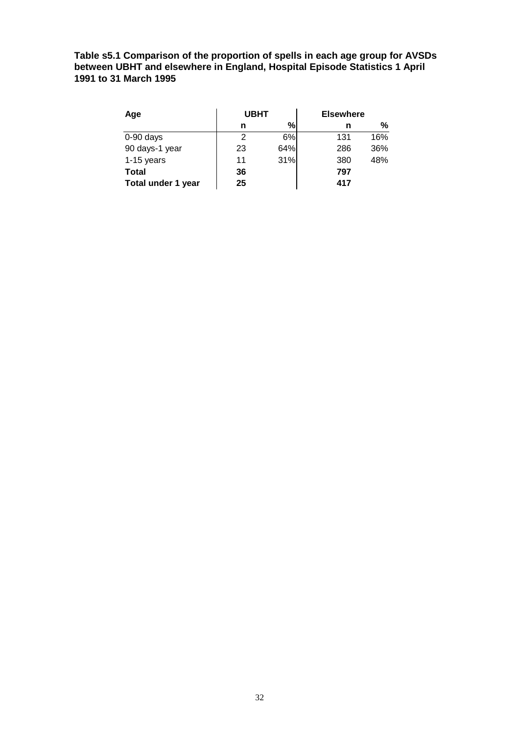<span id="page-32-0"></span>**Table s5.1 Comparison of the proportion of spells in each age group for AVSDs between UBHT and elsewhere in England, Hospital Episode Statistics 1 April 1991 to 31 March 1995** 

| Age                | <b>UBHT</b> |     | <b>Elsewhere</b> |     |  |  |  |
|--------------------|-------------|-----|------------------|-----|--|--|--|
|                    | n           | %   | n                | %   |  |  |  |
| $0-90$ days        | 2           | 6%  | 131              | 16% |  |  |  |
| 90 days-1 year     | 23          | 64% | 286              | 36% |  |  |  |
| $1-15$ years       | 11          | 31% | 380              | 48% |  |  |  |
| Total              | 36          |     | 797              |     |  |  |  |
| Total under 1 year | 25          |     | 417              |     |  |  |  |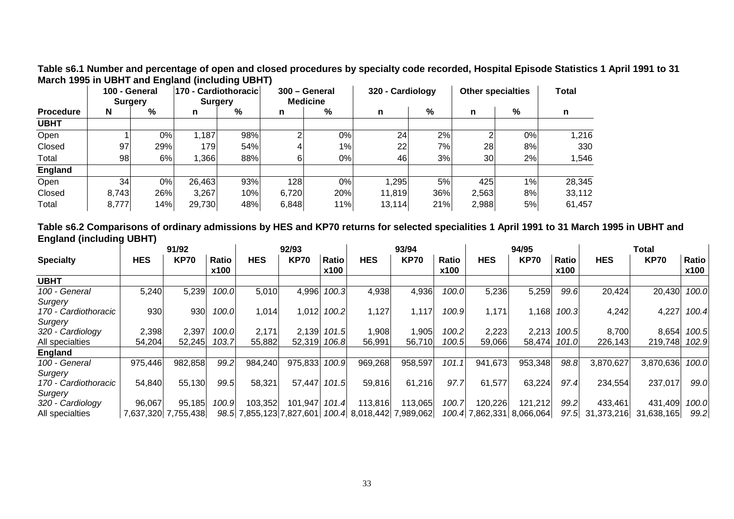<span id="page-33-0"></span>**Table s6.1 Number and percentage of open and closed procedures by specialty code recorded, Hospital Episode Statistics 1 April 1991 to 31 March 1995 in UBHT and England (including UBHT)** 

|                  |       | 100 - General<br>Surgery |        | 170 - Cardiothoracic<br><b>Surgery</b> |       | 300 - General<br><b>Medicine</b> | 320 - Cardiology |     |       | <b>Other specialties</b> | Total  |
|------------------|-------|--------------------------|--------|----------------------------------------|-------|----------------------------------|------------------|-----|-------|--------------------------|--------|
| <b>Procedure</b> | N     | %                        | n      | %                                      | n     | %                                | n                | %   | n     | %                        | n      |
| <b>UBHT</b>      |       |                          |        |                                        |       |                                  |                  |     |       |                          |        |
| Open             |       | 0%                       | 1,187  | 98%                                    |       | 0%                               | 24               | 2%  |       | 0%                       | 1,216  |
| Closed           | 97    | 29%                      | 179    | 54%                                    |       | 1%                               | 22               | 7%  | 28    | 8%                       | 330    |
| Total            | 98    | 6%                       | 1,366  | 88%                                    |       | 0%                               | 46               | 3%  | 30    | 2%                       | 1,546  |
| England          |       |                          |        |                                        |       |                                  |                  |     |       |                          |        |
| Open             | 34    | 0%                       | 26,463 | 93%                                    | 128   | $0\%$                            | 1.295            | 5%  | 425   | 1%                       | 28,345 |
| Closed           | 8,743 | 26%                      | 3,267  | 10%                                    | 6,720 | 20%                              | 11,819           | 36% | 2,563 | 8%                       | 33,112 |
| Total            | 8,777 | 14%                      | 29,730 | 48%                                    | 6,848 | 11%                              | 13,114           | 21% | 2,988 | 5%                       | 61,457 |

**Table s6.2 Comparisons of ordinary admissions by HES and KP70 returns for selected specialities 1 April 1991 to 31 March 1995 in UBHT and England (including UBHT)**

|                      |            | 91/92       | 92/93                |            |             | 93/94         |                                                    | 94/95       |               |                           | Total       |                      |            |             |               |
|----------------------|------------|-------------|----------------------|------------|-------------|---------------|----------------------------------------------------|-------------|---------------|---------------------------|-------------|----------------------|------------|-------------|---------------|
| <b>Specialty</b>     | <b>HES</b> | <b>KP70</b> | <b>Ratio</b><br>x100 | <b>HES</b> | <b>KP70</b> | Ratio<br>x100 | <b>HES</b>                                         | <b>KP70</b> | Ratio<br>x100 | <b>HES</b>                | <b>KP70</b> | <b>Ratio</b><br>x100 | <b>HES</b> | <b>KP70</b> | Ratio<br>x100 |
| <b>UBHT</b>          |            |             |                      |            |             |               |                                                    |             |               |                           |             |                      |            |             |               |
| 100 - General        | 5,240      | 5,239       | 100.0                | 5,010      | 4,996       | 100.3         | 4,938                                              | 4,936       | 100.0         | 5,236                     | 5,259       | 99.6                 | 20,424     | 20,430      | 100.0         |
| Surgery              |            |             |                      |            |             |               |                                                    |             |               |                           |             |                      |            |             |               |
| 170 - Cardiothoracic | 930        | 930         | 100.0                | 1,0141     | 1,012       | 100.2         | 1,127                                              | 1,117       | 100.9         | 1,171                     | 1.168       | 100.3                | 4,242      | 4,227       | 100.4         |
| Surgery              |            |             |                      |            |             |               |                                                    |             |               |                           |             |                      |            |             |               |
| 320 - Cardiology     | 2,398      | 2,397       | 100.0                | 2,171      | 2,139       | 101.5         | 1,908                                              | 1,905       | 100.2         | 2,223                     | 2,213       | 100.5                | 8,700      | 8,654       | 100.5         |
| All specialties      | 54,204     | 52,245      | 103.7                | 55,882     | 52,319      | 106.8         | 56,991                                             | 56,710      | 100.5         | 59,066                    | 58,474      | 101.0                | 226,143    | 219,748     | 102.9         |
| <b>England</b>       |            |             |                      |            |             |               |                                                    |             |               |                           |             |                      |            |             |               |
| 100 - General        | 975,446    | 982,858     | 99.2                 | 984,240    | 975,833     | 100.9         | 969,268                                            | 958,597     | 101.1         | 941,673                   | 953,348     | 98.8                 | 3,870,627  | 3,870,636   | 100.0         |
| Surgery              |            |             |                      |            |             |               |                                                    |             |               |                           |             |                      |            |             |               |
| 170 - Cardiothoracic | 54,840     | 55,130      | 99.5                 | 58,321     | 57,447      | 101.5         | 59,816                                             | 61,216      | 97.7          | 61,577                    | 63,224      | 97.4                 | 234,554    | 237,017     | 99.0          |
| Surgery              |            |             |                      |            |             |               |                                                    |             |               |                           |             |                      |            |             |               |
| 320 - Cardiology     | 96,067     | 95,185      | 100.9                | 103,352    | 101,947     | 101.4         | 113,816                                            | 113,065     | 100.7         | 120,226                   | 121,212     | 99.2                 | 433,461    | 431,409     | 100.0         |
| All specialties      | 7.637.320  | 7,755,438   |                      |            |             |               | 98.5 7,855,123 7,827,601 100.4 8,018,442 7,989,062 |             |               | 100.4 7,862,331 8,066,064 |             | 97.5                 | 31,373,216 | 31,638,165  | 99.2          |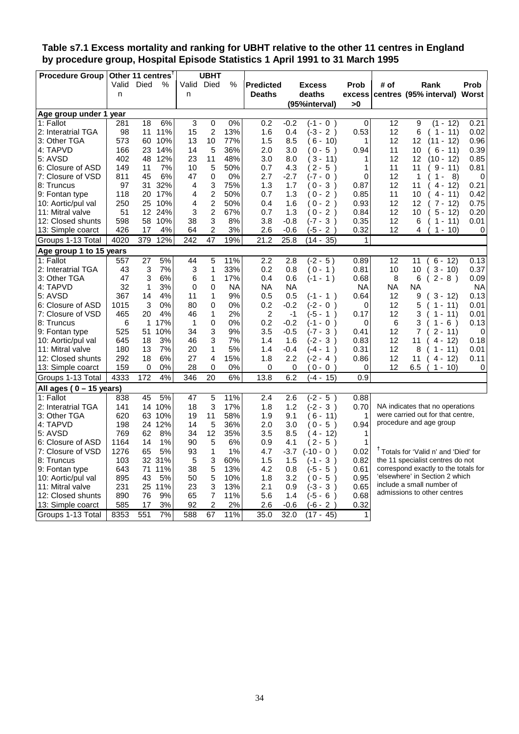### <span id="page-34-0"></span>**Table s7.1 Excess mortality and ranking for UBHT relative to the other 11 centres in England by procedure group, Hospital Episode Statistics 1 April 1991 to 31 March 1995**

| <b>Procedure Group</b>     | Other 11 centres |                   |        |             | <b>UBHT</b>    |           |                  |           |                          |                  |           |                |                                                  |           |
|----------------------------|------------------|-------------------|--------|-------------|----------------|-----------|------------------|-----------|--------------------------|------------------|-----------|----------------|--------------------------------------------------|-----------|
|                            | Valid            | Died              | $\%$   |             | Valid Died     | %         | <b>Predicted</b> |           | <b>Excess</b>            | Prob             | # of      |                | Rank                                             | Prob      |
|                            | n                |                   |        | n           |                |           | <b>Deaths</b>    |           | deaths                   | excess           |           |                | centres (95% interval)                           | Worst     |
|                            |                  |                   |        |             |                |           |                  |           | (95%interval)            | >0               |           |                |                                                  |           |
| Age group under 1 year     |                  |                   |        |             |                |           |                  |           |                          |                  |           |                |                                                  |           |
| 1: Fallot                  | 281              | 18                | 6%     | 3           | 0              | 0%        | 0.2              | $-0.2$    | $(-1 - 0)$               | 0                | 12        | 9              | (1 -<br>12)                                      | 0.21      |
| 2: Interatrial TGA         | 98               | 11                | 11%    | 15          | 2              | 13%       | 1.6              | 0.4       | $(-3 - 2)$               | 0.53             | 12        | 6              | $(1 - 11)$                                       | 0.02      |
| 3: Other TGA               | 573              | 60                | 10%    | 13          | 10             | 77%       | 1.5              | 8.5       | $6 - 10$                 | 1                | 12        | 12             | $(11 - 12)$                                      | 0.96      |
| 4: TAPVD                   | 166              | 23                | 14%    | 14          | 5              | 36%       | 2.0              | 3.0       | (0-5)                    | 0.94             | 11        | 10             | 6 -<br>11)                                       | 0.39      |
| 5: AVSD                    | 402              | 48                | 12%    | 23          | 11             | 48%       | 3.0              | 8.0       | $3 - 11$                 | 1                | 12        | 12             | $(10 - 12)$                                      | 0.85      |
| 6: Closure of ASD          | 149              | 11                | 7%     | 10          | 5              | 50%       | 0.7              | 4.3       | $2 - 5$ )                | 1                | 11        | 11             | 9 -<br>11)                                       | 0.81      |
| 7: Closure of VSD          | 811              | 45                | 6%     | 47          | $\Omega$       | 0%        | 2.7              | $-2.7$    | (-7 - 0<br>$\rightarrow$ | 0                | 12        | 1              | $1 -$<br>8)                                      | 0         |
| 8: Truncus                 | 97               | 31                | 32%    | 4           | 3              | 75%       | 1.3              | 1.7       | (0-3 )                   | 0.87             | 12        | 11             | 4 -<br>12)                                       | 0.21      |
| 9: Fontan type             | 118              | 20                | 17%    | 4           | $\overline{2}$ | 50%       | 0.7              | 1.3       | $0 - 2$ )                | 0.85             | 11        | 10             | $4 -$<br>11)                                     | 0.42      |
| 10: Aortic/pul val         | 250              | 25                | 10%    | 4           | $\overline{c}$ | 50%       | 0.4              | 1.6       | $0 - 2)$                 | 0.93             | 12        | 12             | 7 -<br>12)                                       | 0.75      |
| 11: Mitral valve           | 51               | $12 \overline{ }$ | 24%    | 3           | $\overline{2}$ | 67%       | 0.7              | 1.3       | $0 - 2$                  | 0.84             | 12        | 10             | $5 - 12$                                         | 0.20      |
| 12: Closed shunts          | 598              | 58                | 10%    | 38          | 3              | 8%        | 3.8              | $-0.8$    | (-7 - 3)                 | 0.35             | 12        | 6              | $1 -$<br>11)                                     | 0.01      |
| 13: Simple coarct          | 426              | 17                | 4%     | 64          | 2              | 3%        | 2.6              | $-0.6$    | $(-5 - 2)$               | 0.32             | 12        | 4              | $1 - 10$                                         | 0         |
| Groups 1-13 Total          | 4020             | 379               | 12%    | 242         | 47             | 19%       | 21.2             | 25.8      | $(14 - 35)$              | 1                |           |                |                                                  |           |
| Age group 1 to 15 years    |                  |                   |        |             |                |           |                  |           |                          |                  |           |                |                                                  |           |
| 1: Fallot                  | 557              | 27                | 5%     | 44          | 5              | 11%       | 2.2              | 2.8       | $(-2 - 5)$               | 0.89             | 12        | 11             | $6 - 12$                                         | 0.13      |
| 2: Interatrial TGA         | 43               | 3                 | 7%     | 3           | $\mathbf{1}$   | 33%       | 0.2              | 0.8       | $(0 - 1)$                | 0.81             | 10        | 10             | $3 - 10$                                         | 0.37      |
| 3: Other TGA               | 47               | 3                 | 6%     | 6           | 1              | 17%       | 0.4              | 0.6       | $(-1 - 1)$               | 0.68             | 8         | 6              | $2 - 8$ )                                        | 0.09      |
| 4: TAPVD                   | 32               | $\mathbf 1$       | 3%     | $\mathbf 0$ | 0              | <b>NA</b> | <b>NA</b>        | <b>NA</b> |                          | <b>NA</b>        | <b>NA</b> | <b>NA</b>      |                                                  | <b>NA</b> |
| 5: AVSD                    | 367              | 14                | 4%     | 11          | 1              | 9%        | 0.5              | 0.5       | $(-1 - 1)$               | 0.64             | 12        | 9              | $3 - 12$                                         | 0.13      |
| 6: Closure of ASD          | 1015             | 3                 | 0%     | 80          | 0              | 0%        | 0.2              | $-0.2$    | $(-2 - 0)$               | 0                | 12        | 5              | $1 - 11$                                         | 0.01      |
| 7: Closure of VSD          | 465              | 20                | 4%     | 46          | 1              | 2%        | 2                | $-1$      | (-5 - 1<br>$\lambda$     | 0.17             | 12        | 3              | $1 - 11$                                         | 0.01      |
| 8: Truncus                 | 6                | 1                 | 17%    | 1           | 0              | 0%        | 0.2              | $-0.2$    | (-1 - 0<br>$\lambda$     | 0                | 6         | 3              | $1 -$<br>6)                                      | 0.13      |
| 9: Fontan type             | 525              | 51                | 10%    | 34          | 3              | 9%        | 3.5              | $-0.5$    | $(-7 - 3)$<br>$\lambda$  | 0.41             | 12        | $\overline{7}$ | $2 - 11$                                         | 0         |
| 10: Aortic/pul val         | 645              | 18                | 3%     | 46          | 3              | 7%        | 1.4              | 1.6       | (-2 - 3)                 | 0.83             | 12        | 11             | $4 - 12$                                         | 0.18      |
| 11: Mitral valve           | 180              | 13                | 7%     | 20          | 1              | 5%        | 1.4              | $-0.4$    | (-4 - 1 )                | 0.31             | 12        | 8              | $1 - 11$                                         | 0.01      |
| 12: Closed shunts          | 292              | 18                | 6%     | 27          | 4              | 15%       | 1.8              | 2.2       | (-2 - 4                  | 0.86             | 12        | 11             | $4 - 12$                                         | 0.11      |
| 13: Simple coarct          | 159              | 0                 | 0%     | 28          | $\Omega$       | 0%        | 0                | 0         | $0 - 0$                  | 0                | 12        | 6.5            | $1 - 10$                                         | 0         |
| Groups 1-13 Total          | 4333             | 172               | 4%     | 346         | 20             | 6%        | 13.8             | 6.2       | $(-4 - 15)$              | $\overline{0.9}$ |           |                |                                                  |           |
| All ages ( $0 - 15$ years) |                  |                   |        |             |                |           |                  |           |                          |                  |           |                |                                                  |           |
| 1: Fallot                  | 838              | 45                | 5%     | 47          | 5              | 11%       | 2.4              | 2.6       | (-2 - 5                  | 0.88             |           |                |                                                  |           |
| 2: Interatrial TGA         | 141              |                   | 14 10% | 18          | 3              | 17%       | 1.8              | 1.2       | $(-2 - 3)$               | 0.70             |           |                | NA indicates that no operations                  |           |
| 3: Other TGA               | 620              | 63                | 10%    | 19          | 11             | 58%       | 1.9              | 9.1       | $6 - 11$                 | 1                |           |                | were carried out for that centre,                |           |
| 4: TAPVD                   | 198              | 24                | 12%    | 14          | 5              | 36%       | 2.0              | 3.0       | $0 - 5$ )                | 0.94             |           |                | procedure and age group                          |           |
| 5: AVSD                    | 769              | 62                | 8%     | 34          | 12             | 35%       | 3.5              | 8.5       | $4 - 12$                 | 1                |           |                |                                                  |           |
| 6: Closure of ASD          | 1164             | 14                | 1%     | 90          | 5              | 6%        | 0.9              | 4.1       | $2 - 5$                  | 1                |           |                |                                                  |           |
| 7: Closure of VSD          | 1276             | 65                | 5%     | 93          | $\mathbf{1}$   | 1%        | 4.7              | $-3.7$    | $(-10 - 0)$<br>$\lambda$ | 0.02             |           |                | <sup>†</sup> Totals for 'Valid n' and 'Died' for |           |
| 8: Truncus                 | 103              | 32                | 31%    | 5           | 3              | 60%       | 1.5              | 1.5       | (-1 -<br>3<br>$\lambda$  | 0.82             |           |                | the 11 specialist centres do not                 |           |
| 9: Fontan type             | 643              | 71                | 11%    | 38          | 5              | 13%       | 4.2              | 0.8       | $(-5 - 5)$<br>$\lambda$  | 0.61             |           |                | correspond exactly to the totals for             |           |
| 10: Aortic/pul val         | 895              | 43                | 5%     | 50          | 5              | 10%       | 1.8              | 3.2       | (0-5<br>$\lambda$        | 0.95             |           |                | 'elsewhere' in Section 2 which                   |           |
| 11: Mitral valve           | 231              | 25                | 11%    | 23          | 3              | 13%       | 2.1              | 0.9       | $(-3 - 3)$               | 0.65             |           |                | include a small number of                        |           |
| 12: Closed shunts          | 890              | 76                | 9%     | 65          | $\overline{7}$ | 11%       | 5.6              | 1.4       | $(-5 - 6)$               | 0.68             |           |                | admissions to other centres                      |           |
| 13: Simple coarct          | 585              | 17                | 3%     | 92          | $\overline{c}$ | 2%        | 2.6              | $-0.6$    | $(-6 - 2)$               | 0.32             |           |                |                                                  |           |
| Groups 1-13 Total          | 8353             | 551               | 7%     | 588         | 67             | 11%       | 35.0             | 32.0      | $(17 - 45)$              | $\mathbf 1$      |           |                |                                                  |           |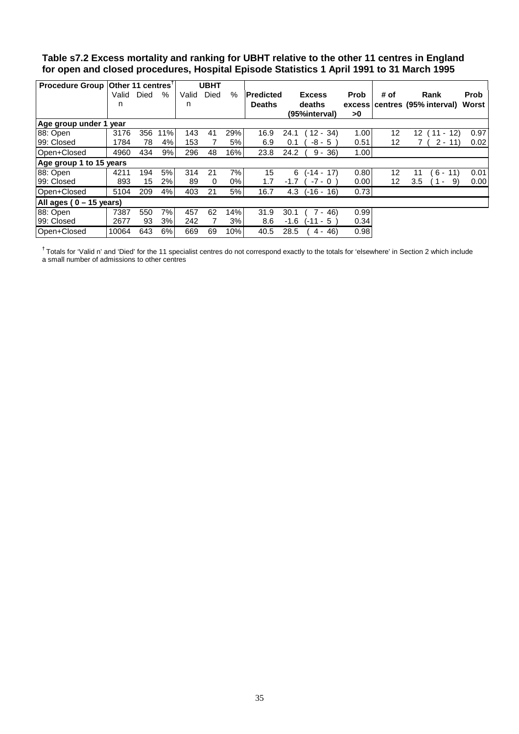### <span id="page-35-0"></span>**Table s7.2 Excess mortality and ranking for UBHT relative to the other 11 centres in England for open and closed procedures, Hospital Episode Statistics 1 April 1991 to 31 March 1995**

| Procedure Group Other 11 centres <sup>T</sup> |       |      |     |       | <b>UBHT</b> |      |                   |                     |             |                   |                                       |             |
|-----------------------------------------------|-------|------|-----|-------|-------------|------|-------------------|---------------------|-------------|-------------------|---------------------------------------|-------------|
|                                               | Valid | Died | %   | Valid | Died        | $\%$ | <b>IPredicted</b> | <b>Excess</b>       | <b>Prob</b> | # of              | Rank                                  | <b>Prob</b> |
|                                               | n     |      |     | n     |             |      | <b>Deaths</b>     | deaths              |             |                   | excess centres (95% interval)         | Worst       |
|                                               |       |      |     |       |             |      |                   | (95%interval)       | >0          |                   |                                       |             |
| Age group under 1                             | vear  |      |     |       |             |      |                   |                     |             |                   |                                       |             |
| 88: Open                                      | 3176  | 356  | 11% | 143   | 41          | 29%  | 16.9              | $12 - 34$<br>24.1   | 1.00        | 12                | 12<br>$(11 - 12)$                     | 0.97        |
| 199: Closed                                   | 1784  | 78   | 4%  | 153   |             | 5%   | 6.9               | $-8 - 5$<br>0.1     | 0.51        | $12 \overline{ }$ | $2 - 11$                              | 0.02        |
| Open+Closed                                   | 4960  | 434  | 9%  | 296   | 48          | 16%  | 23.8              | 36)<br>24.2<br>9 -  | 1.00        |                   |                                       |             |
| Age group 1 to 15 years                       |       |      |     |       |             |      |                   |                     |             |                   |                                       |             |
| 188: Open                                     | 4211  | 194  | 5%  | 314   | 21          | 7%   | 15                | 6<br>(-14 - 17)     | 0.80        | 12                | $6 -$<br>11)<br>11                    | 0.01        |
| 99: Closed                                    | 893   | 15   | 2%  | 89    | 0           | 0%   | 1.7               | $-7 - 0$<br>$-1.7$  | 0.00        | 12 <sup>2</sup>   | 3.5<br>9)<br>$\overline{\phantom{a}}$ | 0.00        |
| Open+Closed                                   | 5104  | 209  | 4%  | 403   | 21          | 5%   | 16.7              | 4.3<br>$(-16 - 16)$ | 0.73        |                   |                                       |             |
| All ages ( $0 - 15$ years)                    |       |      |     |       |             |      |                   |                     |             |                   |                                       |             |
| 88: Open                                      | 7387  | 550  | 7%  | 457   | 62          | 14%  | 31.9              | 30.1<br>$-46$       | 0.99        |                   |                                       |             |
| 99: Closed                                    | 2677  | 93   | 3%  | 242   |             | 3%   | 8.6               | $-1.6$<br>(-11 - 5  | 0.34        |                   |                                       |             |
| Open+Closed                                   | 10064 | 643  | 6%  | 669   | 69          | 10%  | 40.5              | 28.5<br>$4 - 46$    | 0.98        |                   |                                       |             |

**†** Totals for 'Valid n' and 'Died' for the 11 specialist centres do not correspond exactly to the totals for 'elsewhere' in Section 2 which include a small number of admissions to other centres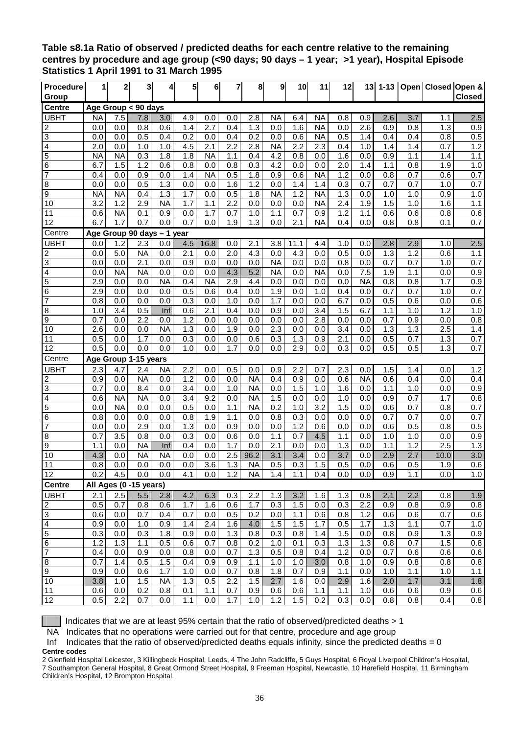### <span id="page-36-0"></span>**Table s8.1a Ratio of observed / predicted deaths for each centre relative to the remaining centres by procedure and age group (<90 days; 90 days – 1 year; >1 year), Hospital Episode Statistics 1 April 1991 to 31 March 1995**

| <b>Procedure</b>          | 1          | 2                | 3                          | 4                | 5          | 6                | 7          | 8              | 9                | 10               | 11         | 12         | 13               | $1 - 13$   |            |                  | Open   Closed   Open &  |
|---------------------------|------------|------------------|----------------------------|------------------|------------|------------------|------------|----------------|------------------|------------------|------------|------------|------------------|------------|------------|------------------|-------------------------|
| Group                     |            |                  |                            |                  |            |                  |            |                |                  |                  |            |            |                  |            |            |                  | <b>Closed</b>           |
| Centre                    |            |                  | Age Group < 90 days        |                  |            |                  |            |                |                  |                  |            |            |                  |            |            |                  |                         |
| <b>UBHT</b>               | <b>NA</b>  | 7.5              | 7.8                        | 3.0              | 4.9        | 0.0              | 0.0        | 2.8            | <b>NA</b>        | 6.4              | <b>NA</b>  | 0.8        | 0.9              | 2.6        | 3.7        | 1.1              | 2.5                     |
| 2                         | 0.0        | 0.0              | 0.8                        | 0.6              | 1.4        | 2.7              | 0.4        | 1.3            | 0.0              | 1.6              | <b>NA</b>  | 0.0        | 2.6              | 0.9        | 0.8        | 1.3              | 0.9                     |
| $\overline{3}$            | 0.0        | 0.0              | 0.5                        | 0.4              | 0.2        | 0.0              | 0.4        | 0.2            | 0.0              | 0.6              | <b>NA</b>  | 0.5        | 1.4              | 0.4        | 0.4        | 0.8              | 0.5                     |
| 4                         | 2.0        | 0.0              | 1.0                        | 1.0              | 4.5        | 2.1              | 2.2        | 2.8            | <b>NA</b>        | 2.2              | 2.3        | 0.4        | 1.0              | 1.4        | 1.4        | 0.7              | 1.2                     |
| 5                         | <b>NA</b>  | <b>NA</b>        | 0.3                        | 1.8              | 1.8        | <b>NA</b>        | 1.1        | 0.4            | 4.2              | 0.8              | 0.0        | 1.6        | 0.0              | 0.9        | 1.1        | 1.4              | 1.1                     |
| 6                         | 6.7        | 1.5              | 1.2                        | 0.6              | 0.8        | 0.0              | 0.8        | 0.3            | 4.2              | 0.0              | 0.0        | 2.0        | 1.4              | 1.1        | 0.8        | 1.9              | 1.0                     |
| 7                         | 0.4        | 0.0              | 0.9                        | 0.0              | 1.4        | <b>NA</b>        | 0.5        | 1.8            | 0.9              | 0.6              | <b>NA</b>  | 1.2        | 0.0              | 0.8        | 0.7        | 0.6              | 0.7                     |
| 8                         | 0.0        | 0.0              | 0.5                        | 1.3              | 0.0        | 0.0              | 1.6        | 1.2            | 0.0              | 1.4              | 1.4        | 0.3        | 0.7              | 0.7        | 0.7        | 1.0              | 0.7                     |
| 9                         | <b>NA</b>  | <b>NA</b>        | 0.4                        | 1.3              | 1.7        | 0.0              | 0.5        | 1.8            | <b>NA</b>        | 1.2              | <b>NA</b>  | 1.3        | 0.0              | 1.0        | 1.0        | 0.9              | 1.0                     |
| 10                        | 3.2        | 1.2              | 2.9                        | <b>NA</b>        | 1.7        | 1.1              | 2.2        | 0.0            | 0.0              | 0.0              | <b>NA</b>  | 2.4        | 1.9              | 1.5        | 1.0        | 1.6              | 1.1                     |
| 11                        | 0.6<br>6.7 | <b>NA</b><br>1.7 | 0.1                        | 0.9              | 0.0        | 1.7              | 0.7        | 1.0            | 1.1              | $0.\overline{7}$ | 0.9        | 1.2        | 1.1              | 0.6        | 0.6        | 0.8              | 0.6<br>0.7              |
| 12                        |            |                  | 0.7                        | 0.0              | 0.7        | 0.0              | 1.9        | 1.3            | 0.0              | 2.1              | <b>NA</b>  | 0.4        | 0.0              | 0.8        | 0.8        | 0.1              |                         |
| Centre                    |            |                  | Age Group 90 days - 1 year |                  |            |                  |            |                |                  |                  |            |            |                  |            |            |                  |                         |
| <b>UBHT</b>               | 0.0        | 1.2              | 2.3                        | 0.0              | 4.5        | 16.8             | 0.0        | 2.1            | 3.8              | 11.1             | 4.4        | 1.0        | 0.0              | 2.8        | 2.9        | 1.0              | 2.5                     |
| $\overline{c}$            | 0.0        | 5.0              | <b>NA</b>                  | 0.0              | 2.1        | 0.0              | 2.0        | 4.3            | 0.0              | 4.3              | 0.0        | 0.5        | 0.0              | 1.3        | 1.2        | 0.6              | $1.1$                   |
| $\overline{3}$            | 0.0        | 0.0              | $\overline{2.1}$           | 0.0              | 0.9        | 0.0              | 0.0        | 0.0            | <b>NA</b>        | 0.0              | 0.0        | 0.8        | 0.0              | 0.7        | 0.7        | 1.0              | 0.7                     |
| 4                         | 0.0<br>2.9 | <b>NA</b><br>0.0 | <b>NA</b><br>0.0           | 0.0<br><b>NA</b> | 0.0<br>0.4 | 0.0<br><b>NA</b> | 4.3<br>2.9 | 5.2<br>4.4     | <b>NA</b><br>0.0 | 0.0              | <b>NA</b>  | 0.0        | 7.5<br><b>NA</b> | 1.9        | 1.1        | 0.0<br>1.7       | 0.9                     |
| 5<br>6                    | 2.9        | 0.0              | 0.0                        | 0.0              | 0.5        | 0.6              | 0.4        | 0.0            | 1.9              | 0.0<br>0.0       | 0.0<br>1.0 | 0.0<br>0.4 | 0.0              | 0.8<br>0.7 | 0.8<br>0.7 | 1.0              | $\overline{0.9}$<br>0.7 |
| $\overline{7}$            | 0.8        | 0.0              | 0.0                        | 0.0              | 0.3        | 0.0              | 1.0        | 0.0            | 1.7              | 0.0              | 0.0        | 6.7        | 0.0              | 0.5        | 0.6        | 0.0              | 0.6                     |
| $\bf 8$                   | 1.0        | 3.4              | 0.5                        | Inf              | 0.6        | 2.1              | 0.4        | 0.0            | 0.9              | 0.0              | 3.4        | 1.5        | 6.7              | 1.1        | 1.0        | 1.2              | 1.0                     |
| 9                         | 0.7        | 0.0              | $\overline{2.2}$           | 0.0              | 1.2        | 0.0              | 0.0        | 0.0            | 0.0              | 0.0              | 2.8        | 0.0        | 0.0              | 0.7        | 0.9        | 0.0              | 0.8                     |
| 10                        | 2.6        | 0.0              | 0.0                        | <b>NA</b>        | 1.3        | 0.0              | 1.9        | 0.0            | $\overline{2.3}$ | 0.0              | 0.0        | 3.4        | 0.0              | 1.3        | 1.3        | 2.5              | 1.4                     |
| 11                        | 0.5        | 0.0              | 1.7                        | 0.0              | 0.3        | 0.0              | 0.0        | 0.6            | 0.3              | 1.3              | 0.9        | 2.1        | 0.0              | 0.5        | 0.7        | 1.3              | 0.7                     |
| 12                        | 0.5        | 0.0              | 0.0                        | 0.0              | 1.0        | 0.0              | 1.7        | 0.0            | 0.0              | 2.9              | 0.0        | 0.3        | 0.0              | 0.5        | 0.5        | 1.3              | 0.7                     |
| Centre                    |            |                  | Age Group 1-15 years       |                  |            |                  |            |                |                  |                  |            |            |                  |            |            |                  |                         |
| <b>UBHT</b>               | 2.3        | 4.7              | 2.4                        | <b>NA</b>        | 2.2        | 0.0              | 0.5        | 0.0            | 0.9              | 2.2              | 0.7        | 2.3        | 0.0              | 1.5        | 1.4        | 0.0              | 1.2                     |
| 2                         | 0.9        | 0.0              | <b>NA</b>                  | 0.0              | 1.2        | 0.0              | 0.0        | <b>NA</b>      | 0.4              | 0.9              | 0.0        | 0.6        | <b>NA</b>        | 0.6        | 0.4        | 0.0              | 0.4                     |
| $\ensuremath{\mathsf{3}}$ | 0.7        | 0.0              | 8.4                        | 0.0              | 3.4        | 0.0              | 1.0        | <b>NA</b>      | 0.0              | 1.5              | 1.0        | 1.6        | 0.0              | 1.1        | 1.0        | 0.0              | 0.9                     |
| 4                         | 0.6        | <b>NA</b>        | <b>NA</b>                  | 0.0              | 3.4        | 9.2              | 0.0        | <b>NA</b>      | 1.5              | 0.0              | 0.0        | 1.0        | 0.0              | 0.9        | 0.7        | 1.7              | 0.8                     |
| 5                         | 0.0        | <b>NA</b>        | 0.0                        | 0.0              | 0.5        | 0.0              | 1.1        | <b>NA</b>      | 0.2              | 1.0              | 3.2        | 1.5        | 0.0              | 0.6        | 0.7        | 0.8              | 0.7                     |
| 6                         | 0.8        | 0.0              | 0.0                        | 0.0              | 0.8        | 1.9              | 1.1        | 0.0            | 0.8              | 0.3              | 0.0        | 0.0        | 0.0              | 0.7        | 0.7        | 0.0              | 0.7                     |
| 7                         | 0.0        | 0.0              | 2.9                        | 0.0              | 1.3        | 0.0              | 0.9        | 0.0            | 0.0              | 1.2              | 0.6        | 0.0        | 0.0              | 0.6        | 0.5        | 0.8              | 0.5                     |
| 8                         | 0.7        | 3.5              | 0.8                        | 0.0              | 0.3        | 0.0              | 0.6        | 0.0            | 1.1              | 0.7              | 4.5        | 1.1        | 0.0              | 1.0        | 1.0        | 0.0              | 0.9                     |
| 9                         | 1.1        | 0.0              | <b>NA</b>                  | Inf              | 0.4        | 0.0              | 1.7        | 0.0            | 2.1              | 0.0              | 0.0        | 1.3        | 0.0              | 1.1        | 1.2        | 2.5              | 1.3                     |
| 10                        | 4.3        | 0.0              | <b>NA</b>                  | <b>NA</b>        | 0.0        | 0.0              | 2.5        | 96.2           | 3.1              | 3.4              | 0.0        | 3.7        | 0.0              | 2.9        | 2.7        | 10.0             | 3.0                     |
| 11                        | 0.8        | 0.0              | 0.0                        | 0.0              | 0.0        | 3.6              | 1.3        | <b>NA</b>      | 0.5              | 0.3              | 1.5        | 0.5        | 0.0              | 0.6        | 0.5        | 1.9              | 0.6                     |
| 12                        |            | $0.2$ 4.5        |                            | $0.0$ 0.0        | 4.1        | 0.0              | 1.2        | N <sub>A</sub> | 1.4              | 1.1              | 0.4        | 0.0        | 0.0              | 0.9        | 1.1        | 0.0              | 1.0                     |
| <b>Centre</b>             |            |                  | All Ages (0 -15 years)     |                  |            |                  |            |                |                  |                  |            |            |                  |            |            |                  |                         |
| <b>UBHT</b>               | 2.1        | 2.5              | 5.5                        | 2.8              | 4.2        | 6.3              | 0.3        | 2.2            | 1.3              | 3.2              | 1.6        | 1.3        | 0.8              | 2.1        | 2.2        | 0.8              | 1.9                     |
| $\overline{c}$            | 0.5        | 0.7              | 0.8                        | 0.6              | 1.7        | 1.6              | 0.6        | 1.7            | 0.3              | 1.5              | 0.0        | 0.3        | 2.2              | 0.9        | 0.8        | 0.9              | 0.8                     |
| $\ensuremath{\mathsf{3}}$ | 0.6        | 0.0              | 0.7                        | 0.4              | 0.7        | 0.0              | 0.5        | 0.2            | 0.0              | 1.1              | 0.6        | 0.8        | 1.2              | 0.6        | 0.6        | 0.7              | 0.6                     |
| $\overline{4}$            | 0.9        | 0.0              | 1.0                        | 0.9              | 1.4        | 2.4              | 1.6        | 4.0            | 1.5              | 1.5              | 1.7        | 0.5        | 1.7              | 1.3        | 1.1        | 0.7              | 1.0                     |
| $\overline{5}$            | 0.3        | 0.0              | 0.3                        | 1.8              | 0.9        | 0.0              | 1.3        | 0.8            | 0.3              | 0.8              | 1.4        | 1.5        | 0.0              | 0.8        | 0.9        | $\overline{1.3}$ | 0.9                     |
| $\,6\,$                   | 1.2        | 1.3              | $1.1$                      | 0.5              | 0.6        | 0.7              | 0.8        | 0.2            | 1.0              | 0.1              | 0.3        | 1.3        | 1.3              | 0.8        | 0.7        | 1.5              | 0.8                     |
| $\overline{7}$            | 0.4        | 0.0              | 0.9                        | 0.0              | 0.8        | 0.0              | 0.7        | 1.3            | 0.5              | 0.8              | 0.4        | 1.2        | 0.0              | 0.7        | 0.6        | 0.6              | 0.6                     |
| $\,8\,$                   | 0.7        | 1.4              | 0.5                        | 1.5              | 0.4        | 0.9              | 0.9        | 1.1            | 1.0              | 1.0              | 3.0        | 0.8        | 1.0              | 0.9        | 0.8        | 0.8              | 0.8                     |
| $\boldsymbol{9}$          | 0.9        | 0.0              | 0.6                        | 1.7              | 1.0        | 0.0              | 0.7        | 0.8            | 1.8              | 0.7              | 0.9        | $1.1$      | 0.0              | 1.0        | 1.1        | 1.0              | 1.1                     |
| 10                        | 3.8        | 1.0              | 1.5                        | <b>NA</b>        | 1.3        | 0.5              | 2.2        | 1.5            | 2.7              | 1.6              | 0.0        | 2.9        | 1.6              | 2.0        | 1.7        | 3.1              | 1.8                     |
| 11                        | 0.6        | 0.0              | 0.2                        | 0.8              | 0.1        | 1.1              | 0.7        | 0.9            | 0.6              | 0.6              | 1.1        | 1.1        | 1.0              | 0.6        | 0.6        | 0.9              | 0.6                     |
| $\overline{12}$           | 0.5        | 2.2              | 0.7                        | 0.0              | 1.1        | 0.0              | 1.7        | 1.0            | 1.2              | 1.5              | 0.2        | 0.3        | 0.0              | 0.8        | 0.8        | 0.4              | 0.8                     |

Indicates that we are at least 95% certain that the ratio of observed/predicted deaths > 1

NA Indicates that no operations were carried out for that centre, procedure and age group

Inf Indicates that the ratio of observed/predicted deaths equals infinity, since the predicted deaths =  $0$ **Centre codes** 

2 Glenfield Hospital Leicester, 3 Killingbeck Hospital, Leeds, 4 The John Radcliffe, 5 Guys Hospital, 6 Royal Liverpool Children's Hospital, 7 Southampton General Hospital, 8 Great Ormond Street Hospital, 9 Freeman Hospital, Newcastle, 10 Harefield Hospital, 11 Birmingham Children's Hospital, 12 Brompton Hospital.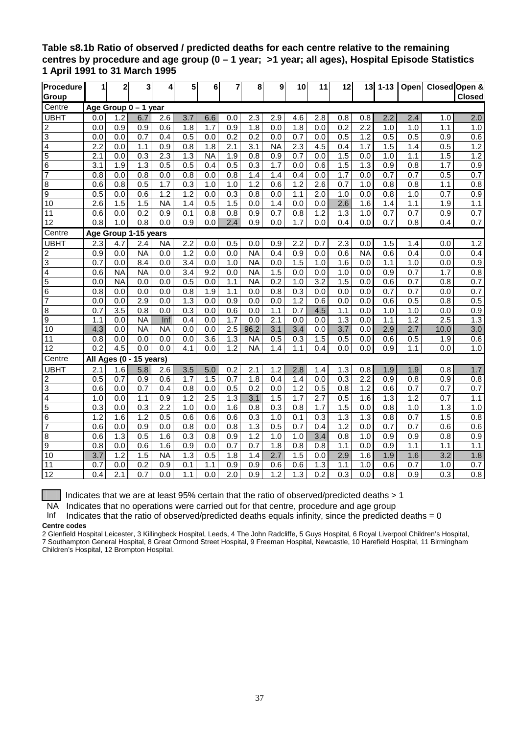### <span id="page-37-0"></span>**Table s8.1b Ratio of observed / predicted deaths for each centre relative to the remaining centres by procedure and age group (0 – 1 year; >1 year; all ages), Hospital Episode Statistics 1 April 1991 to 31 March 1995**

| Procedure               | 1                | 2                | 3                    | 4                | 5                | 6                | 7                | 8                | 9                | 10               | 11               | 12               | 13               | $1 - 13$ | Open             |                  | Closed Open &    |
|-------------------------|------------------|------------------|----------------------|------------------|------------------|------------------|------------------|------------------|------------------|------------------|------------------|------------------|------------------|----------|------------------|------------------|------------------|
| Group                   |                  |                  |                      |                  |                  |                  |                  |                  |                  |                  |                  |                  |                  |          |                  |                  | <b>Closed</b>    |
| Centre                  |                  |                  | Age Group 0 - 1 year |                  |                  |                  |                  |                  |                  |                  |                  |                  |                  |          |                  |                  |                  |
| <b>UBHT</b>             | 0.0              | 1.2              | 6.7                  | 2.6              | 3.7              | 6.6              | 0.0              | 2.3              | 2.9              | 4.6              | 2.8              | 0.8              | 0.8              | 2.2      | 2.4              | 1.0              | 2.0              |
| $\overline{c}$          | 0.0              | 0.9              | 0.9                  | 0.6              | 1.8              | 1.7              | 0.9              | 1.8              | 0.0              | 1.8              | 0.0              | 0.2              | 2.2              | 1.0      | 1.0              | 1.1              | 1.0              |
| 3                       | 0.0              | 0.0              | 0.7                  | 0.4              | 0.5              | 0.0              | 0.2              | $\overline{0.2}$ | 0.0              | 0.7              | 0.0              | 0.5              | $\overline{1.2}$ | 0.5      | 0.5              | 0.9              | 0.6              |
| 4                       | 2.2              | 0.0              | 1.1                  | 0.9              | 0.8              | 1.8              | 2.1              | 3.1              | <b>NA</b>        | 2.3              | 4.5              | 0.4              | 1.7              | 1.5      | 1.4              | 0.5              | 1.2              |
| 5                       | 2.1              | 0.0              | 0.3                  | 2.3              | 1.3              | <b>NA</b>        | 1.9              | 0.8              | 0.9              | 0.7              | 0.0              | 1.5              | 0.0              | 1.0      | 1.1              | 1.5              | 1.2              |
| 6                       | 3.1              | 1.9              | 1.3                  | 0.5              | 0.5              | 0.4              | 0.5              | 0.3              | 1.7              | 0.0              | 0.6              | 1.5              | 1.3              | 0.9      | 0.8              | 1.7              | 0.9              |
| $\overline{7}$          | 0.8              | 0.0              | 0.8                  | 0.0              | 0.8              | 0.0              | 0.8              | 1.4              | 1.4              | 0.4              | 0.0              | 1.7              | 0.0              | 0.7      | $\overline{0.7}$ | 0.5              | 0.7              |
| 8                       | 0.6              | 0.8              | 0.5                  | $\overline{1.7}$ | $\overline{0.3}$ | 1.0              | 1.0              | 1.2              | 0.6              | 1.2              | 2.6              | 0.7              | 1.0              | 0.8      | 0.8              | 1.1              | 0.8              |
| 9                       | 0.5              | 0.0              | 0.6                  | 1.2              | 1.2              | 0.0              | 0.3              | 0.8              | 0.0              | 1.1              | 2.0              | 1.0              | 0.0              | 0.8      | 1.0              | 0.7              | 0.9              |
| 10                      | $\overline{2.6}$ | 1.5              | 1.5                  | <b>NA</b>        | 1.4              | 0.5              | 1.5              | 0.0              | 1.4              | 0.0              | 0.0              | 2.6              | 1.6              | 1.4      | 1.1              | 1.9              | 1.1              |
| 11                      | 0.6              | 0.0              | $\overline{0.2}$     | 0.9              | 0.1              | 0.8              | 0.8              | 0.9              | 0.7              | 0.8              | $\overline{1.2}$ | 1.3              | 1.0              | 0.7      | 0.7              | 0.9              | 0.7              |
| 12                      | 0.8              | 1.0              | 0.8                  | 0.0              | 0.9              | 0.0              | 2.4              | 0.9              | 0.0              | 1.7              | 0.0              | 0.4              | 0.0              | 0.7      | 0.8              | 0.4              | 0.7              |
| Centre                  |                  |                  | Age Group 1-15 years |                  |                  |                  |                  |                  |                  |                  |                  |                  |                  |          |                  |                  |                  |
| <b>UBHT</b>             | $\overline{2.3}$ | 4.7              | 2.4                  | <b>NA</b>        | $\overline{2.2}$ | 0.0              | 0.5              | 0.0              | 0.9              | 2.2              | 0.7              | 2.3              | 0.0              | 1.5      | 1.4              | 0.0              | 1.2              |
| $\overline{\mathbf{c}}$ | 0.9              | 0.0              | <b>NA</b>            | 0.0              | $\overline{1.2}$ | 0.0              | 0.0              | <b>NA</b>        | 0.4              | 0.9              | 0.0              | 0.6              | <b>NA</b>        | 0.6      | 0.4              | 0.0              | 0.4              |
| 3                       | 0.7              | 0.0              | 8.4                  | 0.0              | 3.4              | 0.0              | 1.0              | <b>NA</b>        | 0.0              | 1.5              | 1.0              | 1.6              | 0.0              | 1.1      | 1.0              | 0.0              | $\overline{0.9}$ |
| 4                       | 0.6              | <b>NA</b>        | <b>NA</b>            | 0.0              | $\overline{3.4}$ | 9.2              | 0.0              | <b>NA</b>        | 1.5              | 0.0              | 0.0              | 1.0              | 0.0              | 0.9      | 0.7              | 1.7              | 0.8              |
| $\overline{5}$          | 0.0              | <b>NA</b>        | 0.0                  | 0.0              | 0.5              | 0.0              | 1.1              | <b>NA</b>        | $\overline{0.2}$ | 1.0              | 3.2              | 1.5              | 0.0              | 0.6      | 0.7              | 0.8              | 0.7              |
| 6                       | 0.8              | 0.0              | 0.0                  | 0.0              | 0.8              | 1.9              | 1.1              | 0.0              | 0.8              | $\overline{0.3}$ | 0.0              | 0.0              | 0.0              | 0.7      | 0.7              | 0.0              | 0.7              |
| 7                       | 0.0              | 0.0              | 2.9                  | 0.0              | 1.3              | 0.0              | 0.9              | 0.0              | 0.0              | 1.2              | 0.6              | 0.0              | 0.0              | 0.6      | 0.5              | 0.8              | 0.5              |
| $\bf 8$                 | 0.7              | $\overline{3.5}$ | 0.8                  | 0.0              | 0.3              | 0.0              | 0.6              | 0.0              | 1.1              | 0.7              | 4.5              | 1.1              | 0.0              | 1.0      | 1.0              | 0.0              | 0.9              |
| 9                       | 1.1              | 0.0              | <b>NA</b>            | Inf              | 0.4              | 0.0              | 1.7              | 0.0              | 2.1              | 0.0              | 0.0              | $\overline{1.3}$ | 0.0              | 1.1      | 1.2              | $\overline{2.5}$ | 1.3              |
| 10                      | 4.3              | 0.0              | <b>NA</b>            | <b>NA</b>        | 0.0              | 0.0              | 2.5              | 96.2             | 3.1              | 3.4              | 0.0              | 3.7              | 0.0              | 2.9      | 2.7              | 10.0             | $\overline{3.0}$ |
| 11                      | 0.8              | 0.0              | 0.0                  | $\overline{0.0}$ | 0.0              | 3.6              | 1.3              | <b>NA</b>        | 0.5              | 0.3              | 1.5              | 0.5              | 0.0              | 0.6      | 0.5              | 1.9              | 0.6              |
| 12                      | 0.2              | 4.5              | 0.0                  | 0.0              | 4.1              | 0.0              | 1.2              | <b>NA</b>        | 1.4              | 1.1              | 0.4              | 0.0              | 0.0              | 0.9      | 1.1              | 0.0              | 1.0              |
| Centre                  |                  | All Ages (0 -    | 15 years)            |                  |                  |                  |                  |                  |                  |                  |                  |                  |                  |          |                  |                  |                  |
| <b>UBHT</b>             | 2.1              | 1.6              | 5.8                  | 2.6              | 3.5              | 5.0              | 0.2              | 2.1              | 1.2              | 2.8              | 1.4              | 1.3              | 0.8              | 1.9      | 1.9              | 0.8              | 1.7              |
| $\overline{c}$          | 0.5              | $0.\overline{7}$ | 0.9                  | 0.6              | 1.7              | 1.5              | 0.7              | 1.8              | 0.4              | 1.4              | 0.0              | 0.3              | $\overline{2.2}$ | 0.9      | 0.8              | 0.9              | 0.8              |
| $\overline{3}$          | 0.6              | 0.0              | $\overline{0.7}$     | 0.4              | 0.8              | 0.0              | 0.5              | $\overline{0.2}$ | $\overline{0.0}$ | $\overline{1.2}$ | 0.5              | 0.8              | $\overline{1.2}$ | 0.6      | 0.7              | 0.7              | 0.7              |
| 4                       | 1.0              | 0.0              | 1.1                  | 0.9              | 1.2              | 2.5              | 1.3              | 3.1              | 1.5              | 1.7              | 2.7              | 0.5              | 1.6              | 1.3      | 1.2              | 0.7              | 1.1              |
| 5                       | 0.3              | 0.0              | 0.3                  | 2.2              | 1.0              | 0.0              | 1.6              | 0.8              | 0.3              | 0.8              | 1.7              | 1.5              | 0.0              | 0.8      | 1.0              | 1.3              | 1.0              |
| 6                       | 1.2              | 1.6              | 1.2                  | 0.5              | $0.\overline{6}$ | 0.6              | 0.6              | 0.3              | 1.0              | 0.1              | 0.3              | 1.3              | 1.3              | 0.8      | 0.7              | 1.5              | 0.8              |
| $\overline{7}$          | 0.6              | 0.0              | 0.9                  | 0.0              | 0.8              | 0.0              | 0.8              | $\overline{1.3}$ | 0.5              | 0.7              | 0.4              | $\overline{1.2}$ | 0.0              | 0.7      | 0.7              | 0.6              | 0.6              |
| 8                       | 0.6              | $\overline{1.3}$ | 0.5                  | 1.6              | $\overline{0.3}$ | $\overline{0.8}$ | $\overline{0.9}$ | $\overline{1.2}$ | 1.0              | 1.0              | 3.4              | $\overline{0.8}$ | 1.0              | 0.9      | 0.9              | 0.8              | 0.9              |
| 9                       | 0.8              | 0.0              | 0.6                  | 1.6              | $\overline{0.9}$ | 0.0              | $\overline{0.7}$ | 0.7              | 1.8              | 0.8              | 0.8              | 1.1              | 0.0              | 0.9      | 1.1              | 1.1              | 1.1              |
| 10                      | 3.7              | 1.2              | 1.5                  | <b>NA</b>        | 1.3              | 0.5              | 1.8              | 1.4              | 2.7              | 1.5              | 0.0              | 2.9              | 1.6              | 1.9      | 1.6              | 3.2              | 1.8              |
| 11                      | 0.7              | 0.0              | 0.2                  | 0.9              | 0.1              | 1.1              | 0.9              | 0.9              | 0.6              | 0.6              | 1.3              | 1.1              | 1.0              | 0.6      | 0.7              | 1.0              | $\overline{0.7}$ |
| $\overline{12}$         | 0.4              | 2.1              | 0.7                  | 0.0              | 1.1              | 0.0              | 2.0              | 0.9              | 1.2              | $\overline{1.3}$ | 0.2              | 0.3              | 0.0              | 0.8      | 0.9              | 0.3              | $\overline{0.8}$ |

Indicates that we are at least 95% certain that the ratio of observed/predicted deaths  $> 1$ 

NA Indicates that no operations were carried out for that centre, procedure and age group

Inf Indicates that the ratio of observed/predicted deaths equals infinity, since the predicted deaths =  $0$ 

#### **Centre codes**

2 Glenfield Hospital Leicester, 3 Killingbeck Hospital, Leeds, 4 The John Radcliffe, 5 Guys Hospital, 6 Royal Liverpool Children's Hospital, 7 Southampton General Hospital, 8 Great Ormond Street Hospital, 9 Freeman Hospital, Newcastle, 10 Harefield Hospital, 11 Birmingham

Children's Hospital, 12 Brompton Hospital.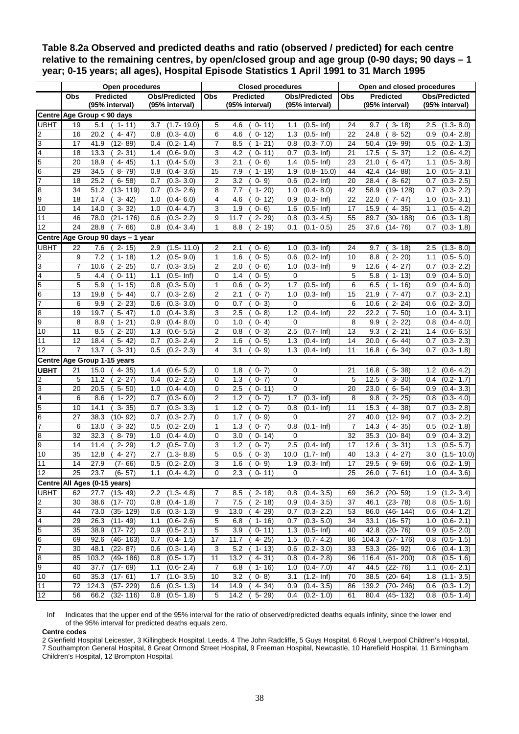<span id="page-38-0"></span>**Table 8.2a Observed and predicted deaths and ratio (observed / predicted) for each centre relative to the remaining centres, by open/closed group and age group (0-90 days; 90 days – 1 year; 0-15 years; all ages), Hospital Episode Statistics 1 April 1991 to 31 March 1995** 

|                             |            | <b>Open procedures</b>                     |                                            |                | <b>Closed procedures</b>           |                                                    | Open and closed procedures |                                            |                                            |  |
|-----------------------------|------------|--------------------------------------------|--------------------------------------------|----------------|------------------------------------|----------------------------------------------------|----------------------------|--------------------------------------------|--------------------------------------------|--|
|                             | <b>Obs</b> | <b>Predicted</b>                           | <b>Obs/Predicted</b>                       | Obs            | <b>Predicted</b>                   | <b>Obs/Predicted</b>                               | Obs                        | <b>Predicted</b>                           | <b>Obs/Predicted</b>                       |  |
|                             |            | (95% interval)                             | (95% interval)                             |                | (95% interval)                     | (95% interval)                                     |                            | (95% interval)                             | (95% interval)                             |  |
|                             |            | Centre Age Group < 90 days                 |                                            |                |                                    |                                                    |                            |                                            |                                            |  |
| <b>UBHT</b>                 | 19         | 5.1<br>$1 - 11$                            | $(1.7 - 19.0)$<br>3.7                      | 5              | 4.6<br>$0 - 11$                    | $(0.5 - lnf)$<br>1.1                               | 24                         | $3 - 18$<br>9.7                            | $(1.3 - 8.0)$<br>2.5                       |  |
|                             | 16         | 20.2<br>$4 - 47$                           | 0.8<br>$(0.3 - 4.0)$                       | 6              | 4.6<br>$0 - 12$                    | 1.3<br>$(0.5 - lnf)$                               | 22                         | 24.8<br>$8 - 52$                           | 0.9<br>$(0.4 - 2.8)$                       |  |
| $\frac{2}{3}$               | 17         | $(12 - 89)$<br>41.9                        | $(0.2 - 1.4)$<br>0.4                       | $\overline{7}$ | 8.5<br>$1 - 21$                    | $(0.3 - 7.0)$<br>0.8                               | 24                         | 50.4<br>$(19 - 99)$                        | $(0.2 - 1.3)$<br>0.5                       |  |
| 4                           | 18         | 13.3<br>$2 - 31$                           | $(0.6 - 9.0)$<br>1.4                       | 3              | 4.2<br>$0 - 11$                    | $(0.3 - lnf)$<br>0.7                               | 21                         | 17.5<br>$5 - 37$                           | 1.2<br>$(0.6 - 4.2)$                       |  |
|                             | 20         | 18.9<br>$4 - 45$                           | $(0.4 - 5.0)$<br>1.1                       | 3              | $0 - 6$<br>2.1                     | $(0.5 - lnf)$<br>1.4                               | 23                         | 21.0<br>$6 - 47$                           | $(0.5 - 3.8)$<br>1.1                       |  |
| $\frac{5}{6}$ $\frac{6}{7}$ | 29         | 34.5<br>$8 - 79$                           | $(0.4 - 3.6)$<br>0.8                       | 15             | 7.9<br>$1 - 19$                    | 1.9<br>$(0.8 - 15.0)$                              | 44                         | 42.4<br>(14-88)                            | $(0.5 - 3.1)$<br>1.0                       |  |
|                             | 18         | 25.2<br>$6 - 58$                           | $(0.3 - 3.0)$<br>0.7                       | 2              | 3.2<br>$0 - 9$                     | $(0.2 - lnf)$<br>0.6                               | 20                         | 28.4<br>$8 - 62$                           | $(0.3 - 2.5)$<br>0.7                       |  |
| 8                           | 34         | 51.2<br>$(13 - 119)$                       | $(0.3 - 2.6)$<br>0.7                       | 8              | 7.7<br>$1 - 20$                    | 1.0<br>$(0.4 - 8.0)$                               | 42                         | 58.9<br>$(19 - 128)$                       | $(0.3 - 2.2)$<br>0.7                       |  |
| 9                           | 18         | $3 - 42$<br>17.4                           | $(0.4 - 6.0)$<br>1.0                       | 4              | 4.6<br>$0 - 12$                    | $(0.3 - lnf)$<br>0.9                               | 22                         | 22.0<br>$7 - 47$                           | $(0.5 - 3.1)$<br>1.0                       |  |
| 10                          | 14         | $3 - 32$<br>14.0                           | $(0.4 - 4.7)$<br>1.0                       | 3              | $0 - 6$<br>1.9                     | 1.6<br>$(0.5 - lnf)$                               | 17                         | 15.9<br>$4 - 35$                           | $(0.5 - 4.2)$<br>1.1                       |  |
| 11                          | 46         | 78.0<br>$(21 - 176)$                       | 0.6<br>$(0.3 - 2.2)$                       | 9              | 11.7<br>$2 - 29$                   | 0.8<br>$(0.3 - 4.5)$                               | 55                         | 89.7<br>$(30 - 188)$                       | 0.6<br>$(0.3 - 1.8)$                       |  |
| $\overline{12}$             | 24         | 28.8<br>$7 - 66$                           | 0.8<br>$(0.4 - 3.4)$                       | 1              | 8.8<br>$2 - 19$                    | $(0.1 - 0.5)$<br>0.1                               | 25                         | $(14 - 76)$<br>37.6                        | $(0.3 - 1.8)$<br>0.7                       |  |
|                             |            | Centre Age Group 90 days - 1 year          |                                            |                |                                    |                                                    |                            |                                            |                                            |  |
| <b>UBHT</b>                 | 22         | 7.6<br>$2 - 15$                            | $(1.5 - 11.0)$<br>2.9                      | 2              | 2.1<br>$0 - 6$                     | $(0.3 - lnf)$<br>1.0                               | 24                         | 9.7<br>$3 - 18$                            | $(1.3 - 8.0)$<br>2.5                       |  |
| $\overline{c}$              | 9          | 7.2<br>$1 - 18$                            | $(0.5 - 9.0)$<br>1.2                       | $\mathbf{1}$   | $0 - 5$<br>1.6                     | $(0.2 - lnf)$<br>0.6                               | 10                         | 8.8<br>$2 - 20$                            | $(0.5 - 5.0)$<br>1.1                       |  |
| 3                           | 7          | 10.6<br>$2 - 25$                           | $(0.3 - 3.5)$<br>0.7                       | 2              | 2.0<br>$0 - 6$                     | $(0.3 - lnf)$<br>1.0                               | 9                          | 12.6<br>$4 - 27$                           | $(0.3 - 2.2)$<br>0.7                       |  |
| $\frac{4}{5}$               | 5          | 4.4<br>$0 - 11$                            | $(0.5 - lnf)$<br>1.1                       | 0              | 1.4<br>$0 - 5$                     | 0                                                  | 5                          | 5.8<br>$1 - 13$                            | 0.9<br>$(0.4 - 5.0)$                       |  |
|                             | 5          | 5.9<br>$1 - 15$                            | $(0.3 - 5.0)$<br>0.8                       | $\mathbf{1}$   | 0.6<br>$0 - 2)$                    | 1.7<br>$(0.5 - lnf)$                               | 6                          | 6.5<br>$1 - 16$                            | $(0.4 - 6.0)$<br>0.9                       |  |
| $\frac{6}{7}$               | 13         | 19.8<br>$5 - 44$                           | $(0.3 - 2.6)$<br>0.7                       | $\overline{2}$ | 2.1<br>$0 - 7$ )                   | 1.0<br>$(0.3 - lnf)$                               | 15                         | 21.9<br>$7 - 47$                           | 0.7<br>$(0.3 - 2.1)$                       |  |
|                             | 6          | $2 - 23$<br>9.9                            | $(0.3 - 3.0)$<br>0.6                       | 0              | 0.7<br>$0 - 3$                     | $\Omega$                                           | 6                          | 10.6<br>$2 - 24$                           | $(0.2 - 3.0)$<br>0.6                       |  |
| 8                           | 19         | 19.7<br>$5 - 47$                           | $(0.4 - 3.8)$<br>1.0                       | 3              | 2.5<br>$0 - 8$                     | 1.2<br>$(0.4 - lnf)$                               | 22                         | 22.2<br>$7 - 50$                           | 1.0<br>$(0.4 - 3.1)$                       |  |
| 9                           | 8          | 8.9<br>$1 - 21$                            | 0.9<br>$(0.4 - 8.0)$                       | 0              | 1.0<br>$0 - 4$                     | 0                                                  | 8                          | 9.9<br>$2 - 22$                            | 0.8<br>$(0.4 - 4.0)$                       |  |
| 10                          | 11         | 8.5<br>$2 - 20$                            | $(0.6 - 5.5)$<br>1.3                       | $\overline{2}$ | $0 - 3$<br>0.8                     | 2.5<br>$(0.7 - lnf)$                               | 13                         | 9.3<br>$2 - 21$                            | $(0.6 - 6.5)$<br>1.4                       |  |
| 11                          | 12         | 18.4<br>$5 - 42$                           | $(0.3 - 2.4)$<br>0.7                       | $\overline{2}$ | 1.6<br>$0 - 5$                     | 1.3<br>$(0.4 - lnf)$                               | 14                         | 20.0<br>$6 - 44$                           | $(0.3 - 2.3)$<br>0.7                       |  |
| 12                          | 7          | 13.7<br>$3 - 31$                           | 0.5<br>$(0.2 - 2.3)$                       | 4              | 3.1<br>$0 - 9$                     | 1.3<br>$(0.4 - lnf)$                               | 11                         | 16.8<br>$6 - 34$                           | 0.7<br>$(0.3 - 1.8)$                       |  |
|                             |            | Centre Age Group 1-15 years                |                                            |                |                                    |                                                    |                            |                                            |                                            |  |
| <b>UBHT</b>                 | 21         | 15.0<br>$4 - 35$                           | $(0.6 - 5.2)$<br>1.4                       | 0              | 1.8<br>$0 - 7$                     | 0                                                  | 21                         | 16.8<br>$5 - 38$                           | 1.2<br>$(0.6 - 4.2)$                       |  |
| $\overline{2}$              | 5          | $2 - 27$<br>11.2                           | $(0.2 - 2.5)$<br>0.4                       | 0              | 1.3<br>$0 - 7$ )                   | 0                                                  | 5                          | 12.5<br>$3 - 30$                           | $(0.2 - 1.7)$<br>0.4                       |  |
| 3                           | 20         | $5 - 50$<br>20.5                           | $(0.4 - 4.0)$<br>1.0                       | 0              | 2.5<br>$0 - 11$                    | $\mathbf 0$                                        | 20                         | 23.0<br>$6 - 54$                           | $(0.4 - 3.3)$<br>0.9                       |  |
| $\overline{\mathbf{4}}$     | 6          | 8.6<br>$1 - 22$                            | $(0.3 - 6.0)$<br>0.7                       | $\overline{2}$ | 1.2<br>$0 - 7$                     | 1.7<br>$(0.3 - lnf)$                               | 8                          | 9.8<br>$2 - 25$                            | $(0.3 - 4.0)$<br>0.8                       |  |
| 5                           | 10         | 14.1<br>$3 - 35$                           | $(0.3 - 3.3)$<br>0.7                       | $\mathbf{1}$   | 1.2<br>$0 - 7$                     | 0.8<br>$(0.1 - lnf)$                               | 11                         | 15.3<br>$4 - 38$                           | $(0.3 - 2.8)$<br>0.7                       |  |
| $\frac{6}{7}$               | 27         | 38.3<br>$(10 - 92)$                        | $(0.3 - 2.7)$<br>0.7                       | 0              | 1.7<br>$0 - 9$                     | 0                                                  | 27                         | 40.0<br>$(12 - 94)$                        | 0.7<br>$(0.3 - 2.2)$                       |  |
|                             | 6          | $3 - 32$<br>13.0                           | 0.5<br>$(0.2 - 2.0)$                       | 1              | 1.3<br>$0 - 7$                     | 0.8<br>$(0.1 - lnf)$                               | 7                          | 14.3<br>4-<br>35)                          | 0.5<br>$(0.2 - 1.8)$                       |  |
| 8                           | 32         | $8 - 79$<br>32.3                           | 1.0<br>$(0.4 - 4.0)$                       | 0              | 3.0<br>$0 - 14$                    | $\Omega$                                           | 32                         | 35.3<br>$(10 - 84)$                        | 0.9<br>$(0.4 - 3.2)$                       |  |
| 9                           | 14         | $2 - 29$<br>11.4                           | $(0.5 - 7.0)$<br>1.2                       | 3              | 1.2<br>$0 - 7$ )                   | 2.5<br>$(0.4 - lnf)$                               | 17                         | 12.6<br>$3 - 31$                           | $(0.5 - 5.7)$<br>1.3                       |  |
| 10                          | 35         | 12.8<br>$4 - 27$                           | 2.7<br>$(1.3 - 8.8)$                       | 5              | 0.5<br>$0 - 3$                     | 10.0<br>$(1.7 - lnf)$                              | 40                         | 13.3<br>$4 - 27$                           | 3.0<br>$(1.5 - 10.0)$                      |  |
| 11<br>12                    | 14         | 27.9<br>$(7 - 66)$                         | 0.5<br>$(0.2 - 2.0)$                       | 3              | 1.6<br>$0 - 9$                     | 1.9<br>$(0.3 - lnf)$                               | 17                         | 29.5<br>$9 - 69$                           | $(0.2 - 1.9)$<br>0.6                       |  |
|                             | 25         | 23.7<br>$(6-57)$                           | $1.1$ $(0.4 - 4.2)$                        | $\overline{0}$ | $2.3$ ( 0-11)                      | 0                                                  | $\overline{25}$            | $26.0$ ( $7-61$ )                          | $1.0$ $(0.4 - 3.6)$                        |  |
|                             |            | Centre All Ages (0-15 years)               |                                            |                |                                    |                                                    |                            |                                            |                                            |  |
| <b>UBHT</b>                 | 62         | 27.7<br>$(13 - 49)$                        | $2.2$ $(1.3 - 4.8)$                        | 7              | $(2 - 18)$<br>8.5                  | $0.8$ $(0.4 - 3.5)$                                | 69                         | 36.2 (20-59)                               | $1.9$ $(1.2 - 3.4)$                        |  |
| $\overline{2}$              | 30         | 38.6<br>$(17 - 70)$                        | $(0.4 - 1.8)$<br>0.8                       | 7              | 7.5<br>$\overline{2}$ - 18)        | $0.9$ $(0.4 - 3.5)$                                | 37                         | 46.1<br>$(23 - 78)$                        | $\overline{0.8}$ (0.5-1.6)                 |  |
| $\overline{3}$              | 44         | 73.0<br>$(35 - 129)$                       | $0.6$ $(0.3 - 1.3)$                        | 9              | 13.0<br>4-29)                      | $\overline{0.7}$ (0.3-2.2)                         | 53                         | 86.0<br>$(46 - 144)$                       | $0.6$ $(0.4 - 1.2)$                        |  |
| $\frac{4}{5}$ $\frac{6}{7}$ | 29<br>35   | 26.3<br>$(11 - 49)$<br>38.9<br>$(17 - 72)$ | $1.1$ $(0.6 - 2.6)$<br>$0.9$ $(0.5 - 2.1)$ | 5<br>5         | 6.8<br>$1 - 16$<br>3.9<br>$0 - 11$ | $\overline{0.7}$ (0.3- 5.0)<br>$1.3$ $(0.5 - lnf)$ | 34<br>40                   | 33.1<br>$(16 - 57)$<br>42.8<br>$(20 - 76)$ | $1.0$ $(0.6 - 2.1)$                        |  |
|                             |            | 92.6<br>$(46 - 163)$                       | $0.7$ $(0.4 - 1.5)$                        |                | $4 - 25$                           |                                                    |                            | 104.3                                      | $0.9$ $(0.5 - 2.0)$<br>$0.8$ $(0.5 - 1.5)$ |  |
|                             | 69<br>30   | 48.1<br>$(22 - 87)$                        | $(0.3 - 1.4)$<br>0.6                       | 17<br>3        | 11.7<br>5.2<br>$1 - 13$            | $1.5$ $(0.7 - 4.2)$<br>$\overline{0.6}$ (0.2- 3.0) | 86<br>33                   | $(57 - 176)$<br>53.3<br>$(26 - 92)$        | $0.6$ $(0.4 - 1.3)$                        |  |
|                             | 85         | 103.2<br>$(49 - 186)$                      | $0.8$ $(0.5 - 1.7)$                        | 11             | 13.2<br>$4 - 31$                   | 0.8<br>$(0.4 - 2.8)$                               |                            | 96 116.4<br>$(61 - 200)$                   | $\overline{0.8}$ (0.5-1.6)                 |  |
| $\frac{8}{9}$               | 40         | 37.7<br>$(17 - 69)$                        | $(0.6 - 2.4)$<br>1.1                       | 7              | 6.8<br>$1 - 16$                    | $1.0$ $(0.4 - 7.0)$                                | 47                         | 44.5<br>$(22 - 76)$                        | $1.1$ $(0.6 - 2.1)$                        |  |
| 10                          | 60         | 35.3<br>$(17 - 61)$                        | $(1.0 - 3.5)$<br>1.7                       | 10             | 3.2<br>$0 - 8$                     | $(1.2 - lnf)$<br>3.1                               | 70                         | 38.5<br>$(20 - 64)$                        | $1.8$ $(1.1 - 3.5)$                        |  |
| 11                          | 72         | 124.3<br>$(57 - 229)$                      | $(0.3 - 1.3)$<br>0.6                       | 14             | 14.9<br>$4 - 34$                   | $0.9$ $(0.4 - 3.5)$                                | 86                         | 139.2<br>$(70 - 246)$                      | $0.6$ $(0.3 - 1.2)$                        |  |
| 12                          | 56         | 66.2<br>$(32 - 116)$                       | $0.8$ $(0.5 - 1.8)$                        | 5              | 14.2<br>5-29)                      | $0.4$ $(0.2 - 1.0)$                                | 61                         | 80.4 (45-132)                              | $0.8$ $(0.5 - 1.4)$                        |  |
|                             |            |                                            |                                            |                |                                    |                                                    |                            |                                            |                                            |  |

Inf Indicates that the upper end of the 95% interval for the ratio of observed/predicted deaths equals infinity, since the lower end of the 95% interval for predicted deaths equals zero.

#### **Centre codes**

2 Glenfield Hospital Leicester, 3 Killingbeck Hospital, Leeds, 4 The John Radcliffe, 5 Guys Hospital, 6 Royal Liverpool Children's Hospital, 7 Southampton General Hospital, 8 Great Ormond Street Hospital, 9 Freeman Hospital, Newcastle, 10 Harefield Hospital, 11 Birmingham Children's Hospital, 12 Brompton Hospital.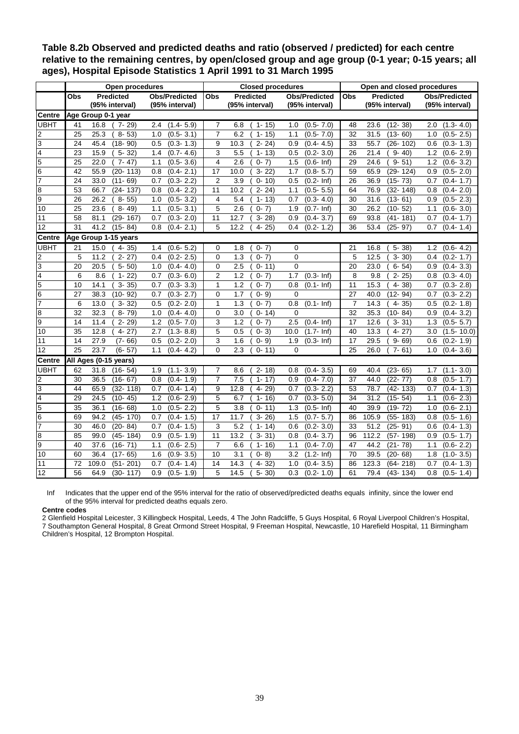|                |     | Open procedures       |                      |                | <b>Closed procedures</b>        |                                 | Open and closed procedures |                                        |                       |  |
|----------------|-----|-----------------------|----------------------|----------------|---------------------------------|---------------------------------|----------------------------|----------------------------------------|-----------------------|--|
|                | Obs | Predicted             | <b>Obs/Predicted</b> | <b>Obs</b>     | <b>Predicted</b>                | <b>Obs/Predicted</b>            | <b>Obs</b>                 | <b>Predicted</b>                       | <b>Obs/Predicted</b>  |  |
|                |     | (95% interval)        | (95% interval)       |                | (95% interval)                  | (95% interval)                  |                            | (95% interval)                         | (95% interval)        |  |
| <b>Centre</b>  |     | Age Group 0-1 year    |                      |                |                                 |                                 |                            |                                        |                       |  |
| UBHT           | 41  | 16.8<br>$7 - 29$      | $(1.4 - 5.9)$<br>2.4 | 7              | 6.8<br>$1 - 15$                 | $(0.5 - 7.0)$<br>1.0            | 48                         | 23.6<br>$(12 - 38)$                    | $(1.3 - 4.0)$<br>2.0  |  |
| 2              | 25  | 25.3<br>$8 - 53$      | 1.0<br>$(0.5 - 3.1)$ | $\overline{7}$ | 6.2<br>$\overline{15}$<br>$1 -$ | $(0.5 - 7.0)$<br>1.1            | $\overline{32}$            | $(13 - 60)$<br>31.5                    | $(0.5 - 2.5)$<br>1.0  |  |
| 3              | 24  | 45.4<br>$(18 - 90)$   | $(0.3 \t1.3)$<br>0.5 | 9              | 10.3<br>$2 - 24$                | $(0.4 - 4.5)$<br>0.9            | 33                         | 55.7<br>$(26 - 102)$                   | 0.6<br>$(0.3 - 1.3)$  |  |
| 4              | 23  | 15.9<br>$5 - 32$      | 1.4<br>$(0.7 - 4.6)$ | 3              | 5.5<br>$1 - 13$                 | 0.5<br>$(0.2 - 3.0)$            | 26                         | 21.4<br>$\overline{9} - \overline{4}0$ | 1.2<br>$(0.6 - 2.9)$  |  |
| 5              | 25  | 22.0<br>$7 - 47$      | $(0.5 - 3.6)$<br>1.1 | 4              | 2.6<br>$0 - 7$                  | 1.5<br>$(0.6 - lnf)$            | 29                         | $9 - 51$<br>24.6                       | 1.2<br>$(0.6 - 3.2)$  |  |
| $\overline{6}$ | 42  | 55.9<br>$(20 - 113)$  | 0.8<br>$(0.4 - 2.1)$ | 17             | 10.0<br>$3 - 22$                | $(0.8 - 5.7)$<br>1.7            | 59                         | 65.9<br>$(29 - 124)$                   | 0.9<br>$(0.5 - 2.0)$  |  |
| $\overline{7}$ | 24  | $(11 - 69)$<br>33.0   | $(0.3 - 2.2)$<br>0.7 | $\overline{2}$ | 3.9<br>$0 - 10$                 | 0.5<br>$(0.2 - lnf)$            | 26                         | $(15 - 73)$<br>36.9                    | 0.7<br>$(0.4 - 1.7)$  |  |
| 8              | 53  | 66.7<br>$(24 - 137)$  | $(0.4 - 2.2)$<br>0.8 | 11             | 10.2<br>$2 - 24$                | $(0.5 - 5.5)$<br>1.1            | 64                         | $(32 - 148)$<br>76.9                   | $(0.4 - 2.0)$<br>0.8  |  |
| 9              | 26  | 26.2<br>$8 - 55$      | $(0.5 - 3.2)$<br>1.0 | 4              | 5.4<br>$1 - 13$                 | $(0.3 - 4.0)$<br>0.7            | 30                         | 31.6<br>$(13 - 61)$                    | $(0.5 - 2.3)$<br>0.9  |  |
| 10             | 25  | 23.6<br>$8 - 49$      | $(0.5 - 3.1)$<br>1.1 | 5              | 2.6<br>$0 - 7$ )                | $\overline{(0.7}$ - Inf)<br>1.9 | 30                         | $(10 - 52)$<br>26.2                    | $(0.6 - 3.0)$<br>1.1  |  |
| 11             | 58  | 81.1<br>$(29 - 167)$  | 0.7<br>$(0.3 - 2.0)$ | 11             | 12.7<br>$3 - 28$                | 0.9<br>$(0.4 - 3.7)$            | 69                         | 93.8<br>$(41 - 181)$                   | 0.7<br>$(0.4 - 1.7)$  |  |
| 12             | 31  | 41.2<br>$(15 - 84)$   | 0.8<br>$(0.4 - 2.1)$ | 5              | 12.2<br>$4 - 25$                | $(0.2 - 1.2)$<br>0.4            | 36                         | 53.4<br>$(25 - 97)$                    | 0.7<br>$(0.4 - 1.4)$  |  |
| <b>Centre</b>  |     | Age Group 1-15 years  |                      |                |                                 |                                 |                            |                                        |                       |  |
| <b>UBHT</b>    | 21  | 15.0<br>4-35)         | $(0.6 - 5.2)$<br>1.4 | $\Omega$       | 1.8<br>$0 - 7$                  | 0                               | 21                         | $5 - 38$<br>16.8                       | 1.2<br>$(0.6 - 4.2)$  |  |
| 2              | 5   | $2 - 27$<br>11.2      | 0.4<br>$(0.2 - 2.5)$ | $\mathbf 0$    | 1.3<br>$0 - 7$ )                | 0                               | 5                          | $3 - 30$<br>12.5                       | 0.4<br>$(0.2 - 1.7)$  |  |
| 3              | 20  | $5 - 50$<br>20.5      | 1.0<br>$(0.4 - 4.0)$ | $\mathbf 0$    | 2.5<br>$0 - 11$                 | $\Omega$                        | 20                         | 23.0<br>$6 - 54$                       | $(0.4 - 3.3)$<br>0.9  |  |
| 4              | 6   | $1 - 22$<br>8.6       | $(0.3 - 6.0)$<br>0.7 | $\overline{2}$ | 1.2<br>$0 - 7$                  | 1.7<br>$\overline{(0.3}$ - Inf) | 8                          | $2 - 25$<br>9.8                        | 0.8<br>$(0.3 - 4.0)$  |  |
| 5              | 10  | 14.1<br>$3 - 35$      | $(0.3 - 3.3)$<br>0.7 | 1              | 1.2<br>$0 - 7$ )                | 0.8<br>$(0.1 - lnf)$            | 11                         | 15.3<br>$4 - 38$                       | $(0.3 - 2.8)$<br>0.7  |  |
| 6              | 27  | 38.3<br>$(10 - 92)$   | $(0.3 - 2.7)$<br>0.7 | $\mathbf 0$    | 1.7<br>$0 - 9$                  | $\Omega$                        | 27                         | 40.0<br>$(12 - 94)$                    | $(0.3 - 2.2)$<br>0.7  |  |
| 7              | 6   | 13.0<br>$3 - 32$      | 0.5<br>$(0.2 - 2.0)$ | 1              | 1.3<br>$0 - 7$ )                | 0.8<br>$(0.1 - lnf)$            | $\overline{7}$             | 14.3<br>$4-$<br>35)                    | 0.5<br>$(0.2 - 1.8)$  |  |
| 8              | 32  | 32.3<br>$8 - 79$      | $(0.4 - 4.0)$<br>1.0 | $\Omega$       | 3.0<br>$0 - 14$                 | $\Omega$                        | 32                         | 35.3<br>$(10 - 84)$                    | $(0.4 - 3.2)$<br>0.9  |  |
| 9              | 14  | 11.4<br>$2 - 29$      | 1.2<br>$(0.5 - 7.0)$ | 3              | 1.2<br>$0 - 7$ )                | 2.5<br>$(0.4 - lnf)$            | 17                         | 12.6<br>$3 - 31$                       | 1.3<br>$(0.5 - 5.7)$  |  |
| 10             | 35  | 12.8<br>$4 - 27$      | 2.7<br>$(1.3 - 8.8)$ | 5              | 0.5<br>$0 - 3$                  | 10.0<br>$(1.7 - lnf)$           | 40                         | 13.3<br>$4 - 27$                       | 3.0<br>$(1.5 - 10.0)$ |  |
| 11             | 14  | $(7 - 66)$<br>27.9    | 0.5<br>$(0.2 - 2.0)$ | 3              | 1.6<br>$0 - 9$                  | 1.9<br>$(0.3 - lnf)$            | 17                         | 29.5<br>$9 - 69$                       | $(0.2 - 1.9)$<br>0.6  |  |
| 12             | 25  | 23.7<br>$(6 - 57)$    | $(0.4 - 4.2)$<br>1.1 | $\Omega$       | 2.3<br>$0 - 11$                 | 0                               | 25                         | $7 - 61$<br>26.0                       | $(0.4 - 3.6)$<br>1.0  |  |
| <b>Centre</b>  |     | All Ages (0-15 years) |                      |                |                                 |                                 |                            |                                        |                       |  |
| <b>UBHT</b>    | 62  | 31.8<br>$(16 - 54)$   | $(1.1 - 3.9)$<br>1.9 | $\overline{7}$ | $2 - 18$<br>8.6                 | $(0.4 - 3.5)$<br>0.8            | 69                         | $(23 - 65)$<br>40.4                    | $(1.1 - 3.0)$<br>1.7  |  |
| 2              | 30  | 36.5<br>$(16 - 67)$   | 0.8<br>$(0.4 - 1.9)$ | $\overline{7}$ | 7.5<br>$1 - 17$                 | $(0.4 - 7.0)$<br>0.9            | 37                         | $(22 - 77)$<br>44.0                    | 0.8<br>$(0.5 - 1.7)$  |  |
| 3              | 44  | 65.9<br>$(32 - 118)$  | $(0.4 - 1.4)$<br>0.7 | 9              | 12.8<br>$4 - 29$                | $(0.3 - 2.2)$<br>0.7            | 53                         | $(42 - 133)$<br>78.7                   | $(0.4 - 1.3)$<br>0.7  |  |
| 4              | 29  | 24.5<br>$(10 - 45)$   | $(0.6 - 2.9)$<br>1.2 | 5              | 6.7<br>$1 - 16$                 | $(0.3 - 5.0)$<br>0.7            | 34                         | 31.2<br>$(15 - 54)$                    | 1.1<br>$(0.6 - 2.3)$  |  |
| 5              | 35  | $(16 - 68)$<br>36.1   | $(0.5 - 2.2)$<br>1.0 | 5              | 3.8<br>$0 - 11$                 | $\overline{(0.5}$ - Inf)<br>1.3 | 40                         | 39.9<br>$(19 - 72)$                    | $(0.6 - 2.1)$<br>1.0  |  |
| 6              | 69  | 94.2<br>$(45 - 170)$  | 0.7<br>$(0.4 - 1.5)$ | 17             | 11.7<br>$3 - 26$                | $(0.7 - 5.7)$<br>1.5            | 86                         | 105.9<br>$(55 - 183)$                  | 0.8<br>$(0.5 - 1.6)$  |  |
| 7              | 30  | 46.0<br>$(20 - 84)$   | 0.7<br>$(0.4 - 1.5)$ | 3              | 5.2<br>$1 - 14$                 | 0.6<br>$(0.2 - 3.0)$            | 33                         | 51.2<br>$(25 - 91)$                    | $(0.4 - 1.3)$<br>0.6  |  |
| 8              | 85  | 99.0<br>$(45 - 184)$  | $(0.5 - 1.9)$<br>0.9 | 11             | 13.2<br>$3 - 31$                | $(0.4 - 3.7)$<br>0.8            | 96                         | 112.2<br>$(57 - 198)$                  | 0.9<br>$(0.5 - 1.7)$  |  |
| 9              | 40  | 37.6<br>$(16 - 71)$   | $(0.6 - 2.5)$<br>1.1 | $\overline{7}$ | 6.6<br>$1 - 16$                 | $(0.4 - 7.0)$<br>1.1            | 47                         | $(21 -$<br>44.2<br>78)                 | $(0.6 - 2.2)$<br>1.1  |  |
| 10             | 60  | 36.4<br>$(17 - 65)$   | $(0.9 - 3.5)$<br>1.6 | 10             | 3.1<br>$0 - 8$                  | $(1.2 - lnf)$<br>3.2            | 70                         | 39.5<br>$(20 - 68)$                    | 1.8<br>$(1.0 - 3.5)$  |  |
| 11             | 72  | 109.0<br>$(51 - 201)$ | 0.7<br>$(0.4 - 1.4)$ | 14             | 14.3<br>32)<br>$4-$             | 1.0<br>$(0.4 - 3.5)$            | 86                         | 123.3<br>$(64 - 218)$                  | $(0.4 - 1.3)$<br>0.7  |  |
| 12             | 56  | 64.9<br>$(30 - 117)$  | $(0.5 - 1.9)$<br>0.9 | 5              | 14.5<br>$5 - 30$                | $(0.2 - 1.0)$<br>0.3            | 61                         | 79.4<br>$(43 - 134)$                   | 0.8<br>$(0.5 - 1.4)$  |  |

**Table 8.2b Observed and predicted deaths and ratio (observed / predicted) for each centre relative to the remaining centres, by open/closed group and age group (0-1 year; 0-15 years; all ages), Hospital Episode Statistics 1 April 1991 to 31 March 1995** 

Inf Indicates that the upper end of the 95% interval for the ratio of observed/predicted deaths equals infinity, since the lower end of the 95% interval for predicted deaths equals zero.

#### **Centre codes**

2 Glenfield Hospital Leicester, 3 Killingbeck Hospital, Leeds, 4 The John Radcliffe, 5 Guys Hospital, 6 Royal Liverpool Children's Hospital, 7 Southampton General Hospital, 8 Great Ormond Street Hospital, 9 Freeman Hospital, Newcastle, 10 Harefield Hospital, 11 Birmingham Children's Hospital, 12 Brompton Hospital.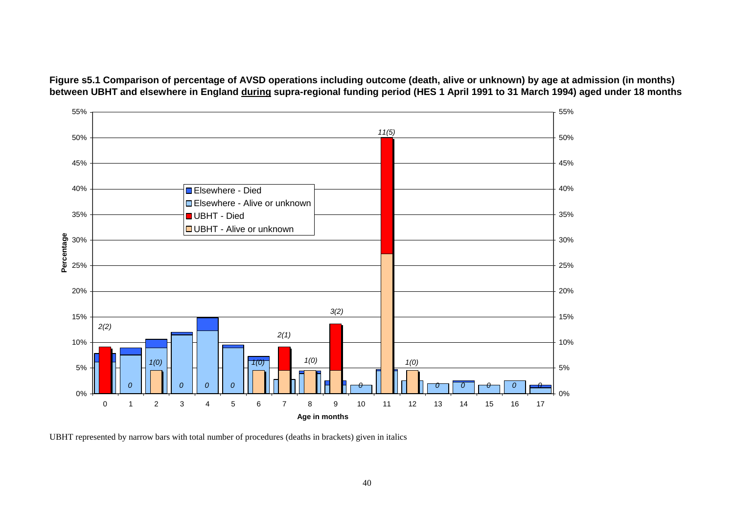<span id="page-40-0"></span>**Figure s5.1 Comparison of percentage of AVSD operations including outcome (death, alive or unknown) by age at admission (in months) between UBHT and elsewhere in England during supra-regional funding period (HES 1 April 1991 to 31 March 1994) aged under 18 months** 



UBHT represented by narrow bars with total number of procedures (deaths in brackets) given in italics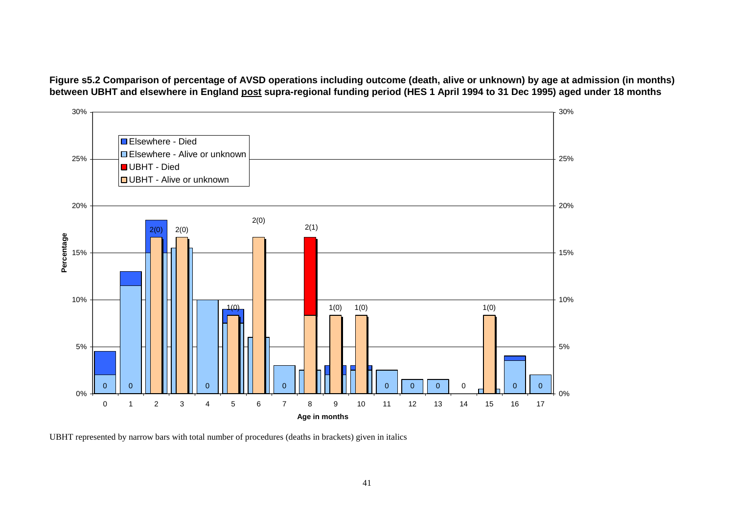<span id="page-41-0"></span>**Figure s5.2 Comparison of percentage of AVSD operations including outcome (death, alive or unknown) by age at admission (in months) between UBHT and elsewhere in England post supra-regional funding period (HES 1 April 1994 to 31 Dec 1995) aged under 18 months** 



UBHT represented by narrow bars with total number of procedures (deaths in brackets) given in italics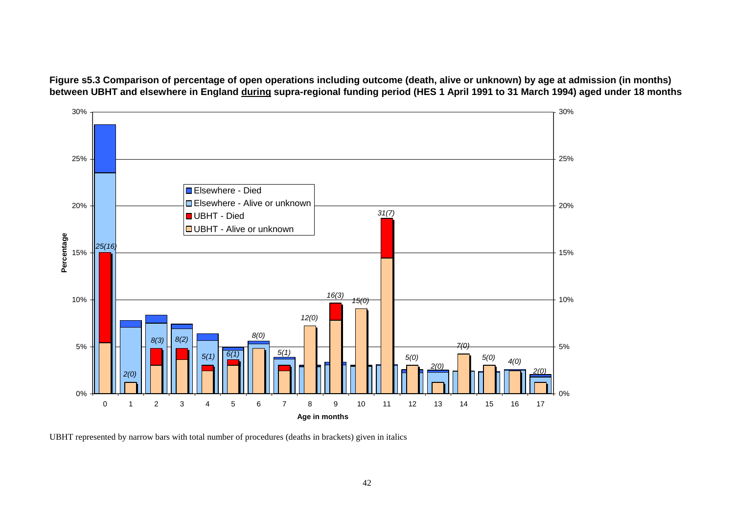<span id="page-42-0"></span>**Figure s5.3 Comparison of percentage of open operations including outcome (death, alive or unknown) by age at admission (in months) between UBHT and elsewhere in England during supra-regional funding period (HES 1 April 1991 to 31 March 1994) aged under 18 months** 



UBHT represented by narrow bars with total number of procedures (deaths in brackets) given in italics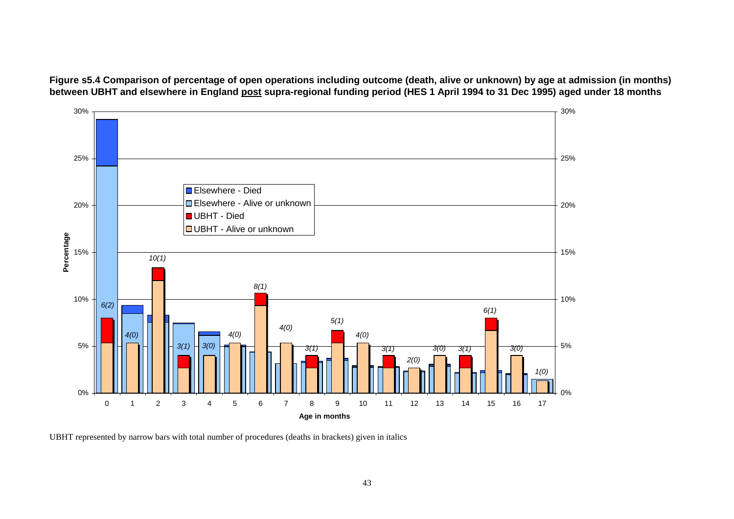<span id="page-43-0"></span>**Figure s5.4 Comparison of percentage of open operations including outcome (death, alive or unknown) by age at admission (in months) between UBHT and elsewhere in England post supra-regional funding period (HES 1 April 1994 to 31 Dec 1995) aged under 18 months** 



UBHT represented by narrow bars with total number of procedures (deaths in brackets) given in italics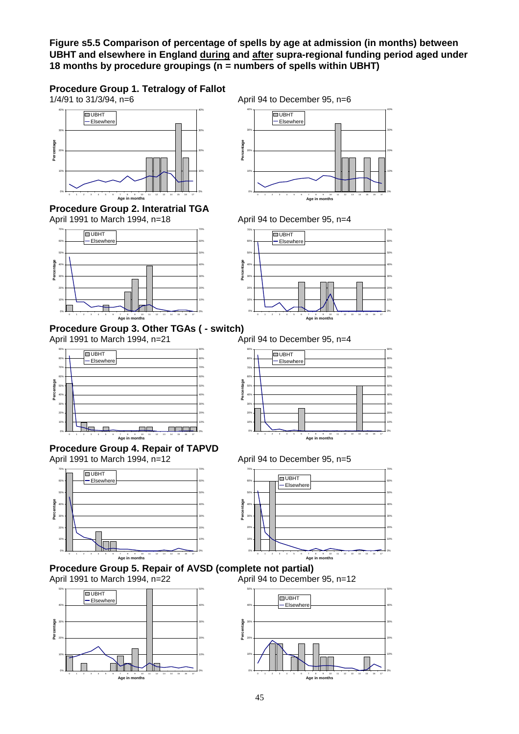<span id="page-45-0"></span>**Figure s5.5 Comparison of percentage of spells by age at admission (in months) between UBHT and elsewhere in England during and after supra-regional funding period aged under 18 months by procedure groupings (n = numbers of spells within UBHT)** 

# **Procedure Group 1. Tetralogy of Fallot** 1/4/91 to 31/3/94, n=6

40% 40% **UBHT**  $-$ Elsewhere 30% 30% **Percentage** Percentage 20% 20% 10% 10% 0% 0% 0 1 2 3 4 5 6 7 8 9 10 11 12 13 14 15 16 17

**Procedure Group 2. Interatrial TGA**<br>April 1991 to March 1994, n=18

**Age in m** 



### **Procedure Group 3. Other TGAs ( - switch)**



**Procedure Group 4. Repair of TAPVD**  April 1991 to March 1994, n=12April 94 to December 95, n=5







April 94 to December 95, n=6



April 94 to December 95, n=4



April 1991 to March 1994, n=21April 94 to December 95, n=4





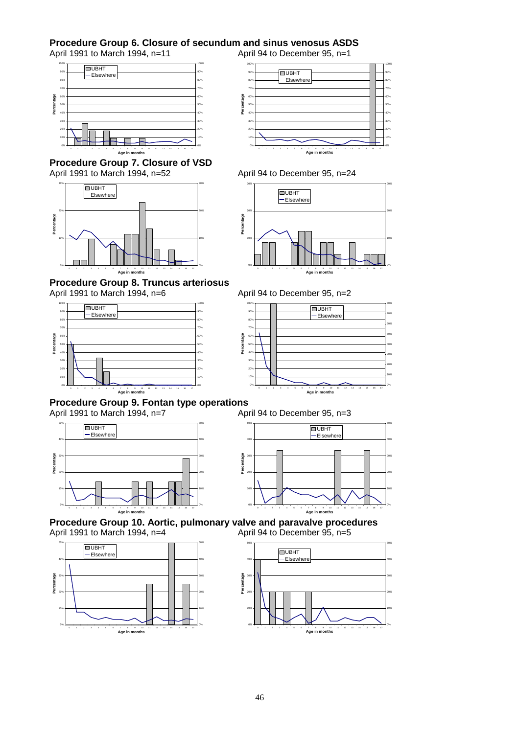### **Procedure Group 6. Closure of secundum and sinus venosus ASDS**

April 1991 to March 1994, n=11April 94 to December 95, n=1



**Procedure Group 7. Closure of VSD**  April 1991 to March 1994, n=52April 94 to December 95, n=24



**Procedure Group 8. Truncus arteriosus**  April 1991 to March 1994, n=6April 94 to December 95, n=2









**Percentage**



### **Procedure Group 9. Fontan type operations**

April 1991 to March 1994, n=7 <br>**April 94 to December 95, n=3** 











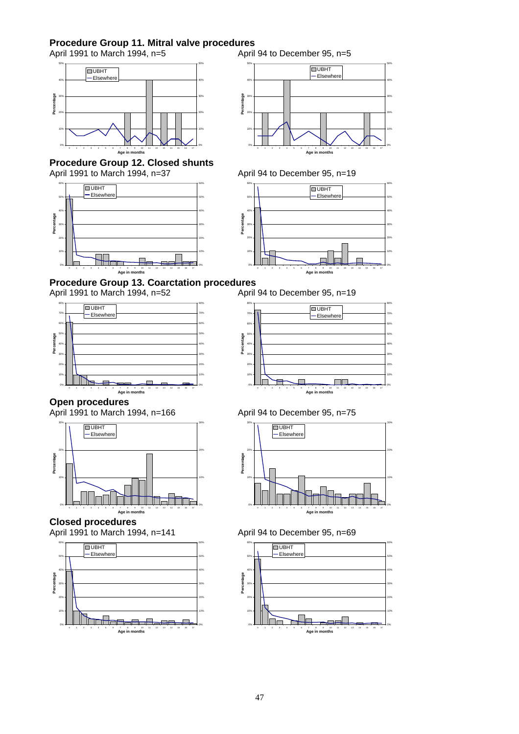### **Procedure Group 11. Mitral valve procedures**

April 1991 to March 1994, n=5April 94 to December 95, n=5





**Procedure Group 12. Closed shunts**  April 1991 to March 1994, n=37April 94 to December 95, n=19





**Procedure Group 13. Coarctation procedures**<br>April 1991 to March 1994, n=52 April 94 to December 95, n=19

April 1991 to March 1994, n=52









**Closed procedures** 











April 1991 to March 1994, n=141April 94 to December 95, n=69

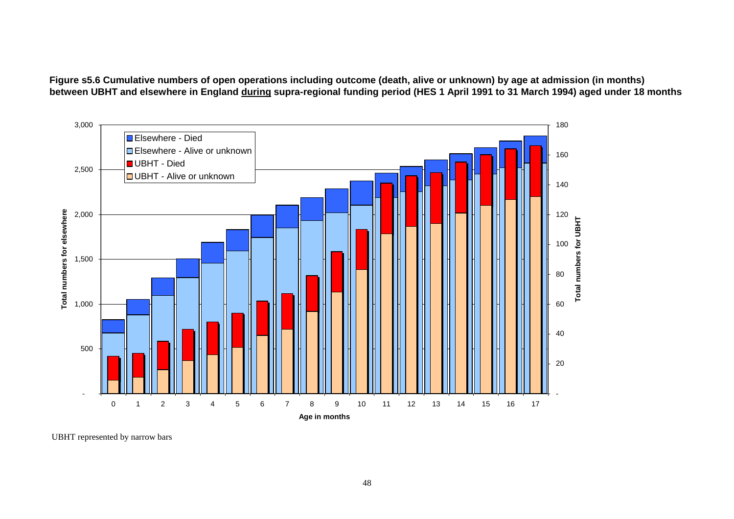**Figure s5.6 Cumulative numbers of open operations including outcome (death, alive or unknown) by age at admission (in months) between UBHT and elsewhere in England during supra-regional funding period (HES 1 April 1991 to 31 March 1994) aged under 18 months** 



UBHT represented by narrow bars